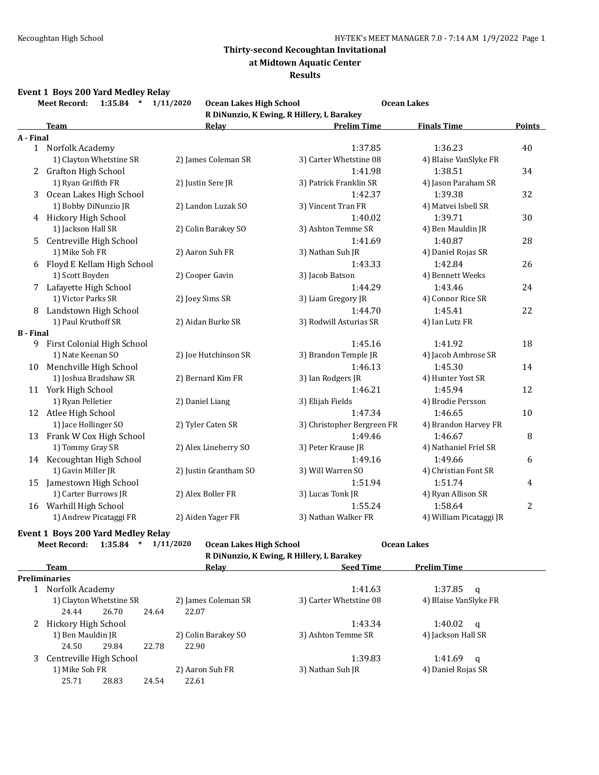**at Midtown Aquatic Center**

#### **Results**

#### **Event 1 Boys 200 Yard Medley Relay**

**Meet Record: 1:35.84 \* 1/11/2020 Ocean Lakes High School Ocean Lakes R DiNunzio, K Ewing, R Hillery, L Barakey**

|                  |                            |                       | <u>K DINUMENT, K DWING, K MINCI y, B DUI UNC</u> |                         |                |
|------------------|----------------------------|-----------------------|--------------------------------------------------|-------------------------|----------------|
|                  | <b>Team</b>                | Relay                 | <b>Prelim Time</b>                               | <b>Finals Time</b>      | <b>Points</b>  |
| A - Final        |                            |                       |                                                  |                         |                |
|                  | 1 Norfolk Academy          |                       | 1:37.85                                          | 1:36.23                 | 40             |
|                  | 1) Clayton Whetstine SR    | 2) James Coleman SR   | 3) Carter Whetstine 08                           | 4) Blaise VanSlyke FR   |                |
|                  | 2 Grafton High School      |                       | 1:41.98                                          | 1:38.51                 | 34             |
|                  | 1) Ryan Griffith FR        | 2) Justin Sere JR     | 3) Patrick Franklin SR                           | 4) Jason Paraham SR     |                |
| 3                | Ocean Lakes High School    |                       | 1:42.37                                          | 1:39.38                 | 32             |
|                  | 1) Bobby DiNunzio JR       | 2) Landon Luzak SO    | 3) Vincent Tran FR                               | 4) Matvei Isbell SR     |                |
|                  | 4 Hickory High School      |                       | 1:40.02                                          | 1:39.71                 | 30             |
|                  | 1) Jackson Hall SR         | 2) Colin Barakey SO   | 3) Ashton Temme SR                               | 4) Ben Mauldin JR       |                |
| 5                | Centreville High School    |                       | 1:41.69                                          | 1:40.87                 | 28             |
|                  | 1) Mike Soh FR             | 2) Aaron Suh FR       | 3) Nathan Suh JR                                 | 4) Daniel Rojas SR      |                |
| 6                | Floyd E Kellam High School |                       | 1:43.33                                          | 1:42.84                 | 26             |
|                  | 1) Scott Boyden            | 2) Cooper Gavin       | 3) Jacob Batson                                  | 4) Bennett Weeks        |                |
|                  | 7 Lafayette High School    |                       | 1:44.29                                          | 1:43.46                 | 24             |
|                  | 1) Victor Parks SR         | 2) Joey Sims SR       | 3) Liam Gregory JR                               | 4) Connor Rice SR       |                |
| 8                | Landstown High School      |                       | 1:44.70                                          | 1:45.41                 | 22             |
|                  | 1) Paul Kruthoff SR        | 2) Aidan Burke SR     | 3) Rodwill Asturias SR                           | 4) Ian Lutz FR          |                |
| <b>B</b> - Final |                            |                       |                                                  |                         |                |
| 9                | First Colonial High School |                       | 1:45.16                                          | 1:41.92                 | 18             |
|                  | 1) Nate Keenan SO          | 2) Joe Hutchinson SR  | 3) Brandon Temple JR                             | 4) Jacob Ambrose SR     |                |
|                  | 10 Menchville High School  |                       | 1:46.13                                          | 1:45.30                 | 14             |
|                  | 1) Joshua Bradshaw SR      | 2) Bernard Kim FR     | 3) Ian Rodgers JR                                | 4) Hunter Yost SR       |                |
|                  | 11 York High School        |                       | 1:46.21                                          | 1:45.94                 | 12             |
|                  | 1) Ryan Pelletier          | 2) Daniel Liang       | 3) Elijah Fields                                 | 4) Brodie Persson       |                |
|                  | 12 Atlee High School       |                       | 1:47.34                                          | 1:46.65                 | 10             |
|                  | 1) Jace Hollinger SO       | 2) Tyler Caten SR     | 3) Christopher Bergreen FR                       | 4) Brandon Harvey FR    |                |
| 13               | Frank W Cox High School    |                       | 1:49.46                                          | 1:46.67                 | 8              |
|                  | 1) Tommy Gray SR           | 2) Alex Lineberry SO  | 3) Peter Krause JR                               | 4) Nathaniel Friel SR   |                |
|                  | 14 Kecoughtan High School  |                       | 1:49.16                                          | 1:49.66                 | 6              |
|                  | 1) Gavin Miller JR         | 2) Justin Grantham SO | 3) Will Warren SO                                | 4) Christian Font SR    |                |
| 15               | Jamestown High School      |                       | 1:51.94                                          | 1:51.74                 | 4              |
|                  | 1) Carter Burrows JR       | 2) Alex Boller FR     | 3) Lucas Tonk JR                                 | 4) Ryan Allison SR      |                |
| 16               | Warhill High School        |                       | 1:55.24                                          | 1:58.64                 | $\overline{c}$ |
|                  | 1) Andrew Picataggi FR     | 2) Aiden Yager FR     | 3) Nathan Walker FR                              | 4) William Picataggi JR |                |

### **Event 1 Boys 200 Yard Medley Relay**

**Meet Record: 1:35.84 \* 1/11/2020 Ocean Lakes High School Ocean Lakes**

**R DiNunzio, K Ewing, R Hillery, L Barakey**

|                |                         |       |       |                     | -                      |                       |  |
|----------------|-------------------------|-------|-------|---------------------|------------------------|-----------------------|--|
|                | Team                    |       |       | Relay               | <b>Seed Time</b>       | <b>Prelim Time</b>    |  |
|                | <b>Preliminaries</b>    |       |       |                     |                        |                       |  |
|                | Norfolk Academy         |       |       |                     | 1:41.63                | 1:37.85<br>a          |  |
|                | 1) Clayton Whetstine SR |       |       | 2) James Coleman SR | 3) Carter Whetstine 08 | 4) Blaise VanSlyke FR |  |
|                | 24.44                   | 26.70 | 24.64 | 22.07               |                        |                       |  |
|                | Hickory High School     |       |       |                     | 1:43.34                | 1:40.02<br>a          |  |
|                | 1) Ben Mauldin JR       |       |       | 2) Colin Barakey SO | 3) Ashton Temme SR     | 4) Jackson Hall SR    |  |
|                | 24.50                   | 29.84 | 22.78 | 22.90               |                        |                       |  |
|                | Centreville High School |       |       | 1:39.83             | 1:41.69<br>q           |                       |  |
| 1) Mike Soh FR |                         |       |       | 2) Aaron Suh FR     | 3) Nathan Suh JR       | 4) Daniel Rojas SR    |  |
|                | 25.71                   | 28.83 | 24.54 | 22.61               |                        |                       |  |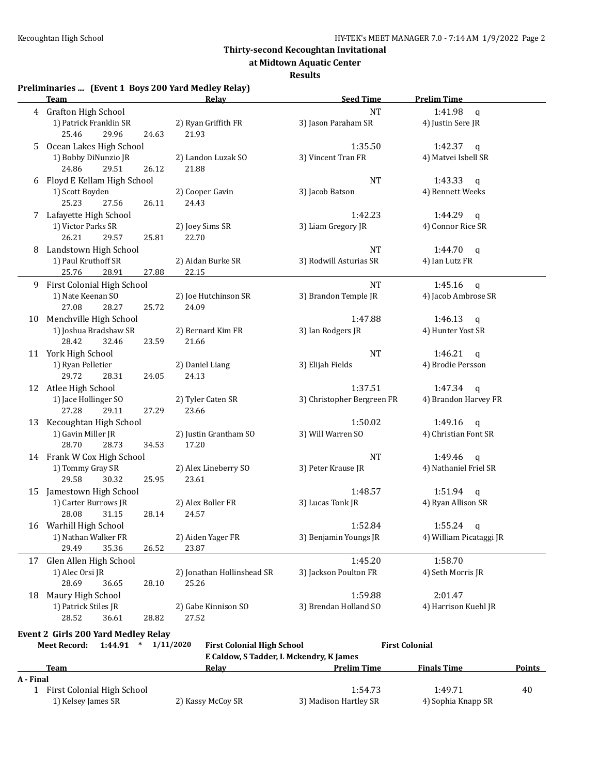**at Midtown Aquatic Center**

**Results**

**Preliminaries ... (Event 1 Boys 200 Yard Medley Relay)**

| <b>NT</b><br>4 Grafton High School<br>1:41.98<br>q<br>2) Ryan Griffith FR<br>3) Jason Paraham SR<br>1) Patrick Franklin SR<br>4) Justin Sere JR<br>29.96<br>25.46<br>21.93<br>24.63<br>Ocean Lakes High School<br>1:35.50<br>1:42.37 $q$<br>5.<br>1) Bobby DiNunzio JR<br>3) Vincent Tran FR<br>4) Matvei Isbell SR<br>2) Landon Luzak SO<br>24.86<br>29.51<br>21.88<br>26.12<br>6 Floyd E Kellam High School<br><b>NT</b><br>1:43.33<br>q<br>1) Scott Boyden<br>3) Jacob Batson<br>4) Bennett Weeks<br>2) Cooper Gavin<br>25.23<br>27.56<br>26.11<br>24.43<br>7 Lafayette High School<br>1:42.23<br>1:44.29<br>q<br>1) Victor Parks SR<br>2) Joey Sims SR<br>3) Liam Gregory JR<br>4) Connor Rice SR<br>26.21<br>29.57<br>22.70<br>25.81<br>8 Landstown High School<br><b>NT</b><br>1:44.70 $q$<br>1) Paul Kruthoff SR<br>3) Rodwill Asturias SR<br>4) Ian Lutz FR<br>2) Aidan Burke SR<br>25.76<br>28.91<br>27.88<br>22.15<br><b>NT</b><br>9 First Colonial High School<br>1:45.16<br>$\mathbf{q}$<br>1) Nate Keenan SO<br>3) Brandon Temple JR<br>4) Jacob Ambrose SR<br>2) Joe Hutchinson SR<br>27.08<br>28.27<br>24.09<br>25.72<br>10 Menchville High School<br>1:47.88<br>1:46.13<br>q<br>1) Joshua Bradshaw SR<br>2) Bernard Kim FR<br>3) Ian Rodgers JR<br>4) Hunter Yost SR<br>28.42<br>32.46<br>21.66<br>23.59<br>11 York High School<br><b>NT</b><br>1:46.21<br>q<br>1) Ryan Pelletier<br>2) Daniel Liang<br>3) Elijah Fields<br>4) Brodie Persson<br>29.72<br>28.31<br>24.13<br>24.05<br>1:37.51<br>12 Atlee High School<br>1:47.34<br>$\mathbf{q}$<br>1) Jace Hollinger SO<br>3) Christopher Bergreen FR<br>4) Brandon Harvey FR<br>2) Tyler Caten SR<br>27.28<br>29.11<br>27.29<br>23.66<br>1:50.02<br>13 Kecoughtan High School<br>1:49.16<br>$\mathbf{q}$<br>3) Will Warren SO<br>1) Gavin Miller JR<br>2) Justin Grantham SO<br>4) Christian Font SR<br>28.70<br>28.73<br>34.53<br>17.20<br>14 Frank W Cox High School<br><b>NT</b><br>1:49.46<br>$\mathbf{q}$<br>1) Tommy Gray SR<br>3) Peter Krause JR<br>4) Nathaniel Friel SR<br>2) Alex Lineberry SO<br>29.58<br>30.32<br>25.95<br>23.61<br>Jamestown High School<br>1:48.57<br>1:51.94<br>$\mathsf{q}$<br>15<br>1) Carter Burrows JR<br>2) Alex Boller FR<br>3) Lucas Tonk JR<br>4) Ryan Allison SR<br>28.08<br>31.15<br>28.14<br>24.57<br>16 Warhill High School<br>1:52.84<br>$1:55.24$ q<br>1) Nathan Walker FR<br>2) Aiden Yager FR<br>3) Benjamin Youngs JR<br>4) William Picataggi JR<br>29.49<br>35.36<br>26.52<br>23.87<br>Glen Allen High School<br>1:45.20<br>1:58.70<br>17<br>3) Jackson Poulton FR<br>4) Seth Morris JR<br>1) Alec Orsi JR<br>2) Jonathan Hollinshead SR<br>28.69<br>28.10<br>25.26<br>36.65<br>Maury High School<br>1:59.88<br>2:01.47<br>18<br>3) Brendan Holland SO<br>1) Patrick Stiles JR<br>2) Gabe Kinnison SO<br>4) Harrison Kuehl JR<br>28.52<br>27.52<br>36.61<br>28.82<br><b>Event 2 Girls 200 Yard Medley Relay</b><br>1:44.91<br>* $1/11/2020$<br><b>First Colonial</b><br><b>Meet Record:</b><br><b>First Colonial High School</b><br>E Caldow, S Tadder, L Mckendry, K James<br><b>Prelim Time</b><br><b>Finals Time</b><br><b>Points</b><br>Team<br><u>Relav</u><br>A - Final<br>1 First Colonial High School<br>1:54.73<br>1:49.71<br>40<br>1) Kelsey James SR<br>2) Kassy McCoy SR<br>3) Madison Hartley SR<br>4) Sophia Knapp SR | reminiaries  [Event I Doys 200 Taru Meurey Relay]<br><b>Team</b> | <u>Relav</u> | <b>Seed Time</b> | <b>Prelim Time</b> |  |
|--------------------------------------------------------------------------------------------------------------------------------------------------------------------------------------------------------------------------------------------------------------------------------------------------------------------------------------------------------------------------------------------------------------------------------------------------------------------------------------------------------------------------------------------------------------------------------------------------------------------------------------------------------------------------------------------------------------------------------------------------------------------------------------------------------------------------------------------------------------------------------------------------------------------------------------------------------------------------------------------------------------------------------------------------------------------------------------------------------------------------------------------------------------------------------------------------------------------------------------------------------------------------------------------------------------------------------------------------------------------------------------------------------------------------------------------------------------------------------------------------------------------------------------------------------------------------------------------------------------------------------------------------------------------------------------------------------------------------------------------------------------------------------------------------------------------------------------------------------------------------------------------------------------------------------------------------------------------------------------------------------------------------------------------------------------------------------------------------------------------------------------------------------------------------------------------------------------------------------------------------------------------------------------------------------------------------------------------------------------------------------------------------------------------------------------------------------------------------------------------------------------------------------------------------------------------------------------------------------------------------------------------------------------------------------------------------------------------------------------------------------------------------------------------------------------------------------------------------------------------------------------------------------------------------------------------------------------------------------------------------------------------------------------------------------------------------------------------------------------------------------------------------------------------------------------------------------------------------------------------------------------------------------------------------------------------------------------------------------|------------------------------------------------------------------|--------------|------------------|--------------------|--|
|                                                                                                                                                                                                                                                                                                                                                                                                                                                                                                                                                                                                                                                                                                                                                                                                                                                                                                                                                                                                                                                                                                                                                                                                                                                                                                                                                                                                                                                                                                                                                                                                                                                                                                                                                                                                                                                                                                                                                                                                                                                                                                                                                                                                                                                                                                                                                                                                                                                                                                                                                                                                                                                                                                                                                                                                                                                                                                                                                                                                                                                                                                                                                                                                                                                                                                                                                        |                                                                  |              |                  |                    |  |
|                                                                                                                                                                                                                                                                                                                                                                                                                                                                                                                                                                                                                                                                                                                                                                                                                                                                                                                                                                                                                                                                                                                                                                                                                                                                                                                                                                                                                                                                                                                                                                                                                                                                                                                                                                                                                                                                                                                                                                                                                                                                                                                                                                                                                                                                                                                                                                                                                                                                                                                                                                                                                                                                                                                                                                                                                                                                                                                                                                                                                                                                                                                                                                                                                                                                                                                                                        |                                                                  |              |                  |                    |  |
|                                                                                                                                                                                                                                                                                                                                                                                                                                                                                                                                                                                                                                                                                                                                                                                                                                                                                                                                                                                                                                                                                                                                                                                                                                                                                                                                                                                                                                                                                                                                                                                                                                                                                                                                                                                                                                                                                                                                                                                                                                                                                                                                                                                                                                                                                                                                                                                                                                                                                                                                                                                                                                                                                                                                                                                                                                                                                                                                                                                                                                                                                                                                                                                                                                                                                                                                                        |                                                                  |              |                  |                    |  |
|                                                                                                                                                                                                                                                                                                                                                                                                                                                                                                                                                                                                                                                                                                                                                                                                                                                                                                                                                                                                                                                                                                                                                                                                                                                                                                                                                                                                                                                                                                                                                                                                                                                                                                                                                                                                                                                                                                                                                                                                                                                                                                                                                                                                                                                                                                                                                                                                                                                                                                                                                                                                                                                                                                                                                                                                                                                                                                                                                                                                                                                                                                                                                                                                                                                                                                                                                        |                                                                  |              |                  |                    |  |
|                                                                                                                                                                                                                                                                                                                                                                                                                                                                                                                                                                                                                                                                                                                                                                                                                                                                                                                                                                                                                                                                                                                                                                                                                                                                                                                                                                                                                                                                                                                                                                                                                                                                                                                                                                                                                                                                                                                                                                                                                                                                                                                                                                                                                                                                                                                                                                                                                                                                                                                                                                                                                                                                                                                                                                                                                                                                                                                                                                                                                                                                                                                                                                                                                                                                                                                                                        |                                                                  |              |                  |                    |  |
|                                                                                                                                                                                                                                                                                                                                                                                                                                                                                                                                                                                                                                                                                                                                                                                                                                                                                                                                                                                                                                                                                                                                                                                                                                                                                                                                                                                                                                                                                                                                                                                                                                                                                                                                                                                                                                                                                                                                                                                                                                                                                                                                                                                                                                                                                                                                                                                                                                                                                                                                                                                                                                                                                                                                                                                                                                                                                                                                                                                                                                                                                                                                                                                                                                                                                                                                                        |                                                                  |              |                  |                    |  |
|                                                                                                                                                                                                                                                                                                                                                                                                                                                                                                                                                                                                                                                                                                                                                                                                                                                                                                                                                                                                                                                                                                                                                                                                                                                                                                                                                                                                                                                                                                                                                                                                                                                                                                                                                                                                                                                                                                                                                                                                                                                                                                                                                                                                                                                                                                                                                                                                                                                                                                                                                                                                                                                                                                                                                                                                                                                                                                                                                                                                                                                                                                                                                                                                                                                                                                                                                        |                                                                  |              |                  |                    |  |
|                                                                                                                                                                                                                                                                                                                                                                                                                                                                                                                                                                                                                                                                                                                                                                                                                                                                                                                                                                                                                                                                                                                                                                                                                                                                                                                                                                                                                                                                                                                                                                                                                                                                                                                                                                                                                                                                                                                                                                                                                                                                                                                                                                                                                                                                                                                                                                                                                                                                                                                                                                                                                                                                                                                                                                                                                                                                                                                                                                                                                                                                                                                                                                                                                                                                                                                                                        |                                                                  |              |                  |                    |  |
|                                                                                                                                                                                                                                                                                                                                                                                                                                                                                                                                                                                                                                                                                                                                                                                                                                                                                                                                                                                                                                                                                                                                                                                                                                                                                                                                                                                                                                                                                                                                                                                                                                                                                                                                                                                                                                                                                                                                                                                                                                                                                                                                                                                                                                                                                                                                                                                                                                                                                                                                                                                                                                                                                                                                                                                                                                                                                                                                                                                                                                                                                                                                                                                                                                                                                                                                                        |                                                                  |              |                  |                    |  |
|                                                                                                                                                                                                                                                                                                                                                                                                                                                                                                                                                                                                                                                                                                                                                                                                                                                                                                                                                                                                                                                                                                                                                                                                                                                                                                                                                                                                                                                                                                                                                                                                                                                                                                                                                                                                                                                                                                                                                                                                                                                                                                                                                                                                                                                                                                                                                                                                                                                                                                                                                                                                                                                                                                                                                                                                                                                                                                                                                                                                                                                                                                                                                                                                                                                                                                                                                        |                                                                  |              |                  |                    |  |
|                                                                                                                                                                                                                                                                                                                                                                                                                                                                                                                                                                                                                                                                                                                                                                                                                                                                                                                                                                                                                                                                                                                                                                                                                                                                                                                                                                                                                                                                                                                                                                                                                                                                                                                                                                                                                                                                                                                                                                                                                                                                                                                                                                                                                                                                                                                                                                                                                                                                                                                                                                                                                                                                                                                                                                                                                                                                                                                                                                                                                                                                                                                                                                                                                                                                                                                                                        |                                                                  |              |                  |                    |  |
|                                                                                                                                                                                                                                                                                                                                                                                                                                                                                                                                                                                                                                                                                                                                                                                                                                                                                                                                                                                                                                                                                                                                                                                                                                                                                                                                                                                                                                                                                                                                                                                                                                                                                                                                                                                                                                                                                                                                                                                                                                                                                                                                                                                                                                                                                                                                                                                                                                                                                                                                                                                                                                                                                                                                                                                                                                                                                                                                                                                                                                                                                                                                                                                                                                                                                                                                                        |                                                                  |              |                  |                    |  |
|                                                                                                                                                                                                                                                                                                                                                                                                                                                                                                                                                                                                                                                                                                                                                                                                                                                                                                                                                                                                                                                                                                                                                                                                                                                                                                                                                                                                                                                                                                                                                                                                                                                                                                                                                                                                                                                                                                                                                                                                                                                                                                                                                                                                                                                                                                                                                                                                                                                                                                                                                                                                                                                                                                                                                                                                                                                                                                                                                                                                                                                                                                                                                                                                                                                                                                                                                        |                                                                  |              |                  |                    |  |
|                                                                                                                                                                                                                                                                                                                                                                                                                                                                                                                                                                                                                                                                                                                                                                                                                                                                                                                                                                                                                                                                                                                                                                                                                                                                                                                                                                                                                                                                                                                                                                                                                                                                                                                                                                                                                                                                                                                                                                                                                                                                                                                                                                                                                                                                                                                                                                                                                                                                                                                                                                                                                                                                                                                                                                                                                                                                                                                                                                                                                                                                                                                                                                                                                                                                                                                                                        |                                                                  |              |                  |                    |  |
|                                                                                                                                                                                                                                                                                                                                                                                                                                                                                                                                                                                                                                                                                                                                                                                                                                                                                                                                                                                                                                                                                                                                                                                                                                                                                                                                                                                                                                                                                                                                                                                                                                                                                                                                                                                                                                                                                                                                                                                                                                                                                                                                                                                                                                                                                                                                                                                                                                                                                                                                                                                                                                                                                                                                                                                                                                                                                                                                                                                                                                                                                                                                                                                                                                                                                                                                                        |                                                                  |              |                  |                    |  |
|                                                                                                                                                                                                                                                                                                                                                                                                                                                                                                                                                                                                                                                                                                                                                                                                                                                                                                                                                                                                                                                                                                                                                                                                                                                                                                                                                                                                                                                                                                                                                                                                                                                                                                                                                                                                                                                                                                                                                                                                                                                                                                                                                                                                                                                                                                                                                                                                                                                                                                                                                                                                                                                                                                                                                                                                                                                                                                                                                                                                                                                                                                                                                                                                                                                                                                                                                        |                                                                  |              |                  |                    |  |
|                                                                                                                                                                                                                                                                                                                                                                                                                                                                                                                                                                                                                                                                                                                                                                                                                                                                                                                                                                                                                                                                                                                                                                                                                                                                                                                                                                                                                                                                                                                                                                                                                                                                                                                                                                                                                                                                                                                                                                                                                                                                                                                                                                                                                                                                                                                                                                                                                                                                                                                                                                                                                                                                                                                                                                                                                                                                                                                                                                                                                                                                                                                                                                                                                                                                                                                                                        |                                                                  |              |                  |                    |  |
|                                                                                                                                                                                                                                                                                                                                                                                                                                                                                                                                                                                                                                                                                                                                                                                                                                                                                                                                                                                                                                                                                                                                                                                                                                                                                                                                                                                                                                                                                                                                                                                                                                                                                                                                                                                                                                                                                                                                                                                                                                                                                                                                                                                                                                                                                                                                                                                                                                                                                                                                                                                                                                                                                                                                                                                                                                                                                                                                                                                                                                                                                                                                                                                                                                                                                                                                                        |                                                                  |              |                  |                    |  |
|                                                                                                                                                                                                                                                                                                                                                                                                                                                                                                                                                                                                                                                                                                                                                                                                                                                                                                                                                                                                                                                                                                                                                                                                                                                                                                                                                                                                                                                                                                                                                                                                                                                                                                                                                                                                                                                                                                                                                                                                                                                                                                                                                                                                                                                                                                                                                                                                                                                                                                                                                                                                                                                                                                                                                                                                                                                                                                                                                                                                                                                                                                                                                                                                                                                                                                                                                        |                                                                  |              |                  |                    |  |
|                                                                                                                                                                                                                                                                                                                                                                                                                                                                                                                                                                                                                                                                                                                                                                                                                                                                                                                                                                                                                                                                                                                                                                                                                                                                                                                                                                                                                                                                                                                                                                                                                                                                                                                                                                                                                                                                                                                                                                                                                                                                                                                                                                                                                                                                                                                                                                                                                                                                                                                                                                                                                                                                                                                                                                                                                                                                                                                                                                                                                                                                                                                                                                                                                                                                                                                                                        |                                                                  |              |                  |                    |  |
|                                                                                                                                                                                                                                                                                                                                                                                                                                                                                                                                                                                                                                                                                                                                                                                                                                                                                                                                                                                                                                                                                                                                                                                                                                                                                                                                                                                                                                                                                                                                                                                                                                                                                                                                                                                                                                                                                                                                                                                                                                                                                                                                                                                                                                                                                                                                                                                                                                                                                                                                                                                                                                                                                                                                                                                                                                                                                                                                                                                                                                                                                                                                                                                                                                                                                                                                                        |                                                                  |              |                  |                    |  |
|                                                                                                                                                                                                                                                                                                                                                                                                                                                                                                                                                                                                                                                                                                                                                                                                                                                                                                                                                                                                                                                                                                                                                                                                                                                                                                                                                                                                                                                                                                                                                                                                                                                                                                                                                                                                                                                                                                                                                                                                                                                                                                                                                                                                                                                                                                                                                                                                                                                                                                                                                                                                                                                                                                                                                                                                                                                                                                                                                                                                                                                                                                                                                                                                                                                                                                                                                        |                                                                  |              |                  |                    |  |
|                                                                                                                                                                                                                                                                                                                                                                                                                                                                                                                                                                                                                                                                                                                                                                                                                                                                                                                                                                                                                                                                                                                                                                                                                                                                                                                                                                                                                                                                                                                                                                                                                                                                                                                                                                                                                                                                                                                                                                                                                                                                                                                                                                                                                                                                                                                                                                                                                                                                                                                                                                                                                                                                                                                                                                                                                                                                                                                                                                                                                                                                                                                                                                                                                                                                                                                                                        |                                                                  |              |                  |                    |  |
|                                                                                                                                                                                                                                                                                                                                                                                                                                                                                                                                                                                                                                                                                                                                                                                                                                                                                                                                                                                                                                                                                                                                                                                                                                                                                                                                                                                                                                                                                                                                                                                                                                                                                                                                                                                                                                                                                                                                                                                                                                                                                                                                                                                                                                                                                                                                                                                                                                                                                                                                                                                                                                                                                                                                                                                                                                                                                                                                                                                                                                                                                                                                                                                                                                                                                                                                                        |                                                                  |              |                  |                    |  |
|                                                                                                                                                                                                                                                                                                                                                                                                                                                                                                                                                                                                                                                                                                                                                                                                                                                                                                                                                                                                                                                                                                                                                                                                                                                                                                                                                                                                                                                                                                                                                                                                                                                                                                                                                                                                                                                                                                                                                                                                                                                                                                                                                                                                                                                                                                                                                                                                                                                                                                                                                                                                                                                                                                                                                                                                                                                                                                                                                                                                                                                                                                                                                                                                                                                                                                                                                        |                                                                  |              |                  |                    |  |
|                                                                                                                                                                                                                                                                                                                                                                                                                                                                                                                                                                                                                                                                                                                                                                                                                                                                                                                                                                                                                                                                                                                                                                                                                                                                                                                                                                                                                                                                                                                                                                                                                                                                                                                                                                                                                                                                                                                                                                                                                                                                                                                                                                                                                                                                                                                                                                                                                                                                                                                                                                                                                                                                                                                                                                                                                                                                                                                                                                                                                                                                                                                                                                                                                                                                                                                                                        |                                                                  |              |                  |                    |  |
|                                                                                                                                                                                                                                                                                                                                                                                                                                                                                                                                                                                                                                                                                                                                                                                                                                                                                                                                                                                                                                                                                                                                                                                                                                                                                                                                                                                                                                                                                                                                                                                                                                                                                                                                                                                                                                                                                                                                                                                                                                                                                                                                                                                                                                                                                                                                                                                                                                                                                                                                                                                                                                                                                                                                                                                                                                                                                                                                                                                                                                                                                                                                                                                                                                                                                                                                                        |                                                                  |              |                  |                    |  |
|                                                                                                                                                                                                                                                                                                                                                                                                                                                                                                                                                                                                                                                                                                                                                                                                                                                                                                                                                                                                                                                                                                                                                                                                                                                                                                                                                                                                                                                                                                                                                                                                                                                                                                                                                                                                                                                                                                                                                                                                                                                                                                                                                                                                                                                                                                                                                                                                                                                                                                                                                                                                                                                                                                                                                                                                                                                                                                                                                                                                                                                                                                                                                                                                                                                                                                                                                        |                                                                  |              |                  |                    |  |
|                                                                                                                                                                                                                                                                                                                                                                                                                                                                                                                                                                                                                                                                                                                                                                                                                                                                                                                                                                                                                                                                                                                                                                                                                                                                                                                                                                                                                                                                                                                                                                                                                                                                                                                                                                                                                                                                                                                                                                                                                                                                                                                                                                                                                                                                                                                                                                                                                                                                                                                                                                                                                                                                                                                                                                                                                                                                                                                                                                                                                                                                                                                                                                                                                                                                                                                                                        |                                                                  |              |                  |                    |  |
|                                                                                                                                                                                                                                                                                                                                                                                                                                                                                                                                                                                                                                                                                                                                                                                                                                                                                                                                                                                                                                                                                                                                                                                                                                                                                                                                                                                                                                                                                                                                                                                                                                                                                                                                                                                                                                                                                                                                                                                                                                                                                                                                                                                                                                                                                                                                                                                                                                                                                                                                                                                                                                                                                                                                                                                                                                                                                                                                                                                                                                                                                                                                                                                                                                                                                                                                                        |                                                                  |              |                  |                    |  |
|                                                                                                                                                                                                                                                                                                                                                                                                                                                                                                                                                                                                                                                                                                                                                                                                                                                                                                                                                                                                                                                                                                                                                                                                                                                                                                                                                                                                                                                                                                                                                                                                                                                                                                                                                                                                                                                                                                                                                                                                                                                                                                                                                                                                                                                                                                                                                                                                                                                                                                                                                                                                                                                                                                                                                                                                                                                                                                                                                                                                                                                                                                                                                                                                                                                                                                                                                        |                                                                  |              |                  |                    |  |
|                                                                                                                                                                                                                                                                                                                                                                                                                                                                                                                                                                                                                                                                                                                                                                                                                                                                                                                                                                                                                                                                                                                                                                                                                                                                                                                                                                                                                                                                                                                                                                                                                                                                                                                                                                                                                                                                                                                                                                                                                                                                                                                                                                                                                                                                                                                                                                                                                                                                                                                                                                                                                                                                                                                                                                                                                                                                                                                                                                                                                                                                                                                                                                                                                                                                                                                                                        |                                                                  |              |                  |                    |  |
|                                                                                                                                                                                                                                                                                                                                                                                                                                                                                                                                                                                                                                                                                                                                                                                                                                                                                                                                                                                                                                                                                                                                                                                                                                                                                                                                                                                                                                                                                                                                                                                                                                                                                                                                                                                                                                                                                                                                                                                                                                                                                                                                                                                                                                                                                                                                                                                                                                                                                                                                                                                                                                                                                                                                                                                                                                                                                                                                                                                                                                                                                                                                                                                                                                                                                                                                                        |                                                                  |              |                  |                    |  |
|                                                                                                                                                                                                                                                                                                                                                                                                                                                                                                                                                                                                                                                                                                                                                                                                                                                                                                                                                                                                                                                                                                                                                                                                                                                                                                                                                                                                                                                                                                                                                                                                                                                                                                                                                                                                                                                                                                                                                                                                                                                                                                                                                                                                                                                                                                                                                                                                                                                                                                                                                                                                                                                                                                                                                                                                                                                                                                                                                                                                                                                                                                                                                                                                                                                                                                                                                        |                                                                  |              |                  |                    |  |
|                                                                                                                                                                                                                                                                                                                                                                                                                                                                                                                                                                                                                                                                                                                                                                                                                                                                                                                                                                                                                                                                                                                                                                                                                                                                                                                                                                                                                                                                                                                                                                                                                                                                                                                                                                                                                                                                                                                                                                                                                                                                                                                                                                                                                                                                                                                                                                                                                                                                                                                                                                                                                                                                                                                                                                                                                                                                                                                                                                                                                                                                                                                                                                                                                                                                                                                                                        |                                                                  |              |                  |                    |  |
|                                                                                                                                                                                                                                                                                                                                                                                                                                                                                                                                                                                                                                                                                                                                                                                                                                                                                                                                                                                                                                                                                                                                                                                                                                                                                                                                                                                                                                                                                                                                                                                                                                                                                                                                                                                                                                                                                                                                                                                                                                                                                                                                                                                                                                                                                                                                                                                                                                                                                                                                                                                                                                                                                                                                                                                                                                                                                                                                                                                                                                                                                                                                                                                                                                                                                                                                                        |                                                                  |              |                  |                    |  |
|                                                                                                                                                                                                                                                                                                                                                                                                                                                                                                                                                                                                                                                                                                                                                                                                                                                                                                                                                                                                                                                                                                                                                                                                                                                                                                                                                                                                                                                                                                                                                                                                                                                                                                                                                                                                                                                                                                                                                                                                                                                                                                                                                                                                                                                                                                                                                                                                                                                                                                                                                                                                                                                                                                                                                                                                                                                                                                                                                                                                                                                                                                                                                                                                                                                                                                                                                        |                                                                  |              |                  |                    |  |
|                                                                                                                                                                                                                                                                                                                                                                                                                                                                                                                                                                                                                                                                                                                                                                                                                                                                                                                                                                                                                                                                                                                                                                                                                                                                                                                                                                                                                                                                                                                                                                                                                                                                                                                                                                                                                                                                                                                                                                                                                                                                                                                                                                                                                                                                                                                                                                                                                                                                                                                                                                                                                                                                                                                                                                                                                                                                                                                                                                                                                                                                                                                                                                                                                                                                                                                                                        |                                                                  |              |                  |                    |  |
|                                                                                                                                                                                                                                                                                                                                                                                                                                                                                                                                                                                                                                                                                                                                                                                                                                                                                                                                                                                                                                                                                                                                                                                                                                                                                                                                                                                                                                                                                                                                                                                                                                                                                                                                                                                                                                                                                                                                                                                                                                                                                                                                                                                                                                                                                                                                                                                                                                                                                                                                                                                                                                                                                                                                                                                                                                                                                                                                                                                                                                                                                                                                                                                                                                                                                                                                                        |                                                                  |              |                  |                    |  |
|                                                                                                                                                                                                                                                                                                                                                                                                                                                                                                                                                                                                                                                                                                                                                                                                                                                                                                                                                                                                                                                                                                                                                                                                                                                                                                                                                                                                                                                                                                                                                                                                                                                                                                                                                                                                                                                                                                                                                                                                                                                                                                                                                                                                                                                                                                                                                                                                                                                                                                                                                                                                                                                                                                                                                                                                                                                                                                                                                                                                                                                                                                                                                                                                                                                                                                                                                        |                                                                  |              |                  |                    |  |
|                                                                                                                                                                                                                                                                                                                                                                                                                                                                                                                                                                                                                                                                                                                                                                                                                                                                                                                                                                                                                                                                                                                                                                                                                                                                                                                                                                                                                                                                                                                                                                                                                                                                                                                                                                                                                                                                                                                                                                                                                                                                                                                                                                                                                                                                                                                                                                                                                                                                                                                                                                                                                                                                                                                                                                                                                                                                                                                                                                                                                                                                                                                                                                                                                                                                                                                                                        |                                                                  |              |                  |                    |  |
|                                                                                                                                                                                                                                                                                                                                                                                                                                                                                                                                                                                                                                                                                                                                                                                                                                                                                                                                                                                                                                                                                                                                                                                                                                                                                                                                                                                                                                                                                                                                                                                                                                                                                                                                                                                                                                                                                                                                                                                                                                                                                                                                                                                                                                                                                                                                                                                                                                                                                                                                                                                                                                                                                                                                                                                                                                                                                                                                                                                                                                                                                                                                                                                                                                                                                                                                                        |                                                                  |              |                  |                    |  |
|                                                                                                                                                                                                                                                                                                                                                                                                                                                                                                                                                                                                                                                                                                                                                                                                                                                                                                                                                                                                                                                                                                                                                                                                                                                                                                                                                                                                                                                                                                                                                                                                                                                                                                                                                                                                                                                                                                                                                                                                                                                                                                                                                                                                                                                                                                                                                                                                                                                                                                                                                                                                                                                                                                                                                                                                                                                                                                                                                                                                                                                                                                                                                                                                                                                                                                                                                        |                                                                  |              |                  |                    |  |
|                                                                                                                                                                                                                                                                                                                                                                                                                                                                                                                                                                                                                                                                                                                                                                                                                                                                                                                                                                                                                                                                                                                                                                                                                                                                                                                                                                                                                                                                                                                                                                                                                                                                                                                                                                                                                                                                                                                                                                                                                                                                                                                                                                                                                                                                                                                                                                                                                                                                                                                                                                                                                                                                                                                                                                                                                                                                                                                                                                                                                                                                                                                                                                                                                                                                                                                                                        |                                                                  |              |                  |                    |  |
|                                                                                                                                                                                                                                                                                                                                                                                                                                                                                                                                                                                                                                                                                                                                                                                                                                                                                                                                                                                                                                                                                                                                                                                                                                                                                                                                                                                                                                                                                                                                                                                                                                                                                                                                                                                                                                                                                                                                                                                                                                                                                                                                                                                                                                                                                                                                                                                                                                                                                                                                                                                                                                                                                                                                                                                                                                                                                                                                                                                                                                                                                                                                                                                                                                                                                                                                                        |                                                                  |              |                  |                    |  |
|                                                                                                                                                                                                                                                                                                                                                                                                                                                                                                                                                                                                                                                                                                                                                                                                                                                                                                                                                                                                                                                                                                                                                                                                                                                                                                                                                                                                                                                                                                                                                                                                                                                                                                                                                                                                                                                                                                                                                                                                                                                                                                                                                                                                                                                                                                                                                                                                                                                                                                                                                                                                                                                                                                                                                                                                                                                                                                                                                                                                                                                                                                                                                                                                                                                                                                                                                        |                                                                  |              |                  |                    |  |
|                                                                                                                                                                                                                                                                                                                                                                                                                                                                                                                                                                                                                                                                                                                                                                                                                                                                                                                                                                                                                                                                                                                                                                                                                                                                                                                                                                                                                                                                                                                                                                                                                                                                                                                                                                                                                                                                                                                                                                                                                                                                                                                                                                                                                                                                                                                                                                                                                                                                                                                                                                                                                                                                                                                                                                                                                                                                                                                                                                                                                                                                                                                                                                                                                                                                                                                                                        |                                                                  |              |                  |                    |  |
|                                                                                                                                                                                                                                                                                                                                                                                                                                                                                                                                                                                                                                                                                                                                                                                                                                                                                                                                                                                                                                                                                                                                                                                                                                                                                                                                                                                                                                                                                                                                                                                                                                                                                                                                                                                                                                                                                                                                                                                                                                                                                                                                                                                                                                                                                                                                                                                                                                                                                                                                                                                                                                                                                                                                                                                                                                                                                                                                                                                                                                                                                                                                                                                                                                                                                                                                                        |                                                                  |              |                  |                    |  |
|                                                                                                                                                                                                                                                                                                                                                                                                                                                                                                                                                                                                                                                                                                                                                                                                                                                                                                                                                                                                                                                                                                                                                                                                                                                                                                                                                                                                                                                                                                                                                                                                                                                                                                                                                                                                                                                                                                                                                                                                                                                                                                                                                                                                                                                                                                                                                                                                                                                                                                                                                                                                                                                                                                                                                                                                                                                                                                                                                                                                                                                                                                                                                                                                                                                                                                                                                        |                                                                  |              |                  |                    |  |
|                                                                                                                                                                                                                                                                                                                                                                                                                                                                                                                                                                                                                                                                                                                                                                                                                                                                                                                                                                                                                                                                                                                                                                                                                                                                                                                                                                                                                                                                                                                                                                                                                                                                                                                                                                                                                                                                                                                                                                                                                                                                                                                                                                                                                                                                                                                                                                                                                                                                                                                                                                                                                                                                                                                                                                                                                                                                                                                                                                                                                                                                                                                                                                                                                                                                                                                                                        |                                                                  |              |                  |                    |  |
|                                                                                                                                                                                                                                                                                                                                                                                                                                                                                                                                                                                                                                                                                                                                                                                                                                                                                                                                                                                                                                                                                                                                                                                                                                                                                                                                                                                                                                                                                                                                                                                                                                                                                                                                                                                                                                                                                                                                                                                                                                                                                                                                                                                                                                                                                                                                                                                                                                                                                                                                                                                                                                                                                                                                                                                                                                                                                                                                                                                                                                                                                                                                                                                                                                                                                                                                                        |                                                                  |              |                  |                    |  |
|                                                                                                                                                                                                                                                                                                                                                                                                                                                                                                                                                                                                                                                                                                                                                                                                                                                                                                                                                                                                                                                                                                                                                                                                                                                                                                                                                                                                                                                                                                                                                                                                                                                                                                                                                                                                                                                                                                                                                                                                                                                                                                                                                                                                                                                                                                                                                                                                                                                                                                                                                                                                                                                                                                                                                                                                                                                                                                                                                                                                                                                                                                                                                                                                                                                                                                                                                        |                                                                  |              |                  |                    |  |
|                                                                                                                                                                                                                                                                                                                                                                                                                                                                                                                                                                                                                                                                                                                                                                                                                                                                                                                                                                                                                                                                                                                                                                                                                                                                                                                                                                                                                                                                                                                                                                                                                                                                                                                                                                                                                                                                                                                                                                                                                                                                                                                                                                                                                                                                                                                                                                                                                                                                                                                                                                                                                                                                                                                                                                                                                                                                                                                                                                                                                                                                                                                                                                                                                                                                                                                                                        |                                                                  |              |                  |                    |  |
|                                                                                                                                                                                                                                                                                                                                                                                                                                                                                                                                                                                                                                                                                                                                                                                                                                                                                                                                                                                                                                                                                                                                                                                                                                                                                                                                                                                                                                                                                                                                                                                                                                                                                                                                                                                                                                                                                                                                                                                                                                                                                                                                                                                                                                                                                                                                                                                                                                                                                                                                                                                                                                                                                                                                                                                                                                                                                                                                                                                                                                                                                                                                                                                                                                                                                                                                                        |                                                                  |              |                  |                    |  |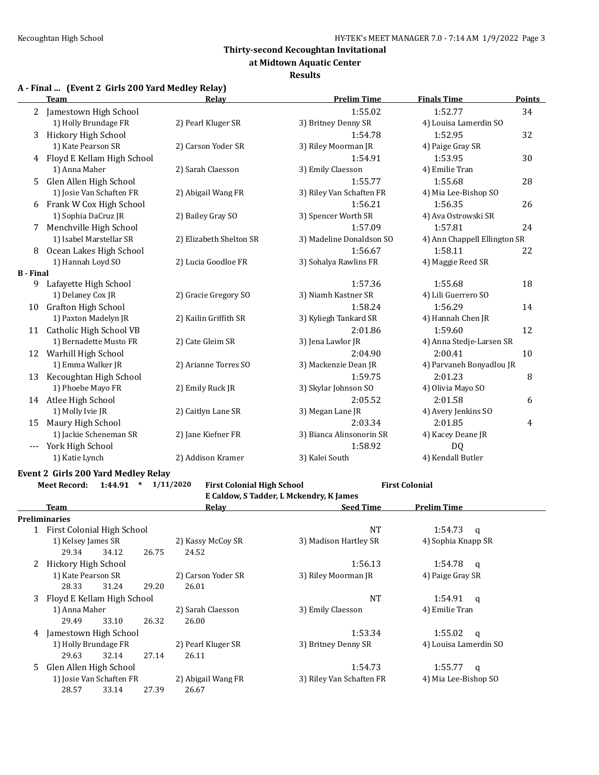**at Midtown Aquatic Center**

#### **Results**

| A - Final  (Event 2 Girls 200 Yard Medley Relay) |  |  |  |  |
|--------------------------------------------------|--|--|--|--|
|--------------------------------------------------|--|--|--|--|

|                     | <b>Team</b>                  | Relay                   | <b>Prelim Time</b>       | <b>Finals Time</b>           | <b>Points</b> |
|---------------------|------------------------------|-------------------------|--------------------------|------------------------------|---------------|
| 2                   | Jamestown High School        |                         | 1:55.02                  | 1:52.77                      | 34            |
|                     | 1) Holly Brundage FR         | 2) Pearl Kluger SR      | 3) Britney Denny SR      | 4) Louisa Lamerdin SO        |               |
| 3                   | Hickory High School          |                         | 1:54.78                  | 1:52.95                      | 32            |
|                     | 1) Kate Pearson SR           | 2) Carson Yoder SR      | 3) Riley Moorman JR      | 4) Paige Gray SR             |               |
|                     | 4 Floyd E Kellam High School |                         | 1:54.91                  | 1:53.95                      | 30            |
|                     | 1) Anna Maher                | 2) Sarah Claesson       | 3) Emily Claesson        | 4) Emilie Tran               |               |
| 5.                  | Glen Allen High School       |                         | 1:55.77                  | 1:55.68                      | 28            |
|                     | 1) Josie Van Schaften FR     | 2) Abigail Wang FR      | 3) Riley Van Schaften FR | 4) Mia Lee-Bishop SO         |               |
| 6                   | Frank W Cox High School      |                         | 1:56.21                  | 1:56.35                      | 26            |
|                     | 1) Sophia DaCruz JR          | 2) Bailey Gray SO       | 3) Spencer Worth SR      | 4) Ava Ostrowski SR          |               |
| 7                   | Menchville High School       |                         | 1:57.09                  | 1:57.81                      | 24            |
|                     | 1) Isabel Marstellar SR      | 2) Elizabeth Shelton SR | 3) Madeline Donaldson SO | 4) Ann Chappell Ellington SR |               |
| 8                   | Ocean Lakes High School      |                         | 1:56.67                  | 1:58.11                      | 22            |
|                     | 1) Hannah Loyd SO            | 2) Lucia Goodloe FR     | 3) Sohalya Rawlins FR    | 4) Maggie Reed SR            |               |
| <b>B</b> - Final    |                              |                         |                          |                              |               |
| 9                   | Lafayette High School        |                         | 1:57.36                  | 1:55.68                      | 18            |
|                     | 1) Delaney Cox JR            | 2) Gracie Gregory SO    | 3) Niamh Kastner SR      | 4) Lili Guerrero SO          |               |
| 10                  | <b>Grafton High School</b>   |                         | 1:58.24                  | 1:56.29                      | 14            |
|                     | 1) Paxton Madelyn JR         | 2) Kailin Griffith SR   | 3) Kyliegh Tankard SR    | 4) Hannah Chen JR            |               |
|                     | 11 Catholic High School VB   |                         | 2:01.86                  | 1:59.60                      | 12            |
|                     | 1) Bernadette Musto FR       | 2) Cate Gleim SR        | 3) Jena Lawlor JR        | 4) Anna Stedje-Larsen SR     |               |
|                     | 12 Warhill High School       |                         | 2:04.90                  | 2:00.41                      | 10            |
|                     | 1) Emma Walker JR            | 2) Arianne Torres SO    | 3) Mackenzie Dean JR     | 4) Parvaneh Bonyadlou JR     |               |
| 13                  | Kecoughtan High School       |                         | 1:59.75                  | 2:01.23                      | 8             |
|                     | 1) Phoebe Mayo FR            | 2) Emily Ruck JR        | 3) Skylar Johnson SO     | 4) Olivia Mayo SO            |               |
|                     | 14 Atlee High School         |                         | 2:05.52                  | 2:01.58                      | 6             |
|                     | 1) Molly Ivie JR             | 2) Caitlyn Lane SR      | 3) Megan Lane JR         | 4) Avery Jenkins SO          |               |
| 15                  | Maury High School            |                         | 2:03.34                  | 2:01.85                      | 4             |
|                     | 1) Jackie Scheneman SR       | 2) Jane Kiefner FR      | 3) Bianca Alinsonorin SR | 4) Kacey Deane JR            |               |
| $\qquad \qquad - -$ | York High School             |                         | 1:58.92                  | DQ                           |               |
|                     | 1) Katie Lynch               | 2) Addison Kramer       | 3) Kalei South           | 4) Kendall Butler            |               |

#### **Event 2 Girls 200 Yard Medley Relay**

**Meet Record: 1:44.91 \* 1/11/2020 First Colonial High School First Colonial**

**E Caldow, S Tadder, L Mckendry, K James**

| Team                       |                            |                          |       | <b>Relav</b>       | <b>Seed Time</b>         | <b>Prelim Time</b>    |  |  |
|----------------------------|----------------------------|--------------------------|-------|--------------------|--------------------------|-----------------------|--|--|
|                            | Preliminaries              |                          |       |                    |                          |                       |  |  |
| First Colonial High School |                            |                          |       | <b>NT</b>          | 1:54.73<br>- a           |                       |  |  |
|                            | 1) Kelsey James SR         |                          |       | 2) Kassy McCoy SR  | 3) Madison Hartley SR    | 4) Sophia Knapp SR    |  |  |
|                            | 29.34                      | 34.12                    | 26.75 | 24.52              |                          |                       |  |  |
| Hickory High School        |                            |                          |       | 1:56.13            | 1:54.78<br><b>q</b>      |                       |  |  |
|                            | 1) Kate Pearson SR         |                          |       | 2) Carson Yoder SR | 3) Riley Moorman JR      | 4) Paige Gray SR      |  |  |
|                            | 28.33                      | 31.24                    | 29.20 | 26.01              |                          |                       |  |  |
| 3                          | Floyd E Kellam High School |                          |       |                    | NT                       | 1:54.91<br>$\alpha$   |  |  |
|                            | 1) Anna Maher              |                          |       | 2) Sarah Claesson  | 3) Emily Claesson        | 4) Emilie Tran        |  |  |
|                            | 29.49                      | 33.10                    | 26.32 | 26.00              |                          |                       |  |  |
| 4                          | Jamestown High School      |                          |       |                    | 1:53.34                  | 1:55.02<br>q          |  |  |
|                            | 1) Holly Brundage FR       |                          |       | 2) Pearl Kluger SR | 3) Britney Denny SR      | 4) Louisa Lamerdin SO |  |  |
|                            | 29.63                      | 32.14                    | 27.14 | 26.11              |                          |                       |  |  |
| 5                          | Glen Allen High School     |                          |       |                    | 1:54.73                  | 1:55.77<br>q          |  |  |
|                            |                            | 1) Josie Van Schaften FR |       | 2) Abigail Wang FR | 3) Riley Van Schaften FR | 4) Mia Lee-Bishop SO  |  |  |
|                            | 28.57                      | 33.14                    | 27.39 | 26.67              |                          |                       |  |  |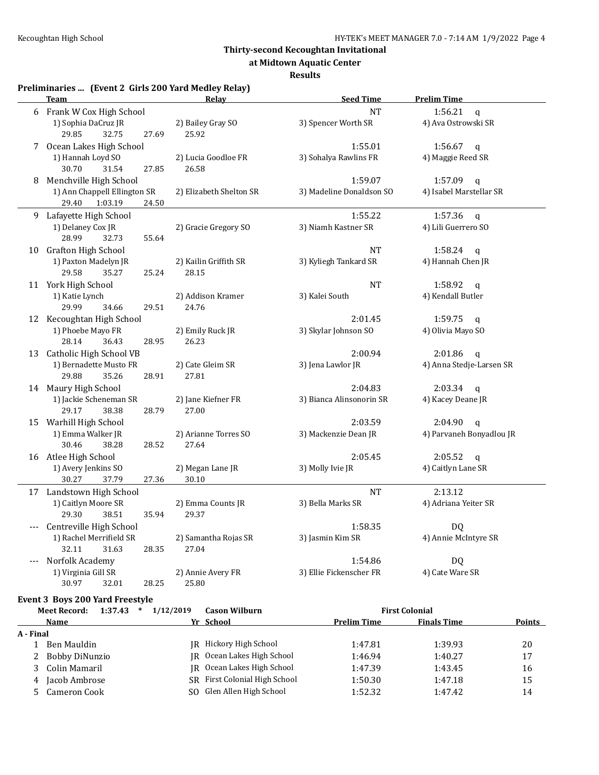**at Midtown Aquatic Center**

#### **Results**

#### **Preliminaries ... (Event 2 Girls 200 Yard Medley Relay)**

|    | <b>Team</b>                                    | Relay                   | <b>Seed Time</b>         | <b>Prelim Time</b>        |
|----|------------------------------------------------|-------------------------|--------------------------|---------------------------|
| 6  | Frank W Cox High School                        |                         | <b>NT</b>                | 1:56.21<br>$\mathsf{q}$   |
|    | 1) Sophia DaCruz JR                            | 2) Bailey Gray SO       | 3) Spencer Worth SR      | 4) Ava Ostrowski SR       |
|    | 29.85<br>32.75<br>27.69                        | 25.92                   |                          |                           |
| 7  | Ocean Lakes High School                        |                         | 1:55.01                  | 1:56.67<br>q              |
|    | 1) Hannah Loyd SO                              | 2) Lucia Goodloe FR     | 3) Sohalya Rawlins FR    | 4) Maggie Reed SR         |
|    | 30.70<br>31.54<br>27.85                        | 26.58                   |                          |                           |
| 8  | Menchville High School                         |                         | 1:59.07                  | 1:57.09<br>$\mathsf{q}$   |
|    | 1) Ann Chappell Ellington SR                   | 2) Elizabeth Shelton SR | 3) Madeline Donaldson SO | 4) Isabel Marstellar SR   |
|    | 29.40<br>1:03.19<br>24.50                      |                         |                          |                           |
| 9  | Lafayette High School                          |                         | 1:55.22                  | 1:57.36<br>$\mathfrak{q}$ |
|    | 1) Delaney Cox JR                              | 2) Gracie Gregory SO    | 3) Niamh Kastner SR      | 4) Lili Guerrero SO       |
|    | 28.99<br>32.73<br>55.64                        |                         |                          |                           |
| 10 | Grafton High School                            |                         | <b>NT</b>                | 1:58.24<br>q              |
|    | 1) Paxton Madelyn JR                           | 2) Kailin Griffith SR   | 3) Kyliegh Tankard SR    | 4) Hannah Chen JR         |
|    | 29.58<br>35.27<br>25.24                        | 28.15                   |                          |                           |
|    | 11 York High School                            |                         | <b>NT</b>                | 1:58.92<br>q              |
|    | 1) Katie Lynch                                 | 2) Addison Kramer       | 3) Kalei South           | 4) Kendall Butler         |
|    | 29.99<br>34.66<br>29.51                        | 24.76                   |                          |                           |
|    | 12 Kecoughtan High School                      |                         | 2:01.45                  | 1:59.75<br>q              |
|    | 1) Phoebe Mayo FR                              | 2) Emily Ruck JR        | 3) Skylar Johnson SO     | 4) Olivia Mayo SO         |
|    | 28.14<br>36.43<br>28.95                        | 26.23                   |                          |                           |
| 13 | Catholic High School VB                        |                         | 2:00.94                  | 2:01.86<br>q              |
|    | 1) Bernadette Musto FR                         | 2) Cate Gleim SR        | 3) Jena Lawlor JR        | 4) Anna Stedje-Larsen SR  |
|    | 29.88<br>35.26<br>28.91                        | 27.81                   |                          |                           |
|    | 14 Maury High School                           |                         | 2:04.83                  | 2:03.34<br>$\mathbf{q}$   |
|    | 1) Jackie Scheneman SR                         | 2) Jane Kiefner FR      | 3) Bianca Alinsonorin SR | 4) Kacey Deane JR         |
|    | 29.17<br>38.38<br>28.79                        | 27.00                   |                          |                           |
| 15 | Warhill High School                            |                         | 2:03.59                  | 2:04.90<br>$\mathsf{q}$   |
|    | 1) Emma Walker JR                              | 2) Arianne Torres SO    | 3) Mackenzie Dean JR     | 4) Parvaneh Bonyadlou JR  |
|    | 30.46<br>38.28<br>28.52                        | 27.64                   |                          |                           |
|    | 16 Atlee High School                           |                         | 2:05.45                  | 2:05.52<br>$\mathbf{q}$   |
|    | 1) Avery Jenkins SO                            | 2) Megan Lane JR        | 3) Molly Ivie JR         | 4) Caitlyn Lane SR        |
|    | 37.79<br>27.36<br>30.27                        | 30.10                   |                          |                           |
| 17 | Landstown High School                          |                         | <b>NT</b>                | 2:13.12                   |
|    | 1) Caitlyn Moore SR                            | 2) Emma Counts JR       | 3) Bella Marks SR        | 4) Adriana Yeiter SR      |
|    | 29.30<br>38.51<br>35.94                        | 29.37                   |                          |                           |
|    | Centreville High School                        |                         | 1:58.35                  | DQ                        |
|    | 1) Rachel Merrifield SR                        | 2) Samantha Rojas SR    | 3) Jasmin Kim SR         | 4) Annie McIntyre SR      |
|    | 32.11<br>31.63<br>28.35                        | 27.04                   |                          |                           |
|    | Norfolk Academy                                |                         | 1:54.86                  | DQ                        |
|    | 1) Virginia Gill SR                            | 2) Annie Avery FR       | 3) Ellie Fickenscher FR  | 4) Cate Ware SR           |
|    | 30.97<br>32.01<br>28.25                        | 25.80                   |                          |                           |
|    |                                                |                         |                          |                           |
|    | <b>Event 3 Boys 200 Yard Freestyle</b>         |                         |                          |                           |
|    | $1:37.43$ * $1/12/2019$<br><b>Meet Record:</b> | <b>Cason Wilburn</b>    |                          | <b>First Colonial</b>     |

| <b>Name</b> |                  | Yr School                     | <b>Prelim Time</b> | <b>Finals Time</b> | Points |  |
|-------------|------------------|-------------------------------|--------------------|--------------------|--------|--|
| A - Final   |                  |                               |                    |                    |        |  |
|             | Ben Mauldin      | IR Hickory High School        | 1:47.81            | 1:39.93            | 20     |  |
|             | 2 Bobby DiNunzio | IR Ocean Lakes High School    | 1:46.94            | 1:40.27            | 17     |  |
|             | 3 Colin Mamaril  | JR Ocean Lakes High School    | 1:47.39            | 1:43.45            | 16     |  |
|             | 4 Jacob Ambrose  | SR First Colonial High School | 1:50.30            | 1:47.18            | 15     |  |
|             | 5 Cameron Cook   | SO Glen Allen High School     | 1:52.32            | 1:47.42            | 14     |  |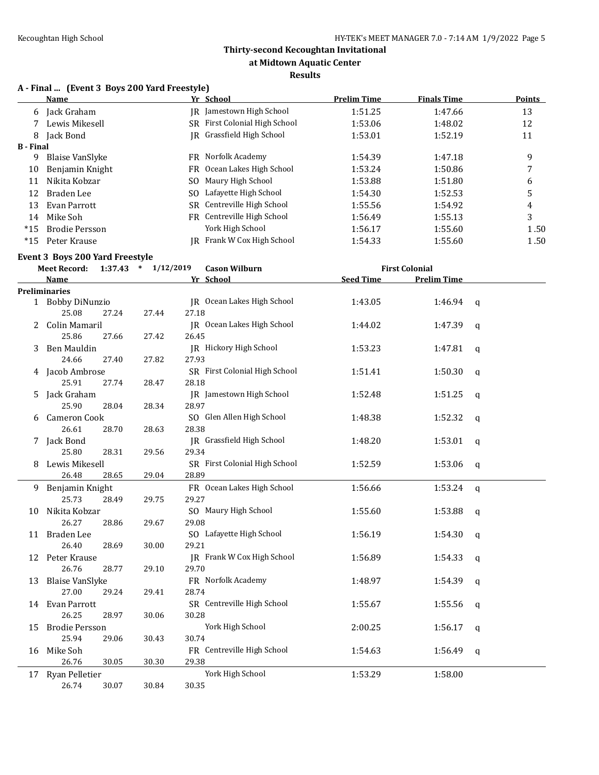### **at Midtown Aquatic Center**

#### **Results**

# **A - Final ... (Event 3 Boys 200 Yard Freestyle)**

|                  | <b>Name</b>                                            |                         |       | Yr School                     | <b>Prelim Time</b> | <b>Finals Time</b>    |   | <b>Points</b> |
|------------------|--------------------------------------------------------|-------------------------|-------|-------------------------------|--------------------|-----------------------|---|---------------|
| 6                | Jack Graham                                            |                         |       | JR Jamestown High School      | 1:51.25            | 1:47.66               |   | 13            |
|                  | Lewis Mikesell                                         |                         |       | SR First Colonial High School | 1:53.06            | 1:48.02               |   | 12            |
| 8                | Jack Bond                                              |                         |       | JR Grassfield High School     | 1:53.01            | 1:52.19               |   | 11            |
| <b>B</b> - Final |                                                        |                         |       |                               |                    |                       |   |               |
| 9                | <b>Blaise VanSlyke</b>                                 |                         |       | FR Norfolk Academy            | 1:54.39            | 1:47.18               |   | 9             |
| 10               | Benjamin Knight                                        |                         |       | FR Ocean Lakes High School    | 1:53.24            | 1:50.86               |   | 7             |
| 11               | Nikita Kobzar                                          |                         |       | SO Maury High School          | 1:53.88            | 1:51.80               |   | 6             |
| 12               | Braden Lee                                             |                         |       | SO Lafayette High School      | 1:54.30            | 1:52.53               |   | 5             |
| 13               | Evan Parrott                                           |                         |       | SR Centreville High School    | 1:55.56            | 1:54.92               |   | 4             |
| 14               | Mike Soh                                               |                         |       | FR Centreville High School    | 1:56.49            | 1:55.13               |   | 3             |
| $*15$            | <b>Brodie Persson</b>                                  |                         |       | York High School              | 1:56.17            | 1:55.60               |   | 1.50          |
| $*15$            | Peter Krause                                           |                         |       | JR Frank W Cox High School    | 1:54.33            | 1:55.60               |   | 1.50          |
|                  |                                                        |                         |       |                               |                    |                       |   |               |
|                  | Event 3 Boys 200 Yard Freestyle<br><b>Meet Record:</b> | $1:37.43$ * $1/12/2019$ |       | <b>Cason Wilburn</b>          |                    | <b>First Colonial</b> |   |               |
|                  | Name                                                   |                         |       | Yr School                     | <b>Seed Time</b>   | <b>Prelim Time</b>    |   |               |
|                  | <b>Preliminaries</b>                                   |                         |       |                               |                    |                       |   |               |
|                  | 1 Bobby DiNunzio                                       |                         |       | JR Ocean Lakes High School    | 1:43.05            | 1:46.94               | q |               |
|                  | 25.08<br>27.24                                         | 27.44                   | 27.18 |                               |                    |                       |   |               |
| 2                | Colin Mamaril                                          |                         |       | JR Ocean Lakes High School    | 1:44.02            | 1:47.39               | q |               |
|                  | 25.86<br>27.66                                         | 27.42                   | 26.45 |                               |                    |                       |   |               |
| 3                | Ben Mauldin                                            |                         |       | JR Hickory High School        | 1:53.23            | 1:47.81               | q |               |
|                  | 24.66<br>27.40                                         | 27.82                   | 27.93 |                               |                    |                       |   |               |
| 4                | Jacob Ambrose                                          |                         |       | SR First Colonial High School | 1:51.41            | 1:50.30               | q |               |
|                  | 25.91<br>27.74                                         | 28.47                   | 28.18 |                               |                    |                       |   |               |
| 5                | Jack Graham                                            |                         |       | JR Jamestown High School      | 1:52.48            | 1:51.25               | q |               |
|                  | 25.90<br>28.04                                         | 28.34                   | 28.97 |                               |                    |                       |   |               |
| 6                | Cameron Cook                                           |                         |       | SO Glen Allen High School     | 1:48.38            | 1:52.32               | q |               |
|                  | 26.61<br>28.70                                         | 28.63                   | 28.38 |                               |                    |                       |   |               |
| 7                | Jack Bond                                              |                         |       | JR Grassfield High School     | 1:48.20            | 1:53.01               | q |               |
|                  | 25.80<br>28.31                                         | 29.56                   | 29.34 |                               |                    |                       |   |               |
| 8                | Lewis Mikesell                                         |                         |       | SR First Colonial High School | 1:52.59            | 1:53.06               | q |               |
|                  | 26.48<br>28.65                                         | 29.04                   | 28.89 |                               |                    |                       |   |               |
| 9                | Benjamin Knight                                        |                         |       | FR Ocean Lakes High School    | 1:56.66            | 1:53.24               | q |               |
|                  | 25.73<br>28.49                                         | 29.75                   | 29.27 |                               |                    |                       |   |               |
| 10               | Nikita Kobzar                                          |                         |       | SO Maury High School          | 1:55.60            | 1:53.88               | q |               |
|                  | 26.27<br>28.86                                         | 29.67                   | 29.08 |                               |                    |                       |   |               |
|                  | 11 Braden Lee                                          |                         |       | SO Lafayette High School      | 1:56.19            | $1:54.30$ q           |   |               |
|                  | 26.40<br>28.69                                         | 30.00                   | 29.21 |                               |                    |                       |   |               |
|                  | 12 Peter Krause                                        |                         |       | JR Frank W Cox High School    | 1:56.89            | 1:54.33               | q |               |
|                  | 26.76<br>28.77                                         | 29.10                   | 29.70 |                               |                    |                       |   |               |
| 13               | <b>Blaise VanSlyke</b>                                 |                         |       | FR Norfolk Academy            | 1:48.97            | 1:54.39               | q |               |
|                  | 27.00<br>29.24                                         | 29.41                   | 28.74 |                               |                    |                       |   |               |
|                  | 14 Evan Parrott                                        |                         |       | SR Centreville High School    | 1:55.67            | 1:55.56               | q |               |
|                  | 26.25<br>28.97                                         | 30.06                   | 30.28 |                               |                    |                       |   |               |
| 15               | <b>Brodie Persson</b>                                  |                         |       | York High School              | 2:00.25            | 1:56.17               | q |               |
|                  | 25.94<br>29.06                                         | 30.43                   | 30.74 |                               |                    |                       |   |               |
| 16               | Mike Soh                                               |                         |       | FR Centreville High School    | 1:54.63            | 1:56.49               | q |               |
|                  | 26.76<br>30.05                                         | 30.30                   | 29.38 |                               |                    |                       |   |               |
|                  | 17 Ryan Pelletier                                      |                         |       | York High School              | 1:53.29            | 1:58.00               |   |               |
|                  | 26.74<br>30.07                                         | 30.84                   | 30.35 |                               |                    |                       |   |               |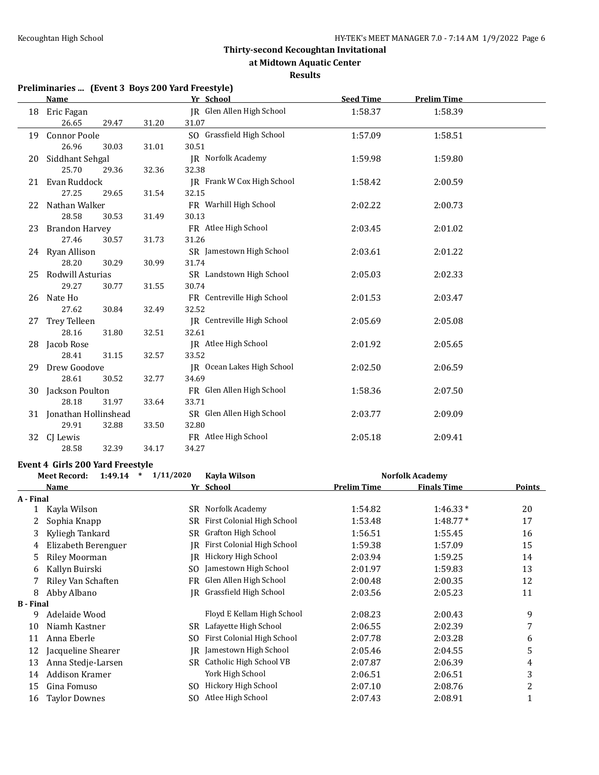**at Midtown Aquatic Center**

#### **Results**

# **Preliminaries ... (Event 3 Boys 200 Yard Freestyle)**

|    | <b>Name</b>             |       | Yr School                  | <b>Seed Time</b> | <b>Prelim Time</b> |  |
|----|-------------------------|-------|----------------------------|------------------|--------------------|--|
| 18 | Eric Fagan              |       | JR Glen Allen High School  | 1:58.37          | 1:58.39            |  |
|    | 26.65<br>29.47          | 31.20 | 31.07                      |                  |                    |  |
| 19 | <b>Connor Poole</b>     |       | SO Grassfield High School  | 1:57.09          | 1:58.51            |  |
|    | 26.96<br>30.03          | 31.01 | 30.51                      |                  |                    |  |
| 20 | Siddhant Sehgal         |       | <b>IR</b> Norfolk Academy  | 1:59.98          | 1:59.80            |  |
|    | 25.70<br>29.36          | 32.36 | 32.38                      |                  |                    |  |
| 21 | Evan Ruddock            |       | JR Frank W Cox High School | 1:58.42          | 2:00.59            |  |
|    | 27.25<br>29.65          | 31.54 | 32.15                      |                  |                    |  |
| 22 | Nathan Walker           |       | FR Warhill High School     | 2:02.22          | 2:00.73            |  |
|    | 28.58<br>30.53          | 31.49 | 30.13                      |                  |                    |  |
| 23 | <b>Brandon Harvey</b>   |       | FR Atlee High School       | 2:03.45          | 2:01.02            |  |
|    | 27.46<br>30.57          | 31.73 | 31.26                      |                  |                    |  |
|    | 24 Ryan Allison         |       | SR Jamestown High School   | 2:03.61          | 2:01.22            |  |
|    | 28.20<br>30.29          | 30.99 | 31.74                      |                  |                    |  |
| 25 | Rodwill Asturias        |       | SR Landstown High School   | 2:05.03          | 2:02.33            |  |
|    | 29.27<br>30.77          | 31.55 | 30.74                      |                  |                    |  |
| 26 | Nate Ho                 |       | FR Centreville High School | 2:01.53          | 2:03.47            |  |
|    | 27.62<br>30.84          | 32.49 | 32.52                      |                  |                    |  |
| 27 | Trey Telleen            |       | JR Centreville High School | 2:05.69          | 2:05.08            |  |
|    | 28.16<br>31.80          | 32.51 | 32.61                      |                  |                    |  |
| 28 | Jacob Rose              |       | JR Atlee High School       | 2:01.92          | 2:05.65            |  |
|    | 28.41<br>31.15          | 32.57 | 33.52                      |                  |                    |  |
| 29 | Drew Goodove            |       | JR Ocean Lakes High School | 2:02.50          | 2:06.59            |  |
|    | 28.61<br>30.52          | 32.77 | 34.69                      |                  |                    |  |
| 30 | Jackson Poulton         |       | FR Glen Allen High School  | 1:58.36          | 2:07.50            |  |
|    | 28.18<br>31.97          | 33.64 | 33.71                      |                  |                    |  |
|    | 31 Jonathan Hollinshead |       | SR Glen Allen High School  | 2:03.77          | 2:09.09            |  |
|    | 29.91<br>32.88          | 33.50 | 32.80                      |                  |                    |  |
| 32 | CJ Lewis                |       | FR Atlee High School       | 2:05.18          | 2:09.41            |  |
|    | 32.39<br>28.58          | 34.17 | 34.27                      |                  |                    |  |

#### **Event 4 Girls 200 Yard Freestyle**

|                  | <b>Meet Record:</b><br>1:49.14<br>$\ast$ | 1/11/2020<br>Kayla Wilson |                            | <b>Norfolk Academy</b> |                    |        |
|------------------|------------------------------------------|---------------------------|----------------------------|------------------------|--------------------|--------|
|                  | Name                                     |                           | Yr School                  | <b>Prelim Time</b>     | <b>Finals Time</b> | Points |
| A - Final        |                                          |                           |                            |                        |                    |        |
|                  | Kayla Wilson                             | SR                        | Norfolk Academy            | 1:54.82                | $1:46.33*$         | 20     |
| 2                | Sophia Knapp                             | SR                        | First Colonial High School | 1:53.48                | $1:48.77*$         | 17     |
| 3                | Kyliegh Tankard                          | SR                        | Grafton High School        | 1:56.51                | 1:55.45            | 16     |
| 4                | Elizabeth Berenguer                      | IR                        | First Colonial High School | 1:59.38                | 1:57.09            | 15     |
| 5                | <b>Riley Moorman</b>                     | IR                        | Hickory High School        | 2:03.94                | 1:59.25            | 14     |
| 6                | Kallyn Buirski                           | SO.                       | Jamestown High School      | 2:01.97                | 1:59.83            | 13     |
|                  | Riley Van Schaften                       | FR                        | Glen Allen High School     | 2:00.48                | 2:00.35            | 12     |
| 8                | Abby Albano                              | IR                        | Grassfield High School     | 2:03.56                | 2:05.23            | 11     |
| <b>B</b> - Final |                                          |                           |                            |                        |                    |        |
| 9                | Adelaide Wood                            |                           | Floyd E Kellam High School | 2:08.23                | 2:00.43            | 9      |
| 10               | Niamh Kastner                            | SR                        | Lafayette High School      | 2:06.55                | 2:02.39            | 7      |
| 11               | Anna Eberle                              | SO.                       | First Colonial High School | 2:07.78                | 2:03.28            | 6      |
| 12               | Jacqueline Shearer                       | IR                        | Jamestown High School      | 2:05.46                | 2:04.55            | 5      |
| 13               | Anna Stedje-Larsen                       | SR                        | Catholic High School VB    | 2:07.87                | 2:06.39            | 4      |
| 14               | Addison Kramer                           |                           | York High School           | 2:06.51                | 2:06.51            | 3      |
| 15               | Gina Fomuso                              | SO.                       | Hickory High School        | 2:07.10                | 2:08.76            | 2      |
| 16               | <b>Taylor Downes</b>                     | SO.                       | Atlee High School          | 2:07.43                | 2:08.91            | 1      |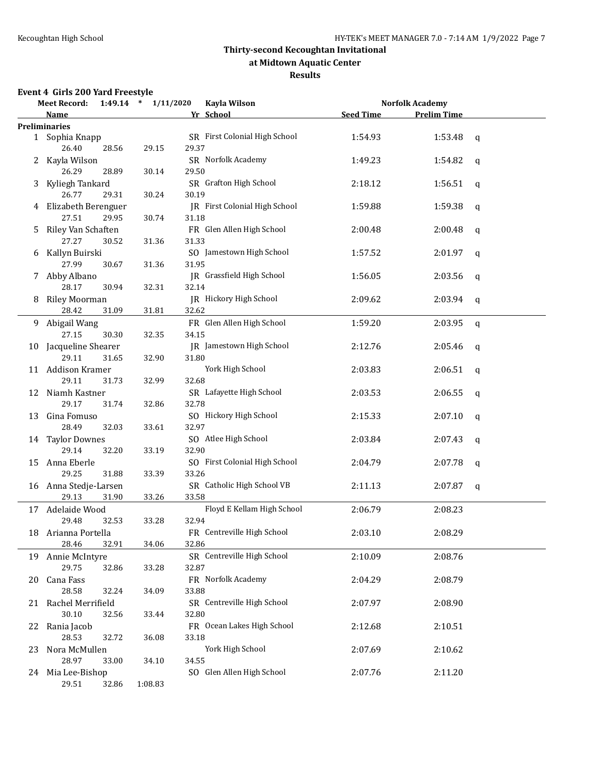### **at Midtown Aquatic Center**

#### **Results**

### **Event 4 Girls 200 Yard Freestyle**

|    | <b>Meet Record:</b>            |       | $1:49.14$ * $1/11/2020$ |       | Kayla Wilson                  |                  | <b>Norfolk Academy</b> |             |
|----|--------------------------------|-------|-------------------------|-------|-------------------------------|------------------|------------------------|-------------|
|    | <b>Name</b>                    |       |                         |       | Yr School                     | <b>Seed Time</b> | <b>Prelim Time</b>     |             |
|    | <b>Preliminaries</b>           |       |                         |       |                               |                  |                        |             |
|    | 1 Sophia Knapp<br>26.40        | 28.56 | 29.15                   | 29.37 | SR First Colonial High School | 1:54.93          | 1:53.48                | q           |
|    | 2 Kayla Wilson<br>26.29        | 28.89 | 30.14                   | 29.50 | SR Norfolk Academy            | 1:49.23          | 1:54.82                | q           |
| 3  | Kyliegh Tankard<br>26.77       | 29.31 | 30.24                   | 30.19 | SR Grafton High School        | 2:18.12          | 1:56.51                | q           |
|    | 4 Elizabeth Berenguer<br>27.51 | 29.95 | 30.74                   | 31.18 | JR First Colonial High School | 1:59.88          | 1:59.38                | q           |
| 5  | Riley Van Schaften<br>27.27    | 30.52 | 31.36                   | 31.33 | FR Glen Allen High School     | 2:00.48          | 2:00.48                | q           |
| 6  | Kallyn Buirski<br>27.99        | 30.67 | 31.36                   | 31.95 | SO Jamestown High School      | 1:57.52          | 2:01.97                | q           |
|    | 7 Abby Albano<br>28.17         | 30.94 |                         | 32.14 | JR Grassfield High School     | 1:56.05          | 2:03.56                | q           |
| 8  | <b>Riley Moorman</b><br>28.42  | 31.09 | 32.31<br>31.81          | 32.62 | <b>IR</b> Hickory High School | 2:09.62          | 2:03.94                | q           |
| 9. | Abigail Wang<br>27.15          | 30.30 | 32.35                   | 34.15 | FR Glen Allen High School     | 1:59.20          | 2:03.95                | $\mathbf q$ |
|    | 10 Jacqueline Shearer<br>29.11 | 31.65 | 32.90                   | 31.80 | JR Jamestown High School      | 2:12.76          | 2:05.46                | q           |
|    | 11 Addison Kramer<br>29.11     | 31.73 | 32.99                   | 32.68 | York High School              | 2:03.83          | 2:06.51                | q           |
| 12 | Niamh Kastner<br>29.17         | 31.74 | 32.86                   | 32.78 | SR Lafayette High School      | 2:03.53          | 2:06.55                | q           |
| 13 | Gina Fomuso<br>28.49           | 32.03 | 33.61                   | 32.97 | SO Hickory High School        | 2:15.33          | 2:07.10                | q           |
|    | 14 Taylor Downes<br>29.14      | 32.20 | 33.19                   | 32.90 | SO Atlee High School          | 2:03.84          | 2:07.43                | q           |
| 15 | Anna Eberle<br>29.25           | 31.88 | 33.39                   | 33.26 | SO First Colonial High School | 2:04.79          | 2:07.78                | q           |
|    | 16 Anna Stedje-Larsen<br>29.13 | 31.90 | 33.26                   | 33.58 | SR Catholic High School VB    | 2:11.13          | 2:07.87                | q           |
|    | 17 Adelaide Wood<br>29.48      | 32.53 | 33.28                   | 32.94 | Floyd E Kellam High School    | 2:06.79          | 2:08.23                |             |
|    | 18 Arianna Portella<br>28.46   | 32.91 | 34.06                   | 32.86 | FR Centreville High School    | 2:03.10          | 2:08.29                |             |
| 19 | Annie McIntyre<br>29.75        | 32.86 | 33.28                   | 32.87 | SR Centreville High School    | 2:10.09          | 2:08.76                |             |
| 20 | Cana Fass<br>28.58             | 32.24 | 34.09                   | 33.88 | FR Norfolk Academy            | 2:04.29          | 2:08.79                |             |
| 21 | Rachel Merrifield<br>30.10     | 32.56 | 33.44                   | 32.80 | SR Centreville High School    | 2:07.97          | 2:08.90                |             |
| 22 | Rania Jacob<br>28.53           | 32.72 | 36.08                   | 33.18 | FR Ocean Lakes High School    | 2:12.68          | 2:10.51                |             |
| 23 | Nora McMullen<br>28.97         | 33.00 | 34.10                   | 34.55 | York High School              | 2:07.69          | 2:10.62                |             |
|    | 24 Mia Lee-Bishop<br>29.51     | 32.86 | 1:08.83                 |       | SO Glen Allen High School     | 2:07.76          | 2:11.20                |             |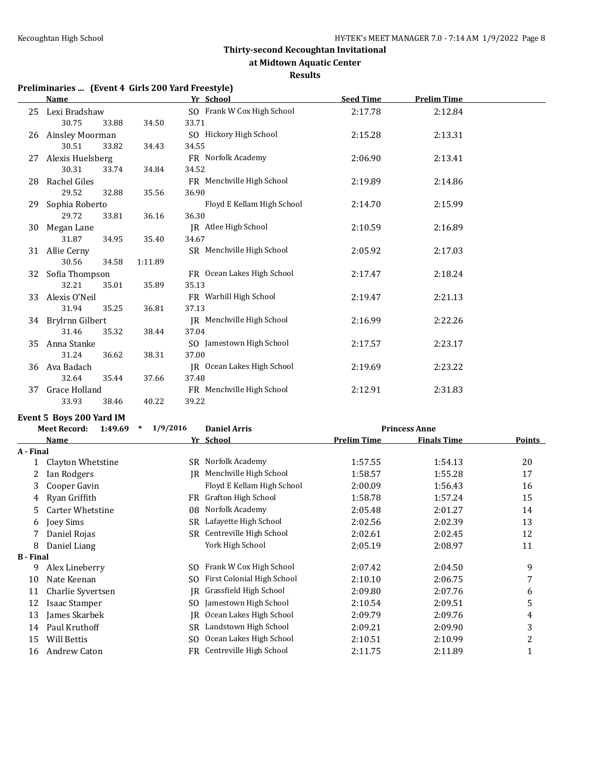#### **at Midtown Aquatic Center**

**Results**

# **Preliminaries ... (Event 4 Girls 200 Yard Freestyle)**

|    | <b>Name</b>              |       |         | Yr School                  | <b>Seed Time</b> | <b>Prelim Time</b> |  |
|----|--------------------------|-------|---------|----------------------------|------------------|--------------------|--|
| 25 | Lexi Bradshaw            |       |         | SO Frank W Cox High School | 2:17.78          | 2:12.84            |  |
|    | 30.75                    | 33.88 | 34.50   | 33.71                      |                  |                    |  |
| 26 | Ainsley Moorman          |       |         | SO Hickory High School     | 2:15.28          | 2:13.31            |  |
|    | 30.51                    | 33.82 | 34.43   | 34.55                      |                  |                    |  |
| 27 | Alexis Huelsberg         |       |         | FR Norfolk Academy         | 2:06.90          | 2:13.41            |  |
|    | 30.31                    | 33.74 | 34.84   | 34.52                      |                  |                    |  |
| 28 | Rachel Giles             |       |         | FR Menchville High School  | 2:19.89          | 2:14.86            |  |
|    | 29.52                    | 32.88 | 35.56   | 36.90                      |                  |                    |  |
| 29 | Sophia Roberto           |       |         | Floyd E Kellam High School | 2:14.70          | 2:15.99            |  |
|    | 29.72                    | 33.81 | 36.16   | 36.30                      |                  |                    |  |
| 30 | Megan Lane               |       |         | JR Atlee High School       | 2:10.59          | 2:16.89            |  |
|    | 31.87                    | 34.95 | 35.40   | 34.67                      |                  |                    |  |
|    | 31 Allie Cerny           |       |         | SR Menchville High School  | 2:05.92          | 2:17.03            |  |
|    | 30.56                    | 34.58 | 1:11.89 |                            |                  |                    |  |
| 32 | Sofia Thompson           |       |         | FR Ocean Lakes High School | 2:17.47          | 2:18.24            |  |
|    | 32.21                    | 35.01 | 35.89   | 35.13                      |                  |                    |  |
| 33 | Alexis O'Neil            |       |         | FR Warhill High School     | 2:19.47          | 2:21.13            |  |
|    | 31.94                    | 35.25 | 36.81   | 37.13                      |                  |                    |  |
|    | 34 Brylrnn Gilbert       |       |         | IR Menchville High School  | 2:16.99          | 2:22.26            |  |
|    | 31.46                    | 35.32 | 38.44   | 37.04                      |                  |                    |  |
| 35 | Anna Stanke              |       |         | SO Jamestown High School   | 2:17.57          | 2:23.17            |  |
|    | 31.24                    | 36.62 | 38.31   | 37.00                      |                  |                    |  |
| 36 | Ava Badach               |       |         | JR Ocean Lakes High School | 2:19.69          | 2:23.22            |  |
|    | 32.64                    | 35.44 | 37.66   | 37.48                      |                  |                    |  |
| 37 | Grace Holland            |       |         | FR Menchville High School  | 2:12.91          | 2:31.83            |  |
|    | 33.93                    | 38.46 | 40.22   | 39.22                      |                  |                    |  |
|    | Event 5 Boys 200 Yard IM |       |         |                            |                  |                    |  |

|                  | 1:49.69<br>$\ast$<br><b>Meet Record:</b> | 1/9/2016 | <b>Daniel Arris</b>        |             | <b>Princess Anne</b> |               |
|------------------|------------------------------------------|----------|----------------------------|-------------|----------------------|---------------|
|                  | Name                                     |          | Yr School                  | Prelim Time | <b>Finals Time</b>   | <b>Points</b> |
| A - Final        |                                          |          |                            |             |                      |               |
|                  | Clayton Whetstine                        | SR       | Norfolk Academy            | 1:57.55     | 1:54.13              | 20            |
| 2                | Ian Rodgers                              | IR       | Menchville High School     | 1:58.57     | 1:55.28              | 17            |
| 3                | Cooper Gavin                             |          | Floyd E Kellam High School | 2:00.09     | 1:56.43              | 16            |
| 4                | Ryan Griffith                            | FR       | Grafton High School        | 1:58.78     | 1:57.24              | 15            |
| 5.               | Carter Whetstine                         | 08       | Norfolk Academy            | 2:05.48     | 2:01.27              | 14            |
| 6                | Joey Sims                                | SR       | Lafayette High School      | 2:02.56     | 2:02.39              | 13            |
| 7                | Daniel Rojas                             | SR       | Centreville High School    | 2:02.61     | 2:02.45              | 12            |
| 8                | Daniel Liang                             |          | York High School           | 2:05.19     | 2:08.97              | 11            |
| <b>B</b> - Final |                                          |          |                            |             |                      |               |
| 9                | Alex Lineberry                           | SO.      | Frank W Cox High School    | 2:07.42     | 2:04.50              | 9             |
| 10               | Nate Keenan                              | SO.      | First Colonial High School | 2:10.10     | 2:06.75              | 7             |
| 11               | Charlie Syvertsen                        | IR.      | Grassfield High School     | 2:09.80     | 2:07.76              | 6             |
| 12               | Isaac Stamper                            | SO.      | Jamestown High School      | 2:10.54     | 2:09.51              | 5             |
| 13               | James Skarbek                            | IR       | Ocean Lakes High School    | 2:09.79     | 2:09.76              | 4             |
| 14               | Paul Kruthoff                            | SR       | Landstown High School      | 2:09.21     | 2:09.90              | 3             |
| 15               | <b>Will Bettis</b>                       | SO.      | Ocean Lakes High School    | 2:10.51     | 2:10.99              | 2             |
| 16               | Andrew Caton                             |          | FR Centreville High School | 2:11.75     | 2:11.89              |               |
|                  |                                          |          |                            |             |                      |               |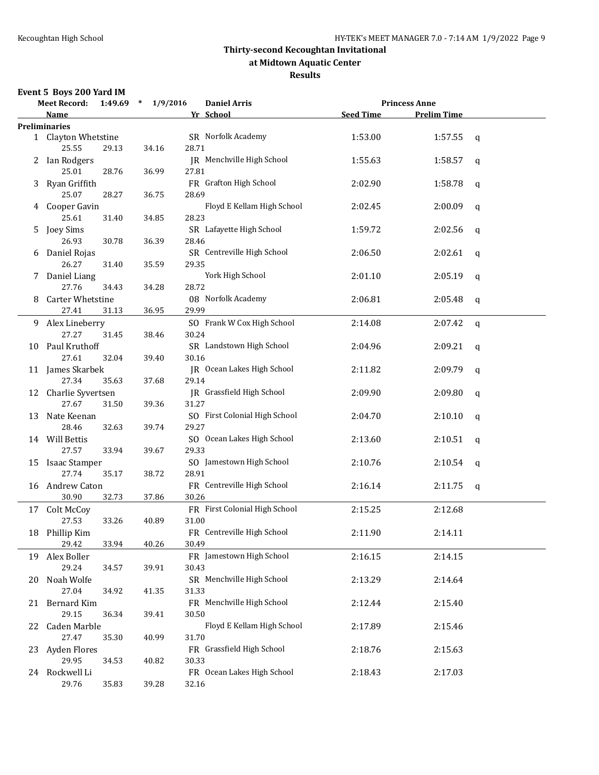### **at Midtown Aquatic Center**

### **Results**

### **Event 5 Boys 200 Yard IM**

|    | <b>Meet Record:</b>                |                | 1:49.69 * 1/9/2016 |                | <b>Daniel Arris</b>           |                  | <b>Princess Anne</b> |             |
|----|------------------------------------|----------------|--------------------|----------------|-------------------------------|------------------|----------------------|-------------|
|    | <b>Name</b>                        |                |                    |                | Yr School                     | <b>Seed Time</b> | <b>Prelim Time</b>   |             |
|    | <b>Preliminaries</b>               |                |                    |                |                               |                  |                      |             |
|    | 1 Clayton Whetstine<br>25.55       | 29.13          | 34.16              | 28.71          | SR Norfolk Academy            | 1:53.00          | 1:57.55              | $\mathbf q$ |
| 2  | Ian Rodgers<br>25.01               | 28.76          | 36.99              | 27.81          | JR Menchville High School     | 1:55.63          | 1:58.57              | $\mathbf q$ |
| 3  | Ryan Griffith<br>25.07             | 28.27          | 36.75              | 28.69          | FR Grafton High School        | 2:02.90          | 1:58.78              | q           |
|    | 4 Cooper Gavin                     |                |                    |                | Floyd E Kellam High School    | 2:02.45          | 2:00.09              | $\mathbf q$ |
| 5  | 25.61<br>Joey Sims                 | 31.40          | 34.85              | 28.23          | SR Lafayette High School      | 1:59.72          | 2:02.56              | q           |
|    | 26.93<br>6 Daniel Rojas            | 30.78          | 36.39              | 28.46          | SR Centreville High School    | 2:06.50          | 2:02.61              | q           |
|    | 26.27<br>7 Daniel Liang            | 31.40          | 35.59              | 29.35          | York High School              | 2:01.10          | 2:05.19              | q           |
| 8  | 27.76<br>Carter Whetstine<br>27.41 | 34.43<br>31.13 | 34.28<br>36.95     | 28.72<br>29.99 | 08 Norfolk Academy            | 2:06.81          | 2:05.48              | q           |
|    | 9 Alex Lineberry<br>27.27          | 31.45          | 38.46              | 30.24          | SO Frank W Cox High School    | 2:14.08          | 2:07.42              | q           |
|    | 10 Paul Kruthoff<br>27.61          | 32.04          | 39.40              | 30.16          | SR Landstown High School      | 2:04.96          | 2:09.21              | q           |
|    | 11 James Skarbek<br>27.34          | 35.63          | 37.68              | 29.14          | JR Ocean Lakes High School    | 2:11.82          | 2:09.79              | q           |
|    | 12 Charlie Syvertsen<br>27.67      | 31.50          | 39.36              | 31.27          | JR Grassfield High School     | 2:09.90          | 2:09.80              | q           |
| 13 | Nate Keenan<br>28.46               | 32.63          | 39.74              | 29.27          | SO First Colonial High School | 2:04.70          | 2:10.10              | q           |
|    | 14 Will Bettis<br>27.57            | 33.94          | 39.67              | 29.33          | SO Ocean Lakes High School    | 2:13.60          | 2:10.51              | q           |
| 15 | Isaac Stamper<br>27.74             | 35.17          | 38.72              | 28.91          | SO Jamestown High School      | 2:10.76          | 2:10.54              | q           |
|    | 16 Andrew Caton<br>30.90           | 32.73          | 37.86              | 30.26          | FR Centreville High School    | 2:16.14          | 2:11.75              | q           |
|    | 17 Colt McCoy<br>27.53             | 33.26          | 40.89              | 31.00          | FR First Colonial High School | 2:15.25          | 2:12.68              |             |
|    | 18 Phillip Kim<br>29.42            | 33.94          | 40.26              | 30.49          | FR Centreville High School    | 2:11.90          | 2:14.11              |             |
|    | 19 Alex Boller<br>29.24            |                |                    | 30.43          | FR Jamestown High School      | 2:16.15          | 2:14.15              |             |
| 20 | Noah Wolfe                         | 34.57          | 39.91              |                | SR Menchville High School     | 2:13.29          | 2:14.64              |             |
|    | 27.04<br>21 Bernard Kim<br>29.15   | 34.92<br>36.34 | 41.35<br>39.41     | 31.33<br>30.50 | FR Menchville High School     | 2:12.44          | 2:15.40              |             |
| 22 | Caden Marble                       |                |                    |                | Floyd E Kellam High School    | 2:17.89          | 2:15.46              |             |
|    | 27.47<br>23 Ayden Flores           | 35.30          | 40.99              | 31.70          | FR Grassfield High School     | 2:18.76          | 2:15.63              |             |
|    | 29.95<br>24 Rockwell Li<br>29.76   | 34.53<br>35.83 | 40.82<br>39.28     | 30.33<br>32.16 | FR Ocean Lakes High School    | 2:18.43          | 2:17.03              |             |
|    |                                    |                |                    |                |                               |                  |                      |             |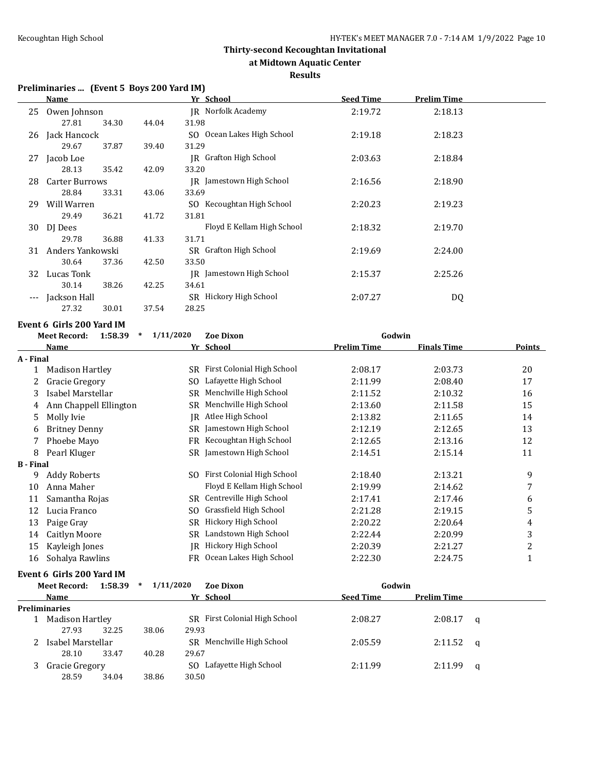**at Midtown Aquatic Center**

#### **Results**

### **Preliminaries ... (Event 5 Boys 200 Yard IM)**

|                        | <u>Name</u>                                  |               | Yr School                     | <b>Seed Time</b>   | <b>Prelim Time</b> |               |
|------------------------|----------------------------------------------|---------------|-------------------------------|--------------------|--------------------|---------------|
|                        | 25 Owen Johnson                              |               | JR Norfolk Academy            | 2:19.72            | 2:18.13            |               |
|                        | 27.81<br>34.30                               | 44.04         | 31.98                         |                    |                    |               |
| 26                     | Jack Hancock                                 |               | SO Ocean Lakes High School    | 2:19.18            | 2:18.23            |               |
|                        | 29.67<br>37.87                               | 39.40         | 31.29                         |                    |                    |               |
|                        | 27 Jacob Loe                                 |               | <b>JR</b> Grafton High School | 2:03.63            | 2:18.84            |               |
|                        | 28.13<br>35.42                               | 42.09         | 33.20                         |                    |                    |               |
| 28                     | <b>Carter Burrows</b>                        |               | JR Jamestown High School      | 2:16.56            | 2:18.90            |               |
|                        | 28.84<br>33.31                               | 43.06         | 33.69                         |                    |                    |               |
|                        | 29 Will Warren                               |               | SO Kecoughtan High School     | 2:20.23            | 2:19.23            |               |
|                        | 29.49<br>36.21                               | 41.72         | 31.81                         |                    |                    |               |
|                        | 30 DJ Dees                                   |               | Floyd E Kellam High School    | 2:18.32            | 2:19.70            |               |
|                        | 29.78<br>36.88                               | 41.33         | 31.71                         |                    |                    |               |
|                        | 31 Anders Yankowski                          |               | SR Grafton High School        | 2:19.69            | 2:24.00            |               |
|                        | 30.64<br>37.36                               | 42.50         | 33.50                         |                    |                    |               |
|                        | 32 Lucas Tonk                                |               | IR Jamestown High School      | 2:15.37            | 2:25.26            |               |
|                        | 30.14<br>38.26                               | 42.25         | 34.61                         |                    |                    |               |
| $---$                  | Jackson Hall                                 |               | SR Hickory High School        | 2:07.27            | <b>DQ</b>          |               |
|                        | 27.32<br>30.01                               | 37.54         | 28.25                         |                    |                    |               |
|                        | Event 6  Girls 200 Yard IM                   |               |                               |                    |                    |               |
|                        | 1:58.39<br><b>Meet Record:</b>               | $*$ 1/11/2020 | <b>Zoe Dixon</b>              | Godwin             |                    |               |
|                        | Name                                         |               | Yr School                     | <b>Prelim Time</b> | <b>Finals Time</b> | <b>Points</b> |
| A - Final              |                                              |               |                               |                    |                    |               |
|                        |                                              |               |                               |                    |                    |               |
|                        | 1 Madison Hartley                            |               | SR First Colonial High School | 2:08.17            | 2:03.73            | 20            |
| 2                      | <b>Gracie Gregory</b>                        |               | SO Lafayette High School      | 2:11.99            | 2:08.40            | 17            |
| 3                      | Isabel Marstellar                            |               | SR Menchville High School     | 2:11.52            | 2:10.32            | 16            |
| 4                      | Ann Chappell Ellington                       |               | SR Menchville High School     | 2:13.60            | 2:11.58            | 15            |
| 5                      | Molly Ivie                                   |               | JR Atlee High School          | 2:13.82            | 2:11.65            | 14            |
| 6                      | <b>Britney Denny</b>                         |               | SR Jamestown High School      | 2:12.19            | 2:12.65            | 13            |
| 7                      | Phoebe Mayo                                  |               | FR Kecoughtan High School     | 2:12.65            | 2:13.16            | 12            |
| 8                      | Pearl Kluger                                 |               | SR Jamestown High School      | 2:14.51            | 2:15.14            | 11            |
|                        |                                              |               |                               |                    |                    |               |
| 9                      | <b>Addy Roberts</b>                          |               | SO First Colonial High School | 2:18.40            | 2:13.21            | 9             |
| 10                     | Anna Maher                                   |               | Floyd E Kellam High School    | 2:19.99            | 2:14.62            | 7             |
| <b>B</b> - Final<br>11 | Samantha Rojas                               |               | SR Centreville High School    | 2:17.41            | 2:17.46            | 6             |
| 12                     | Lucia Franco                                 |               | SO Grassfield High School     | 2:21.28            | 2:19.15            | 5             |
| 13                     | Paige Gray                                   |               | SR Hickory High School        | 2:20.22            | 2:20.64            | $\pmb{4}$     |
| 14                     | Caitlyn Moore                                |               | SR Landstown High School      | 2:22.44            | 2:20.99            | $\sqrt{3}$    |
| 15                     | Kayleigh Jones                               |               | JR Hickory High School        | 2:20.39            | 2:21.27            | $\sqrt{2}$    |
| 16                     | Sohalya Rawlins<br>Event 6 Girls 200 Yard IM |               | FR Ocean Lakes High School    | 2:22.30            | 2:24.75            | $\mathbf{1}$  |

|  | <b>Meet Record:</b>  | $1:58.39$ * | 1/11/2020 | <b>Zoe Dixon</b>              | Godwin           |                    |          |
|--|----------------------|-------------|-----------|-------------------------------|------------------|--------------------|----------|
|  | Name                 |             |           | Yr School                     | <b>Seed Time</b> | <b>Prelim Time</b> |          |
|  | <b>Preliminaries</b> |             |           |                               |                  |                    |          |
|  | Madison Hartley      |             |           | SR First Colonial High School | 2:08.27          | 2:08.17            | a        |
|  | 27.93                | 32.25       | 38.06     | 29.93                         |                  |                    |          |
|  | Isabel Marstellar    |             |           | SR Menchville High School     | 2:05.59          | 2:11.52            | <b>a</b> |
|  | 28.10                | 33.47       | 40.28     | 29.67                         |                  |                    |          |
|  | Gracie Gregory       |             |           | Lafayette High School<br>SO.  | 2:11.99          | 2:11.99            | a        |
|  | 28.59                | 34.04       | 38.86     | 30.50                         |                  |                    |          |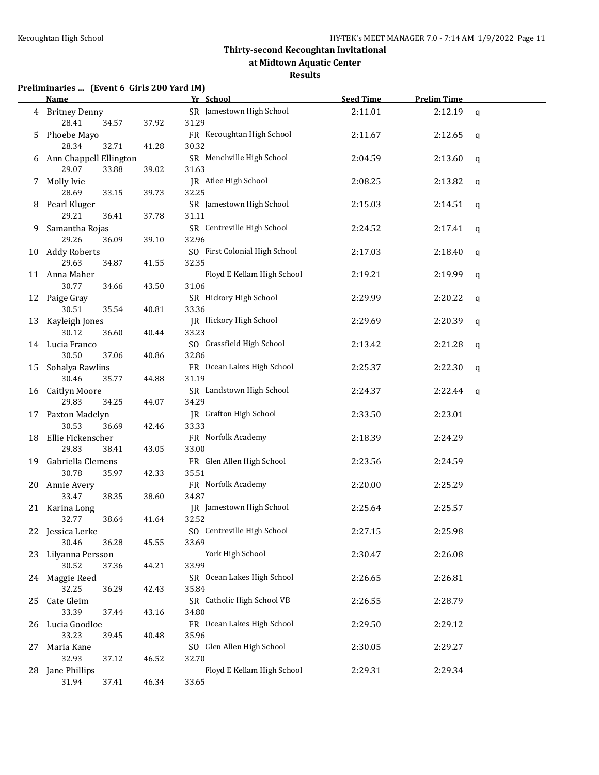**at Midtown Aquatic Center**

#### **Results**

| Preliminaries  (Event 6 Girls 200 Yard IM) |  |  |
|--------------------------------------------|--|--|
|                                            |  |  |

|     | <b>Name</b>                              |       | Yr School                           | <b>Seed Time</b> | <b>Prelim Time</b> |              |
|-----|------------------------------------------|-------|-------------------------------------|------------------|--------------------|--------------|
|     | 4 Britney Denny<br>28.41<br>34.57        | 37.92 | SR Jamestown High School<br>31.29   | 2:11.01          | 2:12.19            | $\mathsf{q}$ |
| 5   | Phoebe Mayo<br>28.34<br>32.71            | 41.28 | FR Kecoughtan High School<br>30.32  | 2:11.67          | 2:12.65            | q            |
| 6   | Ann Chappell Ellington<br>29.07<br>33.88 | 39.02 | SR Menchville High School<br>31.63  | 2:04.59          | 2:13.60            | q            |
| 7   | Molly Ivie                               |       | JR Atlee High School                | 2:08.25          | 2:13.82            | q            |
| 8   | 28.69<br>33.15<br>Pearl Kluger           | 39.73 | 32.25<br>SR Jamestown High School   | 2:15.03          | 2:14.51            | q            |
|     | 29.21<br>36.41                           | 37.78 | 31.11<br>SR Centreville High School | 2:24.52          |                    |              |
|     | 9 Samantha Rojas<br>29.26<br>36.09       | 39.10 | 32.96                               |                  | 2:17.41            | $\mathsf{q}$ |
|     | 10 Addy Roberts                          |       | SO First Colonial High School       | 2:17.03          | 2:18.40            |              |
|     | 29.63<br>34.87                           | 41.55 | 32.35                               |                  |                    | q            |
|     | 11 Anna Maher                            |       | Floyd E Kellam High School          | 2:19.21          | 2:19.99            | q            |
|     | 30.77<br>34.66                           | 43.50 | 31.06                               |                  |                    |              |
|     | 12 Paige Gray                            |       | SR Hickory High School              | 2:29.99          | 2:20.22            | $\mathbf q$  |
|     | 30.51<br>35.54                           | 40.81 | 33.36                               |                  |                    |              |
| 13  | Kayleigh Jones                           |       | JR Hickory High School              | 2:29.69          | 2:20.39            | $\mathbf q$  |
|     | 30.12<br>36.60                           | 40.44 | 33.23                               |                  |                    |              |
|     | 14 Lucia Franco                          |       | SO Grassfield High School           | 2:13.42          | 2:21.28            | q            |
|     | 30.50<br>37.06                           | 40.86 | 32.86                               |                  |                    |              |
|     | 15 Sohalya Rawlins                       |       | FR Ocean Lakes High School          | 2:25.37          | 2:22.30            | q            |
|     | 30.46<br>35.77                           | 44.88 | 31.19                               |                  |                    |              |
|     | 16 Caitlyn Moore                         |       | SR Landstown High School            | 2:24.37          | 2:22.44            | q            |
|     | 29.83<br>34.25                           | 44.07 | 34.29                               |                  |                    |              |
|     | 17 Paxton Madelyn                        |       | JR Grafton High School              | 2:33.50          | 2:23.01            |              |
|     | 30.53<br>36.69                           | 42.46 | 33.33                               |                  |                    |              |
| 18  | Ellie Fickenscher                        |       | FR Norfolk Academy                  | 2:18.39          | 2:24.29            |              |
|     | 29.83<br>38.41                           | 43.05 | 33.00                               |                  |                    |              |
|     | 19 Gabriella Clemens                     |       | FR Glen Allen High School           | 2:23.56          | 2:24.59            |              |
|     | 30.78<br>35.97                           | 42.33 | 35.51                               |                  |                    |              |
|     | 20 Annie Avery                           |       | FR Norfolk Academy                  | 2:20.00          | 2:25.29            |              |
|     | 33.47<br>38.35                           | 38.60 | 34.87                               |                  |                    |              |
|     | 21 Karina Long                           |       | JR Jamestown High School            | 2:25.64          | 2:25.57            |              |
|     | 32.77<br>38.64                           | 41.64 | 32.52                               |                  |                    |              |
|     | 22 Jessica Lerke                         |       | SO Centreville High School          | 2:27.15          | 2:25.98            |              |
|     | 30.46<br>36.28                           | 45.55 | 33.69                               |                  |                    |              |
|     | 23 Lilyanna Persson                      |       | York High School                    | 2:30.47          | 2:26.08            |              |
|     | 30.52<br>37.36                           | 44.21 | 33.99                               |                  |                    |              |
|     | 24 Maggie Reed                           |       | SR Ocean Lakes High School          | 2:26.65          | 2:26.81            |              |
|     | 32.25<br>36.29                           | 42.43 | 35.84                               |                  |                    |              |
| 25. | Cate Gleim                               |       | SR Catholic High School VB          | 2:26.55          | 2:28.79            |              |
|     | 33.39<br>37.44                           | 43.16 | 34.80                               |                  |                    |              |
| 26  | Lucia Goodloe                            |       | FR Ocean Lakes High School          | 2:29.50          | 2:29.12            |              |
|     | 33.23<br>39.45                           | 40.48 | 35.96                               |                  |                    |              |
| 27  | Maria Kane                               |       | SO Glen Allen High School           | 2:30.05          | 2:29.27            |              |
|     | 32.93<br>37.12                           | 46.52 | 32.70                               |                  |                    |              |
| 28  | Jane Phillips                            |       | Floyd E Kellam High School          | 2:29.31          | 2:29.34            |              |
|     | 31.94<br>37.41                           | 46.34 | 33.65                               |                  |                    |              |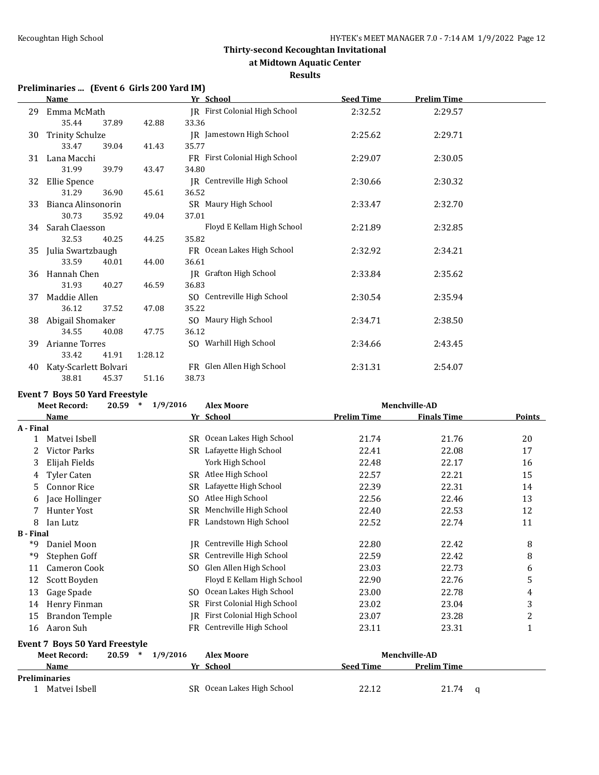**at Midtown Aquatic Center**

#### **Results**

# **Preliminaries ... (Event 6 Girls 200 Yard IM)**

|    | <b>Name</b>            |       |         | Yr School                     | <b>Seed Time</b> | <b>Prelim Time</b> |  |
|----|------------------------|-------|---------|-------------------------------|------------------|--------------------|--|
| 29 | Emma McMath            |       |         | JR First Colonial High School | 2:32.52          | 2:29.57            |  |
|    | 35.44                  | 37.89 | 42.88   | 33.36                         |                  |                    |  |
| 30 | <b>Trinity Schulze</b> |       |         | JR Jamestown High School      | 2:25.62          | 2:29.71            |  |
|    | 33.47                  | 39.04 | 41.43   | 35.77                         |                  |                    |  |
| 31 | Lana Macchi            |       |         | FR First Colonial High School | 2:29.07          | 2:30.05            |  |
|    | 31.99                  | 39.79 | 43.47   | 34.80                         |                  |                    |  |
| 32 | Ellie Spence           |       |         | IR Centreville High School    | 2:30.66          | 2:30.32            |  |
|    | 31.29                  | 36.90 | 45.61   | 36.52                         |                  |                    |  |
| 33 | Bianca Alinsonorin     |       |         | SR Maury High School          | 2:33.47          | 2:32.70            |  |
|    | 30.73                  | 35.92 | 49.04   | 37.01                         |                  |                    |  |
| 34 | Sarah Claesson         |       |         | Floyd E Kellam High School    | 2:21.89          | 2:32.85            |  |
|    | 32.53                  | 40.25 | 44.25   | 35.82                         |                  |                    |  |
| 35 | Julia Swartzbaugh      |       |         | FR Ocean Lakes High School    | 2:32.92          | 2:34.21            |  |
|    | 33.59                  | 40.01 | 44.00   | 36.61                         |                  |                    |  |
| 36 | Hannah Chen            |       |         | <b>IR</b> Grafton High School | 2:33.84          | 2:35.62            |  |
|    | 31.93                  | 40.27 | 46.59   | 36.83                         |                  |                    |  |
| 37 | Maddie Allen           |       |         | SO Centreville High School    | 2:30.54          | 2:35.94            |  |
|    | 36.12                  | 37.52 | 47.08   | 35.22                         |                  |                    |  |
| 38 | Abigail Shomaker       |       |         | SO Maury High School          | 2:34.71          | 2:38.50            |  |
|    | 34.55                  | 40.08 | 47.75   | 36.12                         |                  |                    |  |
| 39 | Arianne Torres         |       |         | SO Warhill High School        | 2:34.66          | 2:43.45            |  |
|    | 33.42                  | 41.91 | 1:28.12 |                               |                  |                    |  |
| 40 | Katy-Scarlett Bolvari  |       |         | FR Glen Allen High School     | 2:31.31          | 2:54.07            |  |
|    | 38.81                  | 45.37 | 51.16   | 38.73                         |                  |                    |  |

#### **Event 7 Boys 50 Yard Freestyle**

|                  | <b>Meet Record:</b>                   | $\ast$          |           |                            |                    | 20.59                |                |  |  |  |  |  |  |  |  |  |  | 1/9/2016 | <b>Alex Moore</b> | Menchville-AD |  |
|------------------|---------------------------------------|-----------------|-----------|----------------------------|--------------------|----------------------|----------------|--|--|--|--|--|--|--|--|--|--|----------|-------------------|---------------|--|
|                  | Name                                  |                 |           | Yr School                  | <b>Prelim Time</b> | <b>Finals Time</b>   | <b>Points</b>  |  |  |  |  |  |  |  |  |  |  |          |                   |               |  |
| A - Final        |                                       |                 |           |                            |                    |                      |                |  |  |  |  |  |  |  |  |  |  |          |                   |               |  |
| $\mathbf{1}$     | Matvei Isbell                         |                 | SR        | Ocean Lakes High School    | 21.74              | 21.76                | 20             |  |  |  |  |  |  |  |  |  |  |          |                   |               |  |
|                  | <b>Victor Parks</b>                   |                 | SR.       | Lafayette High School      | 22.41              | 22.08                | 17             |  |  |  |  |  |  |  |  |  |  |          |                   |               |  |
| 3                | Elijah Fields                         |                 |           | York High School           | 22.48              | 22.17                | 16             |  |  |  |  |  |  |  |  |  |  |          |                   |               |  |
| 4                | Tyler Caten                           |                 | SR.       | Atlee High School          | 22.57              | 22.21                | 15             |  |  |  |  |  |  |  |  |  |  |          |                   |               |  |
| 5.               | <b>Connor Rice</b>                    |                 | <b>SR</b> | Lafayette High School      | 22.39              | 22.31                | 14             |  |  |  |  |  |  |  |  |  |  |          |                   |               |  |
| 6                | Jace Hollinger                        |                 | SO.       | Atlee High School          | 22.56              | 22.46                | 13             |  |  |  |  |  |  |  |  |  |  |          |                   |               |  |
|                  | <b>Hunter Yost</b>                    |                 | <b>SR</b> | Menchville High School     | 22.40              | 22.53                | 12             |  |  |  |  |  |  |  |  |  |  |          |                   |               |  |
| 8                | Ian Lutz                              |                 | <b>FR</b> | Landstown High School      | 22.52              | 22.74                | 11             |  |  |  |  |  |  |  |  |  |  |          |                   |               |  |
| <b>B</b> - Final |                                       |                 |           |                            |                    |                      |                |  |  |  |  |  |  |  |  |  |  |          |                   |               |  |
| *9               | Daniel Moon                           |                 | IR        | Centreville High School    | 22.80              | 22.42                | 8              |  |  |  |  |  |  |  |  |  |  |          |                   |               |  |
| *9               | Stephen Goff                          |                 | <b>SR</b> | Centreville High School    | 22.59              | 22.42                | 8              |  |  |  |  |  |  |  |  |  |  |          |                   |               |  |
| 11               | Cameron Cook                          |                 | SO.       | Glen Allen High School     | 23.03              | 22.73                | 6              |  |  |  |  |  |  |  |  |  |  |          |                   |               |  |
| 12               | Scott Boyden                          |                 |           | Floyd E Kellam High School | 22.90              | 22.76                | 5              |  |  |  |  |  |  |  |  |  |  |          |                   |               |  |
| 13               | Gage Spade                            |                 | SO.       | Ocean Lakes High School    | 23.00              | 22.78                | 4              |  |  |  |  |  |  |  |  |  |  |          |                   |               |  |
| 14               | Henry Finman                          |                 | SR.       | First Colonial High School | 23.02              | 23.04                | 3              |  |  |  |  |  |  |  |  |  |  |          |                   |               |  |
| 15               | <b>Brandon Temple</b>                 |                 | IR        | First Colonial High School | 23.07              | 23.28                | $\overline{c}$ |  |  |  |  |  |  |  |  |  |  |          |                   |               |  |
| 16               | Aaron Suh                             |                 | FR        | Centreville High School    | 23.11              | 23.31                | $\mathbf{1}$   |  |  |  |  |  |  |  |  |  |  |          |                   |               |  |
|                  | <b>Event 7 Boys 50 Yard Freestyle</b> |                 |           |                            |                    |                      |                |  |  |  |  |  |  |  |  |  |  |          |                   |               |  |
|                  | <b>Meet Record:</b>                   | 20.59<br>$\ast$ | 1/9/2016  | <b>Alex Moore</b>          |                    | <b>Menchville-AD</b> |                |  |  |  |  |  |  |  |  |  |  |          |                   |               |  |
|                  | Name                                  |                 |           | Yr School                  | <b>Seed Time</b>   | <b>Prelim Time</b>   |                |  |  |  |  |  |  |  |  |  |  |          |                   |               |  |
|                  | <b>Preliminaries</b>                  |                 |           |                            |                    |                      |                |  |  |  |  |  |  |  |  |  |  |          |                   |               |  |
| 1                | Matvei Isbell                         |                 |           | SR Ocean Lakes High School | 22.12              | 21.74                | q              |  |  |  |  |  |  |  |  |  |  |          |                   |               |  |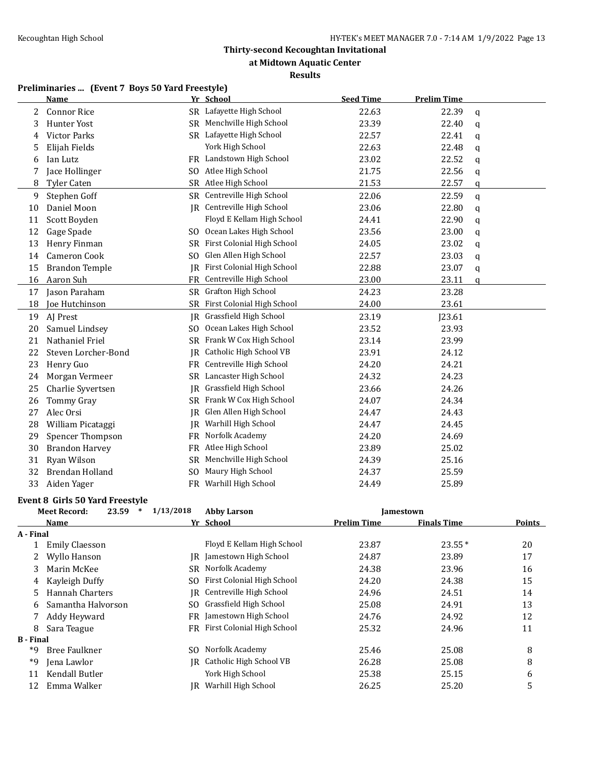**at Midtown Aquatic Center**

#### **Results**

# **Preliminaries ... (Event 7 Boys 50 Yard Freestyle)**

|                       | <b>Name</b>                            |           | Yr School                     | <b>Seed Time</b>   | <b>Prelim Time</b> |          |
|-----------------------|----------------------------------------|-----------|-------------------------------|--------------------|--------------------|----------|
| 2                     | <b>Connor Rice</b>                     |           | SR Lafayette High School      | 22.63              | 22.39              | q        |
| 3                     | Hunter Yost                            |           | SR Menchville High School     | 23.39              | 22.40              | q        |
| 4                     | Victor Parks                           |           | SR Lafayette High School      | 22.57              | 22.41              | q        |
| 5                     | Elijah Fields                          |           | York High School              | 22.63              | 22.48              | q        |
| 6                     | Ian Lutz                               |           | FR Landstown High School      | 23.02              | 22.52              | q        |
| 7                     | Jace Hollinger                         |           | SO Atlee High School          | 21.75              | 22.56              | q        |
| 8                     | Tyler Caten                            |           | SR Atlee High School          | 21.53              | 22.57              | q        |
| 9                     | Stephen Goff                           |           | SR Centreville High School    | 22.06              | 22.59              | q        |
| 10                    | Daniel Moon                            |           | JR Centreville High School    | 23.06              | 22.80              | q        |
| 11                    | Scott Boyden                           |           | Floyd E Kellam High School    | 24.41              | 22.90              | q        |
| 12                    | Gage Spade                             |           | SO Ocean Lakes High School    | 23.56              | 23.00              | q        |
| 13                    | Henry Finman                           | SR        | First Colonial High School    | 24.05              | 23.02              | q        |
| 14                    | Cameron Cook                           | SO        | Glen Allen High School        | 22.57              | 23.03              | q        |
| 15                    | <b>Brandon Temple</b>                  | IR        | First Colonial High School    | 22.88              | 23.07              | q        |
| 16                    | Aaron Suh                              | <b>FR</b> | Centreville High School       | 23.00              | 23.11              | q        |
| 17                    | Jason Paraham                          |           | SR Grafton High School        | 24.23              | 23.28              |          |
| 18                    | Joe Hutchinson                         |           | SR First Colonial High School | 24.00              | 23.61              |          |
| 19                    | AJ Prest                               |           | JR Grassfield High School     | 23.19              | J23.61             |          |
| 20                    | Samuel Lindsey                         |           | SO Ocean Lakes High School    | 23.52              | 23.93              |          |
| 21                    | Nathaniel Friel                        |           | SR Frank W Cox High School    | 23.14              | 23.99              |          |
| 22                    | Steven Lorcher-Bond                    |           | IR Catholic High School VB    | 23.91              | 24.12              |          |
| 23                    | Henry Guo                              |           | FR Centreville High School    | 24.20              | 24.21              |          |
| 24                    | Morgan Vermeer                         |           | SR Lancaster High School      | 24.32              | 24.23              |          |
| 25                    | Charlie Syvertsen                      |           | JR Grassfield High School     | 23.66              | 24.26              |          |
| 26                    | Tommy Gray                             | SR        | Frank W Cox High School       | 24.07              | 24.34              |          |
| 27                    | Alec Orsi                              | IR        | Glen Allen High School        | 24.47              | 24.43              |          |
| 28                    | William Picataggi                      | IR        | Warhill High School           | 24.47              | 24.45              |          |
| 29                    | Spencer Thompson                       | FR        | Norfolk Academy               | 24.20              | 24.69              |          |
| 30                    | <b>Brandon Harvey</b>                  | FR        | Atlee High School             | 23.89              | 25.02              |          |
| 31                    | Ryan Wilson                            | SR        | Menchville High School        | 24.39              | 25.16              |          |
| 32                    | Brendan Holland                        | SO.       | Maury High School             | 24.37              | 25.59              |          |
| 33                    | Aiden Yager                            | FR        | Warhill High School           | 24.49              | 25.89              |          |
|                       |                                        |           |                               |                    |                    |          |
|                       | <b>Event 8 Girls 50 Yard Freestyle</b> |           |                               |                    |                    |          |
|                       | <b>Meet Record:</b><br>$23.59$ *       | 1/13/2018 | <b>Abby Larson</b>            |                    | Jamestown          |          |
|                       | Name                                   |           | Yr School                     | <b>Prelim Time</b> | <b>Finals Time</b> | Points   |
| A - Final<br>1        | <b>Emily Claesson</b>                  |           | Floyd E Kellam High School    | 23.87              | 23.55*             | 20       |
| 2                     | Wyllo Hanson                           |           | JR Jamestown High School      | 24.87              | 23.89              | 17       |
|                       | Marin McKee                            |           | SR Norfolk Academy            | 24.38              | 23.96              |          |
| 3                     |                                        |           | First Colonial High School    |                    | 24.38              | 16<br>15 |
| 4                     | Kayleigh Duffy<br>Hannah Charters      | SO<br>IR  | Centreville High School       | 24.20              |                    |          |
| 5                     | Samantha Halvorson                     |           | SO Grassfield High School     | 24.96              | 24.51              | 14       |
| 6                     |                                        |           | Jamestown High School         | 25.08              | 24.91              | 13       |
| 7                     | Addy Heyward                           | FR        |                               | 24.76              | 24.92              | 12       |
| 8<br><b>B</b> - Final | Sara Teague                            |           | FR First Colonial High School | 25.32              | 24.96              | 11       |
| *9                    | <b>Bree Faulkner</b>                   |           | SO Norfolk Academy            | 25.46              | 25.08              | 8        |
| *9                    | Jena Lawlor                            | IR        | Catholic High School VB       | 26.28              | 25.08              | 8        |
| 11                    | Kendall Butler                         |           | York High School              | 25.38              | 25.15              | 6        |
| 12                    | Emma Walker                            |           | JR Warhill High School        | 26.25              | 25.20              | 5        |
|                       |                                        |           |                               |                    |                    |          |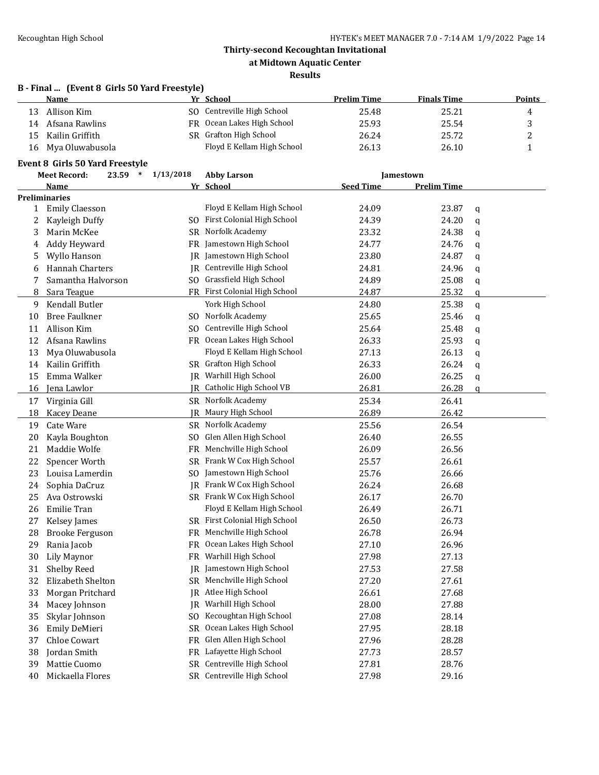**at Midtown Aquatic Center**

#### **Results**

# **B - Final ... (Event 8 Girls 50 Yard Freestyle)**

|     | Name               |     | Yr School                  | <b>Prelim Time</b> | <b>Finals Time</b> | Points |
|-----|--------------------|-----|----------------------------|--------------------|--------------------|--------|
|     | Allison Kim        |     | SO Centreville High School | 25.48              | 25.21              | 4      |
| 14  | Afsana Rawlins     |     | FR Ocean Lakes High School | 25.93              | 25.54              |        |
| 15. | Kailin Griffith    | SR. | Grafton High School        | 26.24              | 25.72              | ∸      |
|     | 16 Mya Oluwabusola |     | Floyd E Kellam High School | 26.13              | 26.10              |        |

### **Event 8 Girls 50 Yard Freestyle**

| <b>Meet Record:</b> |                        | 23.59 | $\ast$ | 1/13/2018                         | <b>Abby Larson</b> |                    | Jamestown    |  |  |
|---------------------|------------------------|-------|--------|-----------------------------------|--------------------|--------------------|--------------|--|--|
|                     | Name                   |       |        | Yr School                         | <b>Seed Time</b>   | <b>Prelim Time</b> |              |  |  |
|                     | <b>Preliminaries</b>   |       |        |                                   |                    |                    |              |  |  |
| $\mathbf{1}$        | <b>Emily Claesson</b>  |       |        | Floyd E Kellam High School        | 24.09              | 23.87              | q            |  |  |
| 2                   | Kayleigh Duffy         |       |        | SO First Colonial High School     | 24.39              | 24.20              | q            |  |  |
| 3                   | Marin McKee            |       | SR     | Norfolk Academy                   | 23.32              | 24.38              | q            |  |  |
| 4                   | Addy Heyward           |       |        | FR Jamestown High School          | 24.77              | 24.76              | q            |  |  |
| 5                   | Wyllo Hanson           |       |        | JR Jamestown High School          | 23.80              | 24.87              | q            |  |  |
| 6                   | Hannah Charters        |       |        | JR Centreville High School        | 24.81              | 24.96              | q            |  |  |
| 7                   | Samantha Halvorson     |       |        | SO Grassfield High School         | 24.89              | 25.08              | q            |  |  |
| 8                   | Sara Teague            |       |        | FR First Colonial High School     | 24.87              | 25.32              | q            |  |  |
| 9                   | Kendall Butler         |       |        | York High School                  | 24.80              | 25.38              | q            |  |  |
| 10                  | <b>Bree Faulkner</b>   |       |        | SO Norfolk Academy                | 25.65              | 25.46              | q            |  |  |
| 11                  | Allison Kim            |       | SO.    | Centreville High School           | 25.64              | 25.48              | q            |  |  |
| 12                  | Afsana Rawlins         |       |        | FR Ocean Lakes High School        | 26.33              | 25.93              | q            |  |  |
| 13                  | Mya Oluwabusola        |       |        | Floyd E Kellam High School        | 27.13              | 26.13              | q            |  |  |
| 14                  | Kailin Griffith        |       |        | SR Grafton High School            | 26.33              | 26.24              | q            |  |  |
| 15                  | Emma Walker            |       |        | JR Warhill High School            | 26.00              | 26.25              | q            |  |  |
| 16                  | Jena Lawlor            |       |        | <b>IR</b> Catholic High School VB | 26.81              | 26.28              | $\mathbf{q}$ |  |  |
| 17                  | Virginia Gill          |       |        | SR Norfolk Academy                | 25.34              | 26.41              |              |  |  |
| 18                  | Kacey Deane            |       | IR     | Maury High School                 | 26.89              | 26.42              |              |  |  |
| 19                  | Cate Ware              |       |        | <b>SR</b> Norfolk Academy         | 25.56              | 26.54              |              |  |  |
| 20                  | Kayla Boughton         |       | SO.    | Glen Allen High School            | 26.40              | 26.55              |              |  |  |
| 21                  | Maddie Wolfe           |       | FR     | Menchville High School            | 26.09              | 26.56              |              |  |  |
| 22                  | Spencer Worth          |       | SR     | Frank W Cox High School           | 25.57              | 26.61              |              |  |  |
| 23                  | Louisa Lamerdin        |       |        | SO Jamestown High School          | 25.76              | 26.66              |              |  |  |
| 24                  | Sophia DaCruz          |       | IR     | Frank W Cox High School           | 26.24              | 26.68              |              |  |  |
| 25                  | Ava Ostrowski          |       |        | SR Frank W Cox High School        | 26.17              | 26.70              |              |  |  |
| 26                  | Emilie Tran            |       |        | Floyd E Kellam High School        | 26.49              | 26.71              |              |  |  |
| 27                  | Kelsey James           |       |        | SR First Colonial High School     | 26.50              | 26.73              |              |  |  |
| 28                  | <b>Brooke Ferguson</b> |       | FR     | Menchville High School            | 26.78              | 26.94              |              |  |  |
| 29                  | Rania Jacob            |       | FR     | Ocean Lakes High School           | 27.10              | 26.96              |              |  |  |
| 30                  | Lily Maynor            |       | FR     | Warhill High School               | 27.98              | 27.13              |              |  |  |
| 31                  | Shelby Reed            |       | IR     | Jamestown High School             | 27.53              | 27.58              |              |  |  |
| 32                  | Elizabeth Shelton      |       | SR     | Menchville High School            | 27.20              | 27.61              |              |  |  |
| 33                  | Morgan Pritchard       |       | IR     | Atlee High School                 | 26.61              | 27.68              |              |  |  |
| 34                  | Macey Johnson          |       | IR     | Warhill High School               | 28.00              | 27.88              |              |  |  |
| 35                  | Skylar Johnson         |       | SO.    | Kecoughtan High School            | 27.08              | 28.14              |              |  |  |
| 36                  | Emily DeMieri          |       | SR     | Ocean Lakes High School           | 27.95              | 28.18              |              |  |  |
| 37                  | Chloe Cowart           |       | FR     | Glen Allen High School            | 27.96              | 28.28              |              |  |  |
| 38                  | Jordan Smith           |       | FR     | Lafayette High School             | 27.73              | 28.57              |              |  |  |
| 39                  | Mattie Cuomo           |       |        | SR Centreville High School        | 27.81              | 28.76              |              |  |  |
| 40                  | Mickaella Flores       |       |        | SR Centreville High School        | 27.98              | 29.16              |              |  |  |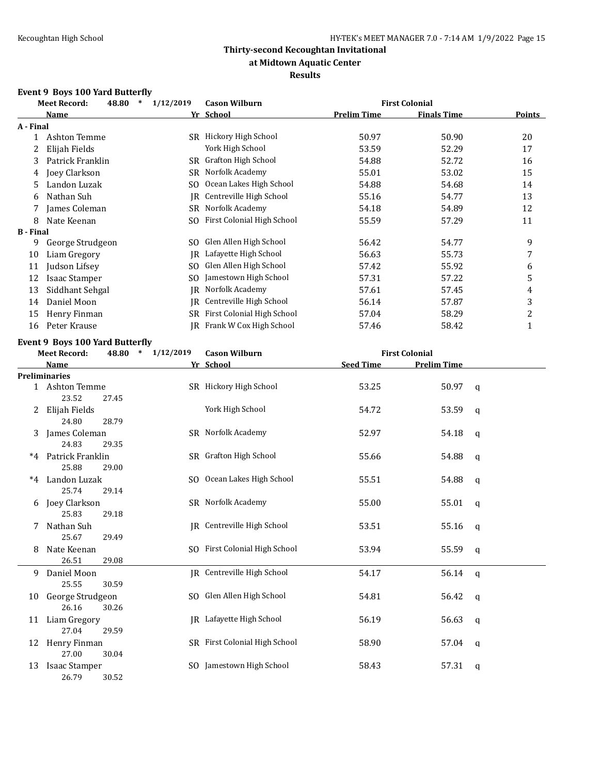### **at Midtown Aquatic Center**

### **Results**

### **Event 9 Boys 100 Yard Butterfly**

|                  | <b>Meet Record:</b><br>48.80 | 1/12/2019<br>$\ast$ | <b>Cason Wilburn</b>       |             | <b>First Colonial</b> |               |
|------------------|------------------------------|---------------------|----------------------------|-------------|-----------------------|---------------|
|                  | <b>Name</b>                  |                     | Yr School                  | Prelim Time | <b>Finals Time</b>    | <b>Points</b> |
| A - Final        |                              |                     |                            |             |                       |               |
|                  | Ashton Temme                 | SR                  | Hickory High School        | 50.97       | 50.90                 | 20            |
|                  | Elijah Fields                |                     | York High School           | 53.59       | 52.29                 | 17            |
| 3                | Patrick Franklin             |                     | SR Grafton High School     | 54.88       | 52.72                 | 16            |
| 4                | Joey Clarkson                | SR                  | Norfolk Academy            | 55.01       | 53.02                 | 15            |
| 5                | Landon Luzak                 | SO.                 | Ocean Lakes High School    | 54.88       | 54.68                 | 14            |
| 6                | Nathan Suh                   | IR                  | Centreville High School    | 55.16       | 54.77                 | 13            |
|                  | James Coleman                | SR                  | Norfolk Academy            | 54.18       | 54.89                 | 12            |
| 8                | Nate Keenan                  | SO.                 | First Colonial High School | 55.59       | 57.29                 | 11            |
| <b>B</b> - Final |                              |                     |                            |             |                       |               |
| 9                | George Strudgeon             | SO.                 | Glen Allen High School     | 56.42       | 54.77                 | 9             |
| 10               | Liam Gregory                 | IR                  | Lafayette High School      | 56.63       | 55.73                 | 7             |
| 11               | Judson Lifsey                | SO.                 | Glen Allen High School     | 57.42       | 55.92                 | 6             |
| 12               | Isaac Stamper                | SO                  | Jamestown High School      | 57.31       | 57.22                 | 5             |
| 13               | Siddhant Sehgal              | IR                  | Norfolk Academy            | 57.61       | 57.45                 | 4             |
| 14               | Daniel Moon                  | IR                  | Centreville High School    | 56.14       | 57.87                 | 3             |
| 15               | Henry Finman                 | SR                  | First Colonial High School | 57.04       | 58.29                 | 2             |
| 16               | Peter Krause                 | IR                  | Frank W Cox High School    | 57.46       | 58.42                 |               |

#### **Event 9 Boys 100 Yard Butterfly**

|      | <b>Meet Record:</b>       | 48.80 | 1/12/2019<br>$\ast$ | <b>Cason Wilburn</b>              |                  | <b>First Colonial</b> |   |
|------|---------------------------|-------|---------------------|-----------------------------------|------------------|-----------------------|---|
|      | Name                      |       |                     | Yr School                         | <b>Seed Time</b> | <b>Prelim Time</b>    |   |
|      | <b>Preliminaries</b>      |       |                     |                                   |                  |                       |   |
|      | 1 Ashton Temme<br>23.52   | 27.45 |                     | SR Hickory High School            | 53.25            | 50.97                 | q |
|      | Elijah Fields<br>24.80    | 28.79 |                     | York High School                  | 54.72            | 53.59                 | q |
| 3    | James Coleman<br>24.83    | 29.35 |                     | SR Norfolk Academy                | 52.97            | 54.18                 | q |
| $*4$ | Patrick Franklin<br>25.88 | 29.00 |                     | SR Grafton High School            | 55.66            | 54.88                 | q |
| $*4$ | Landon Luzak<br>25.74     | 29.14 |                     | SO Ocean Lakes High School        | 55.51            | 54.88                 | q |
| 6    | Joey Clarkson<br>25.83    | 29.18 |                     | SR Norfolk Academy                | 55.00            | 55.01                 | q |
|      | Nathan Suh<br>25.67       | 29.49 |                     | IR Centreville High School        | 53.51            | 55.16                 | q |
| 8    | Nate Keenan<br>26.51      | 29.08 |                     | SO First Colonial High School     | 53.94            | 55.59                 | q |
| 9    | Daniel Moon<br>25.55      | 30.59 |                     | <b>IR</b> Centreville High School | 54.17            | 56.14                 | q |
| 10   | George Strudgeon<br>26.16 | 30.26 |                     | SO Glen Allen High School         | 54.81            | 56.42                 | q |
| 11   | Liam Gregory<br>27.04     | 29.59 |                     | IR Lafayette High School          | 56.19            | 56.63                 | q |
|      | 12 Henry Finman<br>27.00  | 30.04 |                     | SR First Colonial High School     | 58.90            | 57.04                 | q |
| 13   | Isaac Stamper<br>26.79    | 30.52 |                     | SO Jamestown High School          | 58.43            | 57.31                 | q |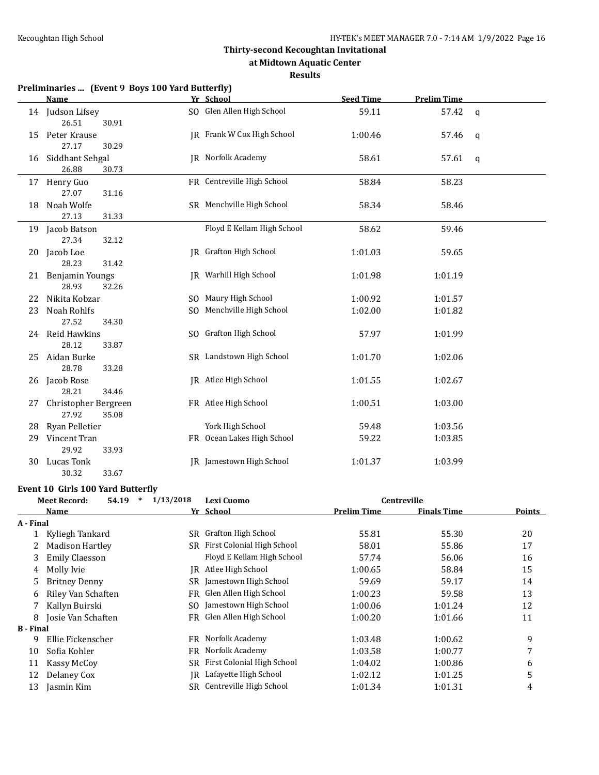**at Midtown Aquatic Center**

#### **Results**

|    | <b>Name</b>                        | Yr School                       | <b>Seed Time</b> | <b>Prelim Time</b> |              |
|----|------------------------------------|---------------------------------|------------------|--------------------|--------------|
|    | 14 Judson Lifsey<br>26.51<br>30.91 | SO Glen Allen High School       | 59.11            | 57.42              | $\mathsf{q}$ |
| 15 | Peter Krause                       | JR Frank W Cox High School      | 1:00.46          | 57.46              | $\mathsf{q}$ |
|    | 27.17<br>30.29                     |                                 |                  |                    |              |
| 16 | Siddhant Sehgal<br>26.88<br>30.73  | JR Norfolk Academy              | 58.61            | 57.61              | $\mathbf q$  |
|    | 17 Henry Guo                       | FR Centreville High School      | 58.84            | 58.23              |              |
|    | 27.07<br>31.16                     |                                 |                  |                    |              |
| 18 | Noah Wolfe                         | SR Menchville High School       | 58.34            | 58.46              |              |
|    | 27.13<br>31.33                     |                                 |                  |                    |              |
|    | 19 Jacob Batson                    | Floyd E Kellam High School      | 58.62            | 59.46              |              |
|    | 27.34<br>32.12                     |                                 |                  |                    |              |
| 20 | Jacob Loe                          | JR Grafton High School          | 1:01.03          | 59.65              |              |
|    | 28.23<br>31.42                     |                                 |                  |                    |              |
|    | 21 Benjamin Youngs                 | <b>JR</b> Warhill High School   | 1:01.98          | 1:01.19            |              |
|    | 28.93<br>32.26                     |                                 |                  |                    |              |
| 22 | Nikita Kobzar                      | SO Maury High School            | 1:00.92          | 1:01.57            |              |
| 23 | Noah Rohlfs                        | SO Menchville High School       | 1:02.00          | 1:01.82            |              |
|    | 27.52<br>34.30                     |                                 |                  |                    |              |
| 24 | Reid Hawkins                       | SO Grafton High School          | 57.97            | 1:01.99            |              |
|    | 28.12<br>33.87                     |                                 |                  |                    |              |
| 25 | Aidan Burke                        | SR Landstown High School        | 1:01.70          | 1:02.06            |              |
|    | 28.78<br>33.28                     |                                 |                  |                    |              |
| 26 | Jacob Rose                         | JR Atlee High School            | 1:01.55          | 1:02.67            |              |
|    | 28.21<br>34.46                     |                                 |                  |                    |              |
| 27 | Christopher Bergreen               | FR Atlee High School            | 1:00.51          | 1:03.00            |              |
|    | 27.92<br>35.08                     |                                 |                  |                    |              |
| 28 | Ryan Pelletier                     | York High School                | 59.48            | 1:03.56            |              |
| 29 | Vincent Tran                       | FR Ocean Lakes High School      | 59.22            | 1:03.85            |              |
|    | 29.92<br>33.93                     |                                 |                  |                    |              |
| 30 | Lucas Tonk                         | <b>IR</b> Jamestown High School | 1:01.37          | 1:03.99            |              |

#### **Event 10 Girls 100 Yard Butterfly**

30.32 33.67

| 54.19                  | 1/13/2018<br>$\ast$                                  | Lexi Cuomo<br><b>Centreville</b> |                                                                                                                |                    |        |
|------------------------|------------------------------------------------------|----------------------------------|----------------------------------------------------------------------------------------------------------------|--------------------|--------|
| Name                   |                                                      |                                  | <b>Prelim Time</b>                                                                                             | <b>Finals Time</b> | Points |
|                        |                                                      |                                  |                                                                                                                |                    |        |
| Kyliegh Tankard        |                                                      | <b>Grafton High School</b>       | 55.81                                                                                                          | 55.30              | 20     |
| <b>Madison Hartley</b> |                                                      | First Colonial High School       | 58.01                                                                                                          | 55.86              | 17     |
| <b>Emily Claesson</b>  |                                                      | Floyd E Kellam High School       | 57.74                                                                                                          | 56.06              | 16     |
| Molly Ivie             |                                                      | Atlee High School                | 1:00.65                                                                                                        | 58.84              | 15     |
| <b>Britney Denny</b>   |                                                      | Jamestown High School            | 59.69                                                                                                          | 59.17              | 14     |
| Riley Van Schaften     |                                                      | Glen Allen High School           | 1:00.23                                                                                                        | 59.58              | 13     |
| Kallyn Buirski         |                                                      | Jamestown High School            | 1:00.06                                                                                                        | 1:01.24            | 12     |
| Josie Van Schaften     |                                                      |                                  | 1:00.20                                                                                                        | 1:01.66            | 11     |
|                        |                                                      |                                  |                                                                                                                |                    |        |
| Ellie Fickenscher      |                                                      | Norfolk Academy                  | 1:03.48                                                                                                        | 1:00.62            | 9      |
| Sofia Kohler           |                                                      | Norfolk Academy                  | 1:03.58                                                                                                        | 1:00.77            | 7      |
| Kassy McCoy            |                                                      | First Colonial High School       | 1:04.02                                                                                                        | 1:00.86            | 6      |
| Delaney Cox            |                                                      | Lafayette High School            | 1:02.12                                                                                                        | 1:01.25            | 5      |
| Jasmin Kim             |                                                      | Centreville High School          | 1:01.34                                                                                                        | 1:01.31            | 4      |
|                        | <b>Meet Record:</b><br>A - Final<br><b>B</b> - Final |                                  | Yr School<br>SR.<br>SR.<br>IR.<br>SR<br>FR<br>SO.<br>FR Glen Allen High School<br>FR.<br>FR<br>SR.<br>IR<br>SR |                    |        |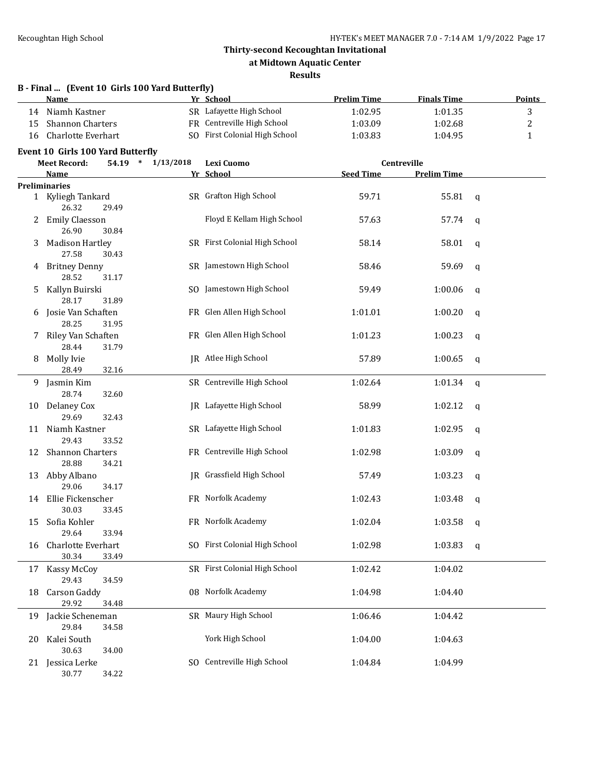#### **at Midtown Aquatic Center**

#### **Results**

|    | B - Final  (Event 10 Girls 100 Yard Butterfly)<br>Name |           | Yr School                       | <b>Prelim Time</b> | <b>Finals Time</b> |   | <b>Points</b> |
|----|--------------------------------------------------------|-----------|---------------------------------|--------------------|--------------------|---|---------------|
| 14 | Niamh Kastner                                          |           | SR Lafayette High School        | 1:02.95            | 1:01.35            |   | 3             |
| 15 | <b>Shannon Charters</b>                                |           | FR Centreville High School      | 1:03.09            | 1:02.68            |   | 2             |
| 16 | Charlotte Everhart                                     |           | SO First Colonial High School   | 1:03.83            | 1:04.95            |   | 1             |
|    | Event 10 Girls 100 Yard Butterfly                      |           |                                 |                    |                    |   |               |
|    | <b>Meet Record:</b><br>$54.19$ *                       | 1/13/2018 | Lexi Cuomo                      |                    | Centreville        |   |               |
|    | Name                                                   |           | Yr School                       | <b>Seed Time</b>   | <b>Prelim Time</b> |   |               |
|    | <b>Preliminaries</b>                                   |           |                                 |                    |                    |   |               |
|    | 1 Kyliegh Tankard<br>26.32<br>29.49                    |           | SR Grafton High School          | 59.71              | 55.81              | q |               |
| 2  | <b>Emily Claesson</b><br>26.90<br>30.84                |           | Floyd E Kellam High School      | 57.63              | 57.74              | q |               |
| 3  | <b>Madison Hartley</b><br>27.58<br>30.43               |           | SR First Colonial High School   | 58.14              | 58.01              | q |               |
| 4  | <b>Britney Denny</b><br>28.52<br>31.17                 |           | SR Jamestown High School        | 58.46              | 59.69              | q |               |
| 5  | Kallyn Buirski<br>28.17<br>31.89                       |           | SO Jamestown High School        | 59.49              | 1:00.06            | q |               |
| 6  | Josie Van Schaften<br>28.25<br>31.95                   |           | FR Glen Allen High School       | 1:01.01            | 1:00.20            | q |               |
| 7. | Riley Van Schaften<br>28.44<br>31.79                   |           | FR Glen Allen High School       | 1:01.23            | 1:00.23            | q |               |
| 8  | Molly Ivie<br>28.49<br>32.16                           |           | IR Atlee High School            | 57.89              | 1:00.65            | q |               |
| 9. | Jasmin Kim<br>28.74<br>32.60                           |           | SR Centreville High School      | 1:02.64            | 1:01.34            | q |               |
| 10 | Delaney Cox<br>29.69<br>32.43                          |           | <b>IR</b> Lafayette High School | 58.99              | 1:02.12            | q |               |
| 11 | Niamh Kastner<br>29.43<br>33.52                        |           | SR Lafayette High School        | 1:01.83            | 1:02.95            | q |               |
| 12 | <b>Shannon Charters</b><br>28.88<br>34.21              |           | FR Centreville High School      | 1:02.98            | 1:03.09            | q |               |
| 13 | Abby Albano<br>29.06<br>34.17                          |           | JR Grassfield High School       | 57.49              | 1:03.23            | q |               |
|    | 14 Ellie Fickenscher<br>30.03<br>33.45                 |           | FR Norfolk Academy              | 1:02.43            | 1:03.48            | q |               |
| 15 | Sofia Kohler<br>29.64<br>33.94                         |           | FR Norfolk Academy              | 1:02.04            | 1:03.58            | q |               |
| 16 | Charlotte Everhart<br>30.34<br>33.49                   |           | SO First Colonial High School   | 1:02.98            | 1:03.83            | q |               |
| 17 | Kassy McCoy<br>29.43<br>34.59                          |           | SR First Colonial High School   | 1:02.42            | 1:04.02            |   |               |
| 18 | <b>Carson Gaddy</b><br>29.92<br>34.48                  |           | 08 Norfolk Academy              | 1:04.98            | 1:04.40            |   |               |
| 19 | Jackie Scheneman<br>29.84<br>34.58                     |           | SR Maury High School            | 1:06.46            | 1:04.42            |   |               |
| 20 | Kalei South                                            |           | York High School                | 1:04.00            | 1:04.63            |   |               |
| 21 | 30.63<br>34.00<br>Jessica Lerke<br>30.77<br>34.22      |           | SO Centreville High School      | 1:04.84            | 1:04.99            |   |               |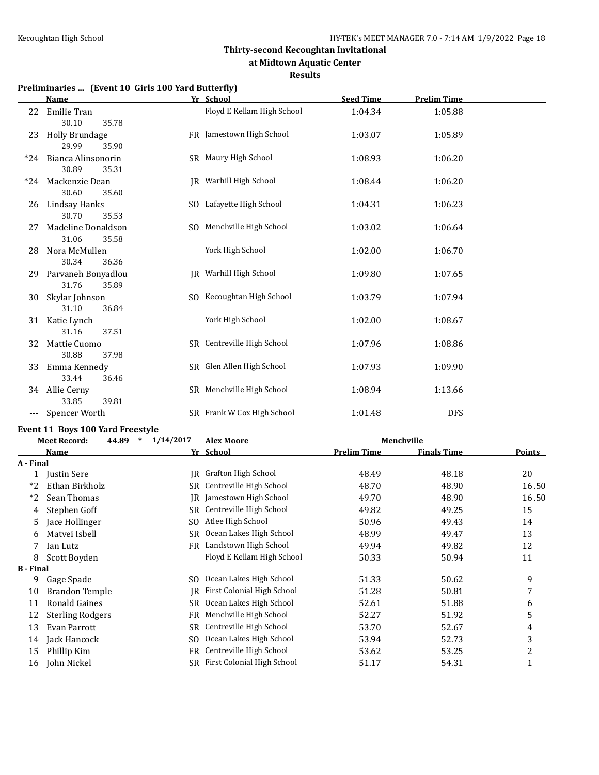**at Midtown Aquatic Center**

**Results**

# **Preliminaries ... (Event 10 Girls 100 Yard Butterfly)**

|       | <b>Name</b>           |  | Yr School                  | <b>Seed Time</b> | <b>Prelim Time</b> |  |
|-------|-----------------------|--|----------------------------|------------------|--------------------|--|
| 22    | Emilie Tran           |  | Floyd E Kellam High School | 1:04.34          | 1:05.88            |  |
|       | 30.10<br>35.78        |  |                            |                  |                    |  |
| 23    | <b>Holly Brundage</b> |  | FR Jamestown High School   | 1:03.07          | 1:05.89            |  |
|       | 29.99<br>35.90        |  |                            |                  |                    |  |
| $*24$ | Bianca Alinsonorin    |  | SR Maury High School       | 1:08.93          | 1:06.20            |  |
|       | 30.89<br>35.31        |  |                            |                  |                    |  |
| $*24$ | Mackenzie Dean        |  | IR Warhill High School     | 1:08.44          | 1:06.20            |  |
|       | 30.60<br>35.60        |  |                            |                  |                    |  |
| 26    | Lindsay Hanks         |  | SO Lafayette High School   | 1:04.31          | 1:06.23            |  |
|       | 30.70<br>35.53        |  |                            |                  |                    |  |
| 27    | Madeline Donaldson    |  | SO Menchville High School  | 1:03.02          | 1:06.64            |  |
|       | 31.06<br>35.58        |  |                            |                  |                    |  |
| 28    | Nora McMullen         |  | York High School           | 1:02.00          | 1:06.70            |  |
|       | 30.34<br>36.36        |  |                            |                  |                    |  |
| 29    | Parvaneh Bonyadlou    |  | IR Warhill High School     | 1:09.80          | 1:07.65            |  |
|       | 31.76<br>35.89        |  |                            |                  |                    |  |
| 30    | Skylar Johnson        |  | SO Kecoughtan High School  | 1:03.79          | 1:07.94            |  |
|       | 31.10<br>36.84        |  |                            |                  |                    |  |
| 31    | Katie Lynch           |  | York High School           | 1:02.00          | 1:08.67            |  |
|       | 31.16<br>37.51        |  |                            |                  |                    |  |
| 32    | Mattie Cuomo          |  | SR Centreville High School | 1:07.96          | 1:08.86            |  |
|       | 30.88<br>37.98        |  |                            |                  |                    |  |
| 33    | Emma Kennedy          |  | SR Glen Allen High School  | 1:07.93          | 1:09.90            |  |
|       | 33.44<br>36.46        |  |                            |                  |                    |  |
| 34    | Allie Cerny           |  | SR Menchville High School  | 1:08.94          | 1:13.66            |  |
|       | 33.85<br>39.81        |  |                            |                  |                    |  |
|       | Spencer Worth         |  | SR Frank W Cox High School | 1:01.48          | <b>DFS</b>         |  |
|       |                       |  |                            |                  |                    |  |

#### **Event 11 Boys 100 Yard Freestyle**

|                  | <b>Meet Record:</b>     | 44.89<br>$\ast$ | 1/14/2017 | <b>Alex Moore</b>          |                    | Menchville         |        |
|------------------|-------------------------|-----------------|-----------|----------------------------|--------------------|--------------------|--------|
|                  | Name                    |                 |           | Yr School                  | <b>Prelim Time</b> | <b>Finals Time</b> | Points |
| A - Final        |                         |                 |           |                            |                    |                    |        |
|                  | Justin Sere             |                 | IR        | Grafton High School        | 48.49              | 48.18              | 20     |
| *2               | Ethan Birkholz          |                 | SR        | Centreville High School    | 48.70              | 48.90              | 16.50  |
| $*2$             | Sean Thomas             |                 | IR        | Jamestown High School      | 49.70              | 48.90              | 16.50  |
| 4                | Stephen Goff            |                 | SR        | Centreville High School    | 49.82              | 49.25              | 15     |
| 5                | Jace Hollinger          |                 | SO.       | Atlee High School          | 50.96              | 49.43              | 14     |
| 6                | Matvei Isbell           |                 | SR        | Ocean Lakes High School    | 48.99              | 49.47              | 13     |
|                  | Ian Lutz                |                 | FR.       | Landstown High School      | 49.94              | 49.82              | 12     |
| 8                | Scott Boyden            |                 |           | Floyd E Kellam High School | 50.33              | 50.94              | 11     |
| <b>B</b> - Final |                         |                 |           |                            |                    |                    |        |
| 9                | Gage Spade              |                 | SO.       | Ocean Lakes High School    | 51.33              | 50.62              | 9      |
| 10               | <b>Brandon Temple</b>   |                 | IR        | First Colonial High School | 51.28              | 50.81              | 7      |
| 11               | Ronald Gaines           |                 | SR        | Ocean Lakes High School    | 52.61              | 51.88              | 6      |
| 12               | <b>Sterling Rodgers</b> |                 | FR.       | Menchville High School     | 52.27              | 51.92              | 5      |
| 13               | Evan Parrott            |                 | SR        | Centreville High School    | 53.70              | 52.67              | 4      |
| 14               | Jack Hancock            |                 | SO        | Ocean Lakes High School    | 53.94              | 52.73              | 3      |
| 15               | Phillip Kim             |                 | FR        | Centreville High School    | 53.62              | 53.25              | 2      |
| 16               | John Nickel             |                 | SR        | First Colonial High School | 51.17              | 54.31              |        |
|                  |                         |                 |           |                            |                    |                    |        |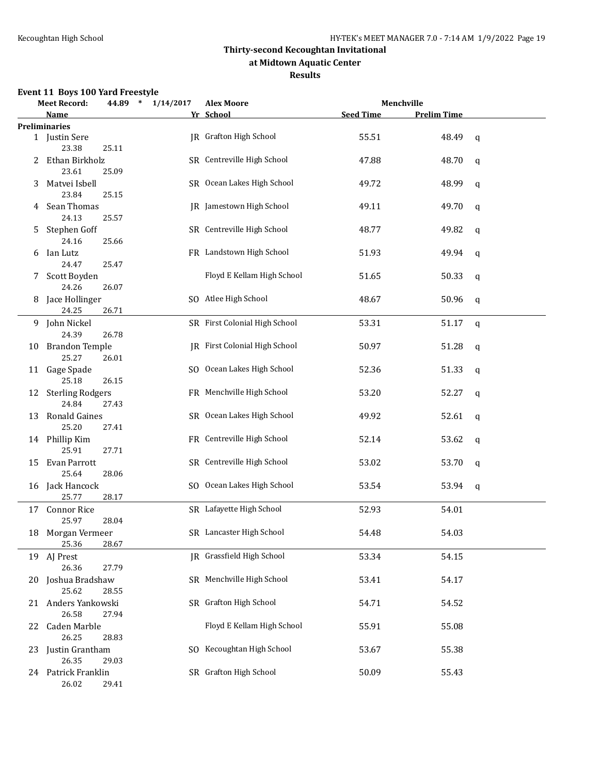#### **at Midtown Aquatic Center**

#### **Results**

### **Event 11 Boys 100 Yard Freestyle**

|    | <b>Meet Record:</b>            | 44.89 * | 1/14/2017 | <b>Alex Moore</b>             |                  | Menchville         |   |
|----|--------------------------------|---------|-----------|-------------------------------|------------------|--------------------|---|
|    | Name                           |         |           | Yr School                     | <b>Seed Time</b> | <b>Prelim Time</b> |   |
|    | <b>Preliminaries</b>           |         |           |                               |                  |                    |   |
|    | 1 Justin Sere<br>23.38         | 25.11   |           | <b>IR</b> Grafton High School | 55.51            | 48.49              | q |
| 2  | Ethan Birkholz<br>23.61        | 25.09   |           | SR Centreville High School    | 47.88            | 48.70              | q |
| 3  | Matvei Isbell<br>23.84         | 25.15   |           | SR Ocean Lakes High School    | 49.72            | 48.99              | q |
| 4  | Sean Thomas<br>24.13           | 25.57   |           | JR Jamestown High School      | 49.11            | 49.70              | q |
| 5. | Stephen Goff<br>24.16          | 25.66   |           | SR Centreville High School    | 48.77            | 49.82              | q |
|    | 6 Ian Lutz<br>24.47            | 25.47   |           | FR Landstown High School      | 51.93            | 49.94              | q |
| 7  | Scott Boyden<br>24.26          | 26.07   |           | Floyd E Kellam High School    | 51.65            | 50.33              | q |
|    | 8 Jace Hollinger<br>24.25      | 26.71   |           | SO Atlee High School          | 48.67            | 50.96              | q |
|    | 9 John Nickel<br>24.39         | 26.78   |           | SR First Colonial High School | 53.31            | 51.17              | q |
| 10 | <b>Brandon Temple</b><br>25.27 | 26.01   |           | JR First Colonial High School | 50.97            | 51.28              | q |
| 11 | Gage Spade<br>25.18            | 26.15   |           | SO Ocean Lakes High School    | 52.36            | 51.33              | q |
|    | 12 Sterling Rodgers<br>24.84   | 27.43   |           | FR Menchville High School     | 53.20            | 52.27              | q |
| 13 | <b>Ronald Gaines</b><br>25.20  | 27.41   |           | SR Ocean Lakes High School    | 49.92            | 52.61              | q |
|    | 14 Phillip Kim<br>25.91        | 27.71   |           | FR Centreville High School    | 52.14            | 53.62              | q |
| 15 | Evan Parrott<br>25.64          | 28.06   |           | SR Centreville High School    | 53.02            | 53.70              | q |
|    | 16 Jack Hancock<br>25.77       | 28.17   |           | SO Ocean Lakes High School    | 53.54            | 53.94              | q |
|    | 17 Connor Rice<br>25.97        | 28.04   |           | SR Lafayette High School      | 52.93            | 54.01              |   |
|    | 18 Morgan Vermeer<br>25.36     | 28.67   |           | SR Lancaster High School      | 54.48            | 54.03              |   |
|    | 19 AJ Prest<br>26.36           | 27.79   |           | JR Grassfield High School     | 53.34            | 54.15              |   |
| 20 | Joshua Bradshaw<br>25.62       | 28.55   |           | SR Menchville High School     | 53.41            | 54.17              |   |
| 21 | Anders Yankowski<br>26.58      | 27.94   |           | SR Grafton High School        | 54.71            | 54.52              |   |
| 22 | Caden Marble<br>26.25          | 28.83   |           | Floyd E Kellam High School    | 55.91            | 55.08              |   |
| 23 | Justin Grantham<br>26.35       | 29.03   |           | SO Kecoughtan High School     | 53.67            | 55.38              |   |
|    | 24 Patrick Franklin<br>26.02   | 29.41   |           | SR Grafton High School        | 50.09            | 55.43              |   |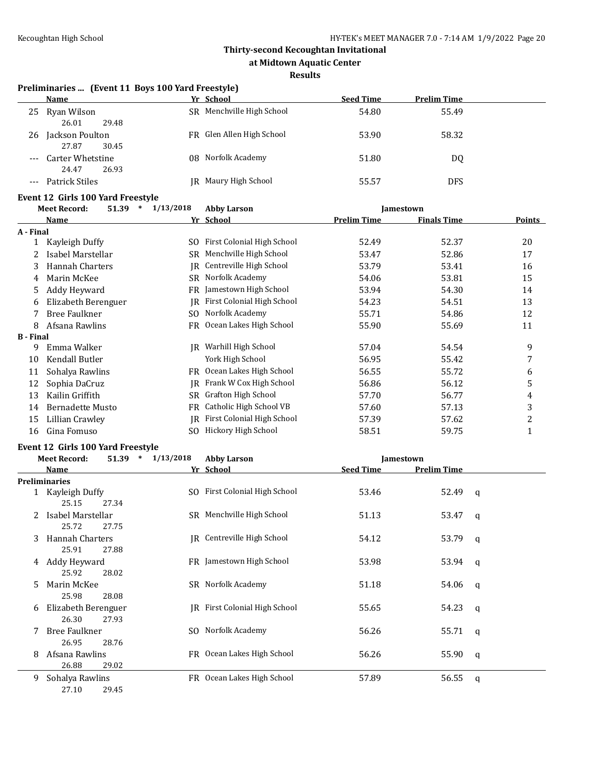**at Midtown Aquatic Center**

#### **Results**

#### **Preliminaries ... (Event 11 Boys 100 Yard Freestyle)**

|       | <b>Name</b>                        | Yr School                 | <b>Seed Time</b> | <b>Prelim Time</b> |
|-------|------------------------------------|---------------------------|------------------|--------------------|
| 25    | Ryan Wilson<br>26.01<br>29.48      | SR Menchville High School | 54.80            | 55.49              |
| 26    | Jackson Poulton<br>30.45<br>27.87  | FR Glen Allen High School | 53.90            | 58.32              |
| $---$ | Carter Whetstine<br>26.93<br>24.47 | 08 Norfolk Academy        | 51.80            | DQ                 |
|       | Patrick Stiles                     | Maury High School<br>IR-  | 55.57            | DFS                |

# **Event 12 Girls 100 Yard Freestyle**<br>Meet Becord: 51.39 \* 1/2

|                  | 1/13/2018<br>51.39<br>$\ast$<br><b>Meet Record:</b> |     | <b>Abby Larson</b><br>Jamestown |                    |                    |        |
|------------------|-----------------------------------------------------|-----|---------------------------------|--------------------|--------------------|--------|
|                  | Name                                                |     | Yr School                       | <b>Prelim Time</b> | <b>Finals Time</b> | Points |
| A - Final        |                                                     |     |                                 |                    |                    |        |
|                  | Kayleigh Duffy                                      | SO. | First Colonial High School      | 52.49              | 52.37              | 20     |
|                  | Isabel Marstellar                                   | SR  | Menchville High School          | 53.47              | 52.86              | 17     |
| 3                | Hannah Charters                                     | IR  | Centreville High School         | 53.79              | 53.41              | 16     |
| 4                | Marin McKee                                         | SR  | Norfolk Academy                 | 54.06              | 53.81              | 15     |
| 5                | Addy Heyward                                        | FR  | Jamestown High School           | 53.94              | 54.30              | 14     |
| 6                | Elizabeth Berenguer                                 | IR  | First Colonial High School      | 54.23              | 54.51              | 13     |
|                  | <b>Bree Faulkner</b>                                | SO. | Norfolk Academy                 | 55.71              | 54.86              | 12     |
| 8                | Afsana Rawlins                                      | FR  | Ocean Lakes High School         | 55.90              | 55.69              | 11     |
| <b>B</b> - Final |                                                     |     |                                 |                    |                    |        |
| 9                | Emma Walker                                         | IR  | Warhill High School             | 57.04              | 54.54              | 9      |
| 10               | Kendall Butler                                      |     | York High School                | 56.95              | 55.42              | 7      |
| 11               | Sohalya Rawlins                                     | FR  | Ocean Lakes High School         | 56.55              | 55.72              | 6      |
| 12               | Sophia DaCruz                                       | IR  | Frank W Cox High School         | 56.86              | 56.12              | 5      |
| 13               | Kailin Griffith                                     | SR  | Grafton High School             | 57.70              | 56.77              | 4      |
| 14               | <b>Bernadette Musto</b>                             | FR  | Catholic High School VB         | 57.60              | 57.13              | 3      |
| 15               | Lillian Crawley                                     | IR  | First Colonial High School      | 57.39              | 57.62              | 2      |
| 16               | Gina Fomuso                                         | SO. | Hickory High School             | 58.51              | 59.75              | 1      |

#### **Event 12 Girls 100 Yard Freestyle**

|    | <b>Meet Record:</b>           | 51.39<br>$\ast$ | 1/13/2018 | <b>Abby Larson</b>            | <b>Jamestown</b> |                    |   |
|----|-------------------------------|-----------------|-----------|-------------------------------|------------------|--------------------|---|
|    | Name                          |                 |           | Yr School                     | <b>Seed Time</b> | <b>Prelim Time</b> |   |
|    | <b>Preliminaries</b>          |                 |           |                               |                  |                    |   |
|    | Kayleigh Duffy<br>25.15       | 27.34           |           | SO First Colonial High School | 53.46            | 52.49              | q |
|    | Isabel Marstellar<br>25.72    | 27.75           |           | SR Menchville High School     | 51.13            | 53.47              | q |
| 3  | Hannah Charters<br>25.91      | 27.88           |           | JR Centreville High School    | 54.12            | 53.79              | q |
| 4  | Addy Heyward<br>25.92         | 28.02           |           | FR Jamestown High School      | 53.98            | 53.94              | q |
| 5. | Marin McKee<br>25.98          | 28.08           |           | SR Norfolk Academy            | 51.18            | 54.06              | q |
| 6  | Elizabeth Berenguer<br>26.30  | 27.93           |           | IR First Colonial High School | 55.65            | 54.23              | q |
|    | <b>Bree Faulkner</b><br>26.95 | 28.76           |           | SO Norfolk Academy            | 56.26            | 55.71              | q |
| 8  | Afsana Rawlins<br>26.88       | 29.02           |           | FR Ocean Lakes High School    | 56.26            | 55.90              | q |
| 9  | Sohalya Rawlins               |                 |           | FR Ocean Lakes High School    | 57.89            | 56.55              | q |

27.10 29.45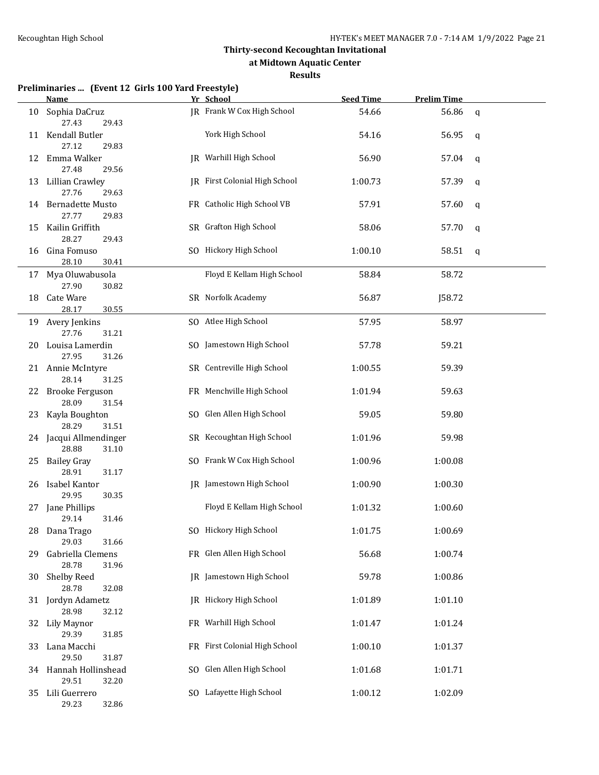**at Midtown Aquatic Center**

#### **Results**

#### **Preliminaries ... (Event 12 Girls 100 Yard Freestyle)**

|     | <u>Name - </u>                  |       | Yr School                       | <b>Seed Time</b> | <b>Prelim Time</b> |             |
|-----|---------------------------------|-------|---------------------------------|------------------|--------------------|-------------|
| 10  | Sophia DaCruz<br>27.43          | 29.43 | JR Frank W Cox High School      | 54.66            | 56.86              | q           |
|     | 11 Kendall Butler<br>27.12      | 29.83 | York High School                | 54.16            | 56.95              | q           |
| 12  | Emma Walker<br>27.48            | 29.56 | JR Warhill High School          | 56.90            | 57.04              | q           |
| 13  | Lillian Crawley<br>27.76        | 29.63 | JR First Colonial High School   | 1:00.73          | 57.39              | $\mathbf q$ |
|     | 14 Bernadette Musto<br>27.77    | 29.83 | FR Catholic High School VB      | 57.91            | 57.60              | q           |
| 15  | Kailin Griffith<br>28.27        | 29.43 | SR Grafton High School          | 58.06            | 57.70              | q           |
| 16  | Gina Fomuso<br>28.10            | 30.41 | SO Hickory High School          | 1:00.10          | 58.51              | q           |
|     | 17 Mya Oluwabusola<br>27.90     | 30.82 | Floyd E Kellam High School      | 58.84            | 58.72              |             |
| 18  | Cate Ware<br>28.17              | 30.55 | SR Norfolk Academy              | 56.87            | J58.72             |             |
| 19  | Avery Jenkins<br>27.76          | 31.21 | SO Atlee High School            | 57.95            | 58.97              |             |
| 20  | Louisa Lamerdin<br>27.95        | 31.26 | SO Jamestown High School        | 57.78            | 59.21              |             |
|     | 21 Annie McIntyre<br>28.14      | 31.25 | SR Centreville High School      | 1:00.55          | 59.39              |             |
|     | 22 Brooke Ferguson<br>28.09     | 31.54 | FR Menchville High School       | 1:01.94          | 59.63              |             |
| 23  | Kayla Boughton<br>28.29         | 31.51 | SO Glen Allen High School       | 59.05            | 59.80              |             |
|     | 24 Jacqui Allmendinger<br>28.88 | 31.10 | SR Kecoughtan High School       | 1:01.96          | 59.98              |             |
|     | 25 Bailey Gray<br>28.91         | 31.17 | SO Frank W Cox High School      | 1:00.96          | 1:00.08            |             |
|     | 26 Isabel Kantor<br>29.95       | 30.35 | <b>IR</b> Jamestown High School | 1:00.90          | 1:00.30            |             |
|     | 27 Jane Phillips<br>29.14       | 31.46 | Floyd E Kellam High School      | 1:01.32          | 1:00.60            |             |
|     | 28 Dana Trago<br>29.03          | 31.66 | SO Hickory High School          | 1:01.75          | 1:00.69            |             |
| 29. | Gabriella Clemens<br>28.78      | 31.96 | FR Glen Allen High School       | 56.68            | 1:00.74            |             |
| 30  | <b>Shelby Reed</b><br>28.78     | 32.08 | JR Jamestown High School        | 59.78            | 1:00.86            |             |
|     | 31 Jordyn Adametz<br>28.98      | 32.12 | JR Hickory High School          | 1:01.89          | 1:01.10            |             |
| 32  | Lily Maynor<br>29.39            | 31.85 | FR Warhill High School          | 1:01.47          | 1:01.24            |             |
| 33  | Lana Macchi<br>29.50            | 31.87 | FR First Colonial High School   | 1:00.10          | 1:01.37            |             |
|     | 34 Hannah Hollinshead<br>29.51  | 32.20 | SO Glen Allen High School       | 1:01.68          | 1:01.71            |             |
| 35  | Lili Guerrero<br>29.23          | 32.86 | SO Lafayette High School        | 1:00.12          | 1:02.09            |             |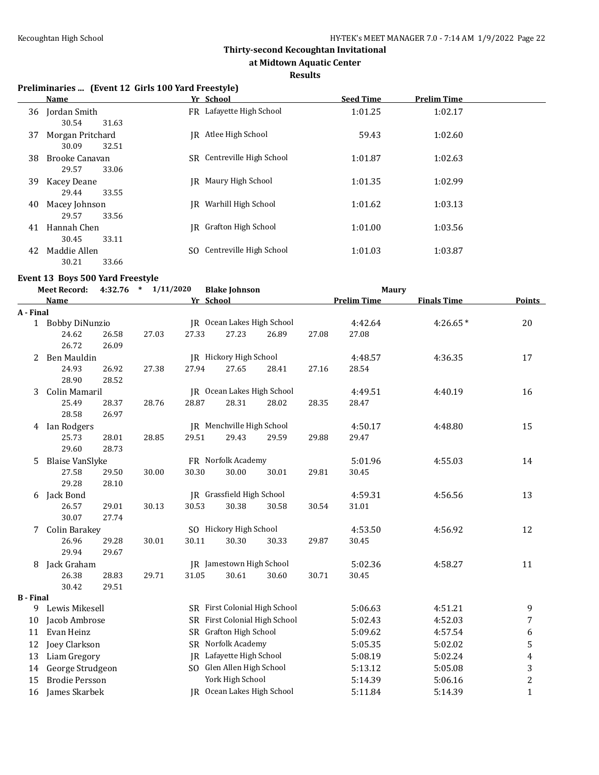**at Midtown Aquatic Center**

#### **Results**

#### **Preliminaries ... (Event 12 Girls 100 Yard Freestyle)**

|    | Name                                                 |    | Yr School                  | <b>Seed Time</b> | <b>Prelim Time</b> |
|----|------------------------------------------------------|----|----------------------------|------------------|--------------------|
| 36 | Jordan Smith                                         |    | FR Lafayette High School   | 1:01.25          | 1:02.17            |
| 37 | 30.54<br>31.63<br>Morgan Pritchard<br>30.09<br>32.51 |    | IR Atlee High School       | 59.43            | 1:02.60            |
| 38 | Brooke Canavan<br>29.57<br>33.06                     |    | SR Centreville High School | 1:01.87          | 1:02.63            |
| 39 | Kacey Deane<br>29.44<br>33.55                        |    | IR Maury High School       | 1:01.35          | 1:02.99            |
| 40 | Macey Johnson<br>29.57<br>33.56                      | IR | Warhill High School        | 1:01.62          | 1:03.13            |
| 41 | Hannah Chen<br>30.45<br>33.11                        |    | IR Grafton High School     | 1:01.00          | 1:03.56            |
| 42 | Maddie Allen<br>30.21<br>33.66                       |    | SO Centreville High School | 1:01.03          | 1:03.87            |

#### **Event 13 Boys 500 Yard Freestyle**

|                  | <b>Meet Record:</b>    |       | 4:32.76 * 1/11/2020 |           | <b>Blake Johnson</b>             |                               |       | <b>Maury</b>       |                    |                |
|------------------|------------------------|-------|---------------------|-----------|----------------------------------|-------------------------------|-------|--------------------|--------------------|----------------|
|                  | <b>Name</b>            |       |                     | Yr School |                                  |                               |       | <b>Prelim Time</b> | <b>Finals Time</b> | <b>Points</b>  |
| A - Final        |                        |       |                     |           |                                  |                               |       |                    |                    |                |
|                  | 1 Bobby DiNunzio       |       |                     |           |                                  | JR Ocean Lakes High School    |       | 4:42.64            | $4:26.65*$         | 20             |
|                  | 24.62                  | 26.58 | 27.03               | 27.33     | 27.23                            | 26.89                         | 27.08 | 27.08              |                    |                |
|                  | 26.72                  | 26.09 |                     |           |                                  |                               |       |                    |                    |                |
| 2                | Ben Mauldin            |       |                     |           | JR Hickory High School           |                               |       | 4:48.57            | 4:36.35            | 17             |
|                  | 24.93                  | 26.92 | 27.38               | 27.94     | 27.65                            | 28.41                         | 27.16 | 28.54              |                    |                |
|                  | 28.90                  | 28.52 |                     |           |                                  |                               |       |                    |                    |                |
| 3                | Colin Mamaril          |       |                     |           |                                  | JR Ocean Lakes High School    |       | 4:49.51            | 4:40.19            | 16             |
|                  | 25.49                  | 28.37 | 28.76               | 28.87     | 28.31                            | 28.02                         | 28.35 | 28.47              |                    |                |
|                  | 28.58                  | 26.97 |                     |           |                                  |                               |       |                    |                    |                |
| 4                | Ian Rodgers            |       |                     |           | <b>IR</b> Menchville High School |                               |       | 4:50.17            | 4:48.80            | 15             |
|                  | 25.73                  | 28.01 | 28.85               | 29.51     | 29.43                            | 29.59                         | 29.88 | 29.47              |                    |                |
|                  | 29.60                  | 28.73 |                     |           |                                  |                               |       |                    |                    |                |
| 5                | <b>Blaise VanSlyke</b> |       |                     |           | FR Norfolk Academy               |                               |       | 5:01.96            | 4:55.03            | 14             |
|                  | 27.58                  | 29.50 | 30.00               | 30.30     | 30.00                            | 30.01                         | 29.81 | 30.45              |                    |                |
|                  | 29.28                  | 28.10 |                     |           |                                  |                               |       |                    |                    |                |
| 6                | Jack Bond              |       |                     |           | JR Grassfield High School        |                               |       | 4:59.31            | 4:56.56            | 13             |
|                  | 26.57                  | 29.01 | 30.13               | 30.53     | 30.38                            | 30.58                         | 30.54 | 31.01              |                    |                |
|                  | 30.07                  | 27.74 |                     |           |                                  |                               |       |                    |                    |                |
| 7                | <b>Colin Barakey</b>   |       |                     |           | SO Hickory High School           |                               |       | 4:53.50            | 4:56.92            | 12             |
|                  | 26.96                  | 29.28 | 30.01               | 30.11     | 30.30                            | 30.33                         | 29.87 | 30.45              |                    |                |
|                  | 29.94                  | 29.67 |                     |           |                                  |                               |       |                    |                    |                |
| 8                | Jack Graham            |       |                     |           | <b>IR</b> Jamestown High School  |                               |       | 5:02.36            | 4:58.27            | 11             |
|                  | 26.38                  | 28.83 | 29.71               | 31.05     | 30.61                            | 30.60                         | 30.71 | 30.45              |                    |                |
|                  | 30.42                  | 29.51 |                     |           |                                  |                               |       |                    |                    |                |
| <b>B</b> - Final |                        |       |                     |           |                                  |                               |       |                    |                    |                |
|                  | 9 Lewis Mikesell       |       |                     |           |                                  | SR First Colonial High School |       | 5:06.63            | 4:51.21            | 9              |
| 10               | Jacob Ambrose          |       |                     |           |                                  | SR First Colonial High School |       | 5:02.43            | 4:52.03            | 7              |
| 11               | Evan Heinz             |       |                     |           | SR Grafton High School           |                               |       | 5:09.62            | 4:57.54            | 6              |
| 12               | Joey Clarkson          |       |                     |           | SR Norfolk Academy               |                               |       | 5:05.35            | 5:02.02            | 5              |
| 13               | Liam Gregory           |       |                     |           | JR Lafayette High School         |                               |       | 5:08.19            | 5:02.24            | 4              |
| 14               | George Strudgeon       |       |                     |           | SO Glen Allen High School        |                               |       | 5:13.12            | 5:05.08            | 3              |
| 15               | <b>Brodie Persson</b>  |       |                     |           | York High School                 |                               |       | 5:14.39            | 5:06.16            | $\overline{c}$ |
| 16               | James Skarbek          |       |                     |           |                                  | JR Ocean Lakes High School    |       | 5:11.84            | 5:14.39            | $\mathbf{1}$   |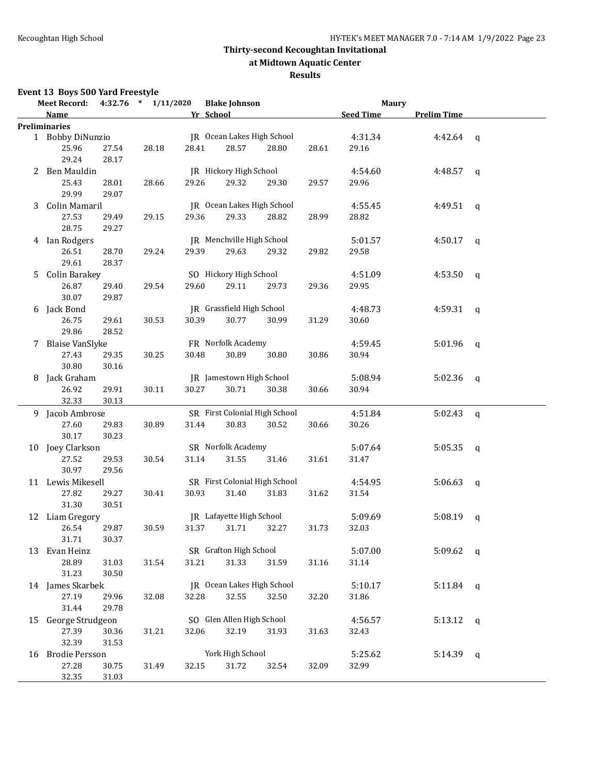**at Midtown Aquatic Center**

#### **Results**

# **Event 13 Boys 500 Yard Freestyle**

|   | <b>Meet Record:</b>  |       | $4:32.76$ * $1/11/2020$ |       | <b>Blake Johnson</b>          |       |       | <b>Maury</b>     |                    |  |
|---|----------------------|-------|-------------------------|-------|-------------------------------|-------|-------|------------------|--------------------|--|
|   | Name                 |       |                         |       | Yr School                     |       |       | <b>Seed Time</b> | <b>Prelim Time</b> |  |
|   | <b>Preliminaries</b> |       |                         |       |                               |       |       |                  |                    |  |
|   | 1 Bobby DiNunzio     |       |                         |       | JR Ocean Lakes High School    |       |       | 4:31.34          | 4:42.64 $q$        |  |
|   | 25.96                | 27.54 | 28.18                   | 28.41 | 28.57                         | 28.80 | 28.61 | 29.16            |                    |  |
|   | 29.24                | 28.17 |                         |       |                               |       |       |                  |                    |  |
|   | 2 Ben Mauldin        |       |                         |       | JR Hickory High School        |       |       | 4:54.60          | 4:48.57 $q$        |  |
|   | 25.43                | 28.01 | 28.66                   | 29.26 | 29.32                         | 29.30 | 29.57 | 29.96            |                    |  |
|   | 29.99                | 29.07 |                         |       |                               |       |       |                  |                    |  |
| 3 | Colin Mamaril        |       |                         |       | JR Ocean Lakes High School    |       |       | 4:55.45          | 4:49.51 q          |  |
|   | 27.53                | 29.49 | 29.15                   | 29.36 | 29.33                         | 28.82 | 28.99 | 28.82            |                    |  |
|   | 28.75                | 29.27 |                         |       |                               |       |       |                  |                    |  |
|   | 4 Ian Rodgers        |       |                         |       | JR Menchville High School     |       |       | 5:01.57          | 4:50.17 q          |  |
|   | 26.51                | 28.70 | 29.24                   | 29.39 | 29.63                         | 29.32 | 29.82 | 29.58            |                    |  |
|   | 29.61                | 28.37 |                         |       |                               |       |       |                  |                    |  |
|   |                      |       |                         |       |                               |       |       |                  |                    |  |
|   | 5 Colin Barakey      |       |                         |       | SO Hickory High School        |       |       | 4:51.09          | 4:53.50 $q$        |  |
|   | 26.87                | 29.40 | 29.54                   | 29.60 | 29.11                         | 29.73 | 29.36 | 29.95            |                    |  |
|   | 30.07                | 29.87 |                         |       |                               |       |       |                  |                    |  |
|   | 6 Jack Bond          |       |                         |       | JR Grassfield High School     |       |       | 4:48.73          | 4:59.31 $q$        |  |
|   | 26.75                | 29.61 | 30.53                   | 30.39 | 30.77                         | 30.99 | 31.29 | 30.60            |                    |  |
|   | 29.86                | 28.52 |                         |       |                               |       |       |                  |                    |  |
|   | 7 Blaise VanSlyke    |       |                         |       | FR Norfolk Academy            |       |       | 4:59.45          | $5:01.96$ q        |  |
|   | 27.43                | 29.35 | 30.25                   | 30.48 | 30.89                         | 30.80 | 30.86 | 30.94            |                    |  |
|   | 30.80                | 30.16 |                         |       |                               |       |       |                  |                    |  |
|   | 8 Jack Graham        |       |                         |       | JR Jamestown High School      |       |       | 5:08.94          | $5:02.36$ q        |  |
|   | 26.92                | 29.91 | 30.11                   | 30.27 | 30.71                         | 30.38 | 30.66 | 30.94            |                    |  |
|   | 32.33                | 30.13 |                         |       |                               |       |       |                  |                    |  |
|   | 9 Jacob Ambrose      |       |                         |       | SR First Colonial High School |       |       | 4:51.84          | 5:02.43 $q$        |  |
|   | 27.60                | 29.83 | 30.89                   | 31.44 | 30.83                         | 30.52 | 30.66 | 30.26            |                    |  |
|   | 30.17                | 30.23 |                         |       |                               |       |       |                  |                    |  |
|   | 10 Joey Clarkson     |       |                         |       | SR Norfolk Academy            |       |       | 5:07.64          | $5:05.35$ q        |  |
|   | 27.52                | 29.53 | 30.54                   | 31.14 | 31.55                         | 31.46 | 31.61 | 31.47            |                    |  |
|   | 30.97                | 29.56 |                         |       |                               |       |       |                  |                    |  |
|   | 11 Lewis Mikesell    |       |                         |       | SR First Colonial High School |       |       | 4:54.95          | 5:06.63 q          |  |
|   | 27.82                | 29.27 | 30.41                   | 30.93 | 31.40                         | 31.83 | 31.62 | 31.54            |                    |  |
|   | 31.30                | 30.51 |                         |       |                               |       |       |                  |                    |  |
|   | 12 Liam Gregory      |       |                         |       | JR Lafayette High School      |       |       | 5:09.69          | $5:08.19$ q        |  |
|   | 26.54                | 29.87 | 30.59                   | 31.37 | 31.71                         | 32.27 | 31.73 | 32.03            |                    |  |
|   | 31.71                | 30.37 |                         |       |                               |       |       |                  |                    |  |
|   |                      |       |                         |       | SR Grafton High School        |       |       | 5:07.00          | 5:09.62 $q$        |  |
|   | 13 Evan Heinz        |       |                         |       |                               |       |       |                  |                    |  |
|   | 28.89                | 31.03 | 31.54                   | 31.21 | 31.33                         | 31.59 | 31.16 | 31.14            |                    |  |
|   | 31.23                | 30.50 |                         |       |                               |       |       |                  |                    |  |
|   | 14 James Skarbek     |       |                         |       | JR Ocean Lakes High School    |       |       | 5:10.17          | 5:11.84 $q$        |  |
|   | 27.19                | 29.96 | 32.08                   | 32.28 | 32.55                         | 32.50 | 32.20 | 31.86            |                    |  |
|   | 31.44                | 29.78 |                         |       |                               |       |       |                  |                    |  |
|   | 15 George Strudgeon  |       |                         |       | SO Glen Allen High School     |       |       | 4:56.57          | $5:13.12$ q        |  |
|   | 27.39                | 30.36 | 31.21                   | 32.06 | 32.19                         | 31.93 | 31.63 | 32.43            |                    |  |
|   | 32.39                | 31.53 |                         |       |                               |       |       |                  |                    |  |
|   | 16 Brodie Persson    |       |                         |       | York High School              |       |       | 5:25.62          | $5:14.39$ q        |  |
|   | 27.28                | 30.75 | 31.49                   | 32.15 | 31.72                         | 32.54 | 32.09 | 32.99            |                    |  |
|   | 32.35                | 31.03 |                         |       |                               |       |       |                  |                    |  |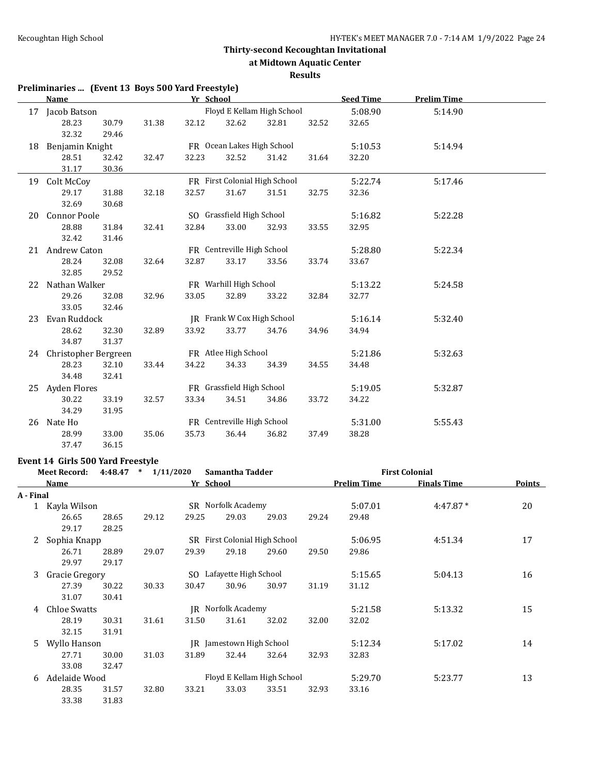**Preliminaries ... (Event 13 Boys 500 Yard Freestyle)**

#### **Thirty-second Kecoughtan Invitational**

**at Midtown Aquatic Center**

#### **Results**

#### **Name** *Yr* **School <b>Seed Time Prelim Time** 17 Jacob Batson Floyd E Kellam High School 5:08.90 5:14.90 28.23 30.79 31.38 32.12 32.62 32.81 32.52 32.65 32.32 29.46 18 Benjamin Knight FR Ocean Lakes High School 5:10.53 5:14.94 28.51 32.42 32.47 32.23 32.52 31.42 31.64 32.20 31.17 30.36 19 Colt McCoy FR First Colonial High School 5:22.74 5:17.46 29.17 31.88 32.18 32.57 31.67 31.51 32.75 32.36 32.69 30.68 20 Connor Poole SO Grassfield High School 5:16.82 5:22.28 28.88 31.84 32.41 32.84 33.00 32.93 33.55 32.95 32.42 31.46 21 Andrew Caton FR Centreville High School 5:28.80 5:22.34 28.24 32.08 32.64 32.87 33.17 33.56 33.74 33.67 32.85 29.52 22 Nathan Walker **FR** Warhill High School 5:13.22 5:24.58 29.26 32.08 32.96 33.05 32.89 33.22 32.84 32.77 33.05 32.46 23 Evan Ruddock **JR** Frank W Cox High School 5:16.14 5:32.40 28.62 32.30 32.89 33.92 33.77 34.76 34.96 34.94 34.87 31.37 24 Christopher Bergreen FR Atlee High School 5:21.86 5:32.63 28.23 32.10 33.44 34.22 34.33 34.39 34.55 34.48 34.48 32.41 25 Ayden Flores FR Grassfield High School 5:19.05 5:32.87 30.22 33.19 32.57 33.34 34.51 34.86 33.72 34.22 34.29 31.95 26 Nate Ho FR Centreville High School 5:31.00 5:55.43 28.99 33.00 35.06 35.73 36.44 36.82 37.49 38.28 37.47 36.15

#### **Event 14 Girls 500 Yard Freestyle**

|           | <b>Meet Record:</b> | 4:48.47 | $\ast$<br>1/11/2020 |           | Samantha Tadder                 |       |       |                    | <b>First Colonial</b> |               |
|-----------|---------------------|---------|---------------------|-----------|---------------------------------|-------|-------|--------------------|-----------------------|---------------|
|           | Name                |         |                     | Yr School |                                 |       |       | <b>Prelim Time</b> | <b>Finals Time</b>    | <b>Points</b> |
| A - Final |                     |         |                     |           |                                 |       |       |                    |                       |               |
|           | 1 Kayla Wilson      |         |                     |           | <b>SR</b> Norfolk Academy       |       |       | 5:07.01            | $4:47.87*$            | 20            |
|           | 26.65               | 28.65   | 29.12               | 29.25     | 29.03                           | 29.03 | 29.24 | 29.48              |                       |               |
|           | 29.17               | 28.25   |                     |           |                                 |       |       |                    |                       |               |
| 2         | Sophia Knapp        |         |                     |           | SR First Colonial High School   |       |       | 5:06.95            | 4:51.34               | 17            |
|           | 26.71               | 28.89   | 29.07               | 29.39     | 29.18                           | 29.60 | 29.50 | 29.86              |                       |               |
|           | 29.97               | 29.17   |                     |           |                                 |       |       |                    |                       |               |
| 3         | Gracie Gregory      |         |                     |           | SO Lafayette High School        |       |       | 5:15.65            | 5:04.13               | 16            |
|           | 27.39               | 30.22   | 30.33               | 30.47     | 30.96                           | 30.97 | 31.19 | 31.12              |                       |               |
|           | 31.07               | 30.41   |                     |           |                                 |       |       |                    |                       |               |
| 4         | <b>Chloe Swatts</b> |         |                     |           | <b>IR</b> Norfolk Academy       |       |       | 5:21.58            | 5:13.32               | 15            |
|           | 28.19               | 30.31   | 31.61               | 31.50     | 31.61                           | 32.02 | 32.00 | 32.02              |                       |               |
|           | 32.15               | 31.91   |                     |           |                                 |       |       |                    |                       |               |
| 5.        | Wyllo Hanson        |         |                     |           | <b>IR</b> Jamestown High School |       |       | 5:12.34            | 5:17.02               | 14            |
|           | 27.71               | 30.00   | 31.03               | 31.89     | 32.44                           | 32.64 | 32.93 | 32.83              |                       |               |
|           | 33.08               | 32.47   |                     |           |                                 |       |       |                    |                       |               |
| 6         | Adelaide Wood       |         |                     |           | Floyd E Kellam High School      |       |       | 5:29.70            | 5:23.77               | 13            |
|           | 28.35               | 31.57   | 32.80               | 33.21     | 33.03                           | 33.51 | 32.93 | 33.16              |                       |               |
|           | 33.38               | 31.83   |                     |           |                                 |       |       |                    |                       |               |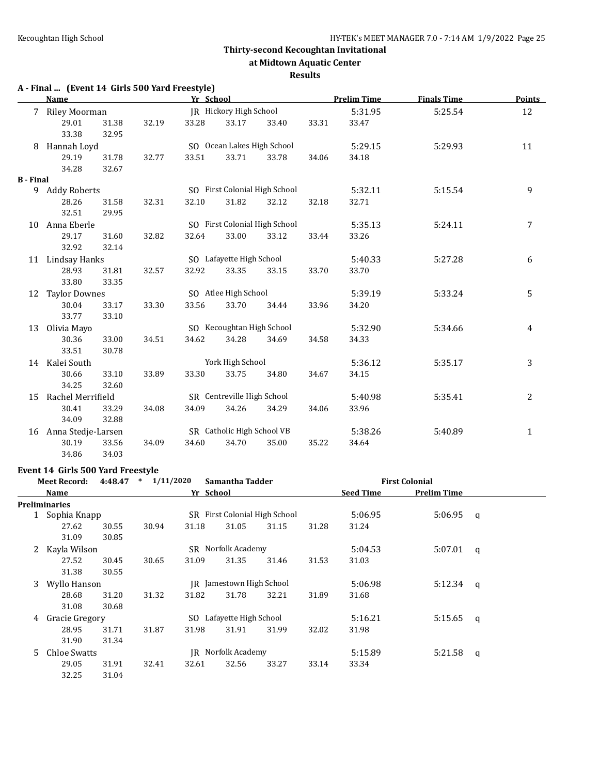**at Midtown Aquatic Center**

#### **Results**

# **A - Final ... (Event 14 Girls 500 Yard Freestyle)**

|                  | <b>Name</b>          |       |       | Yr School |                            |                               |       | <b>Prelim Time</b> | <b>Finals Time</b> | <b>Points</b> |
|------------------|----------------------|-------|-------|-----------|----------------------------|-------------------------------|-------|--------------------|--------------------|---------------|
| 7                | Riley Moorman        |       |       |           | JR Hickory High School     |                               |       | 5:31.95            | 5:25.54            | 12            |
|                  | 29.01                | 31.38 | 32.19 | 33.28     | 33.17                      | 33.40                         | 33.31 | 33.47              |                    |               |
|                  | 33.38                | 32.95 |       |           |                            |                               |       |                    |                    |               |
| 8                | Hannah Loyd          |       |       |           | SO Ocean Lakes High School |                               |       | 5:29.15            | 5:29.93            | 11            |
|                  | 29.19                | 31.78 | 32.77 | 33.51     | 33.71                      | 33.78                         | 34.06 | 34.18              |                    |               |
|                  | 34.28                | 32.67 |       |           |                            |                               |       |                    |                    |               |
| <b>B</b> - Final |                      |       |       |           |                            |                               |       |                    |                    |               |
| 9                | <b>Addy Roberts</b>  |       |       |           |                            | SO First Colonial High School |       | 5:32.11            | 5:15.54            | 9             |
|                  | 28.26                | 31.58 | 32.31 | 32.10     | 31.82                      | 32.12                         | 32.18 | 32.71              |                    |               |
|                  | 32.51                | 29.95 |       |           |                            |                               |       |                    |                    |               |
| 10               | Anna Eberle          |       |       |           |                            | SO First Colonial High School |       | 5:35.13            | 5:24.11            | 7             |
|                  | 29.17                | 31.60 | 32.82 | 32.64     | 33.00                      | 33.12                         | 33.44 | 33.26              |                    |               |
|                  | 32.92                | 32.14 |       |           |                            |                               |       |                    |                    |               |
| 11               | Lindsay Hanks        |       |       |           | SO Lafayette High School   |                               |       | 5:40.33            | 5:27.28            | 6             |
|                  | 28.93                | 31.81 | 32.57 | 32.92     | 33.35                      | 33.15                         | 33.70 | 33.70              |                    |               |
|                  | 33.80                | 33.35 |       |           |                            |                               |       |                    |                    |               |
| 12               | <b>Taylor Downes</b> |       |       |           | SO Atlee High School       |                               |       | 5:39.19            | 5:33.24            | 5             |
|                  | 30.04                | 33.17 | 33.30 | 33.56     | 33.70                      | 34.44                         | 33.96 | 34.20              |                    |               |
|                  | 33.77                | 33.10 |       |           |                            |                               |       |                    |                    |               |
| 13               | Olivia Mayo          |       |       |           | SO Kecoughtan High School  |                               |       | 5:32.90            | 5:34.66            | 4             |
|                  | 30.36                | 33.00 | 34.51 | 34.62     | 34.28                      | 34.69                         | 34.58 | 34.33              |                    |               |
|                  | 33.51                | 30.78 |       |           |                            |                               |       |                    |                    |               |
| 14               | Kalei South          |       |       |           | York High School           |                               |       | 5:36.12            | 5:35.17            | 3             |
|                  | 30.66                | 33.10 | 33.89 | 33.30     | 33.75                      | 34.80                         | 34.67 | 34.15              |                    |               |
|                  | 34.25                | 32.60 |       |           |                            |                               |       |                    |                    |               |
| 15               | Rachel Merrifield    |       |       |           | SR Centreville High School |                               |       | 5:40.98            | 5:35.41            | 2             |
|                  | 30.41                | 33.29 | 34.08 | 34.09     | 34.26                      | 34.29                         | 34.06 | 33.96              |                    |               |
|                  | 34.09                | 32.88 |       |           |                            |                               |       |                    |                    |               |
| 16               | Anna Stedje-Larsen   |       |       |           | SR Catholic High School VB |                               |       | 5:38.26            | 5:40.89            | $\mathbf{1}$  |
|                  | 30.19                | 33.56 | 34.09 | 34.60     | 34.70                      | 35.00                         | 35.22 | 34.64              |                    |               |
|                  | 34.86                | 34.03 |       |           |                            |                               |       |                    |                    |               |

#### **Event 14 Girls 500 Yard Freestyle**

|    | <b>Meet Record:</b> | 1/11/2020<br>$\ast$<br>4:48.47<br>Samantha Tadder |       |           |                           | <b>First Colonial</b>         |       |                  |             |          |
|----|---------------------|---------------------------------------------------|-------|-----------|---------------------------|-------------------------------|-------|------------------|-------------|----------|
|    | <b>Name</b>         |                                                   |       | Yr School |                           |                               |       | <b>Seed Time</b> | Prelim Time |          |
|    | Preliminaries       |                                                   |       |           |                           |                               |       |                  |             |          |
|    | 1 Sophia Knapp      |                                                   |       |           |                           | SR First Colonial High School |       | 5:06.95          | 5:06.95     | q        |
|    | 27.62               | 30.55                                             | 30.94 | 31.18     | 31.05                     | 31.15                         | 31.28 | 31.24            |             |          |
|    | 31.09               | 30.85                                             |       |           |                           |                               |       |                  |             |          |
| 2  | Kayla Wilson        |                                                   |       |           | <b>SR</b> Norfolk Academy |                               |       | 5:04.53          | 5:07.01     | q        |
|    | 27.52               | 30.45                                             | 30.65 | 31.09     | 31.35                     | 31.46                         | 31.53 | 31.03            |             |          |
|    | 31.38               | 30.55                                             |       |           |                           |                               |       |                  |             |          |
| 3  | Wyllo Hanson        |                                                   |       |           | JR Jamestown High School  |                               |       | 5:06.98          | 5:12.34     | <b>q</b> |
|    | 28.68               | 31.20                                             | 31.32 | 31.82     | 31.78                     | 32.21                         | 31.89 | 31.68            |             |          |
|    | 31.08               | 30.68                                             |       |           |                           |                               |       |                  |             |          |
| 4  | Gracie Gregory      |                                                   |       |           | SO Lafayette High School  |                               |       | 5:16.21          | 5:15.65     | q        |
|    | 28.95               | 31.71                                             | 31.87 | 31.98     | 31.91                     | 31.99                         | 32.02 | 31.98            |             |          |
|    | 31.90               | 31.34                                             |       |           |                           |                               |       |                  |             |          |
| 5. | Chloe Swatts        |                                                   |       |           | <b>IR</b> Norfolk Academy |                               |       | 5:15.89          | 5:21.58     | q        |
|    | 29.05               | 31.91                                             | 32.41 | 32.61     | 32.56                     | 33.27                         | 33.14 | 33.34            |             |          |
|    | 32.25               | 31.04                                             |       |           |                           |                               |       |                  |             |          |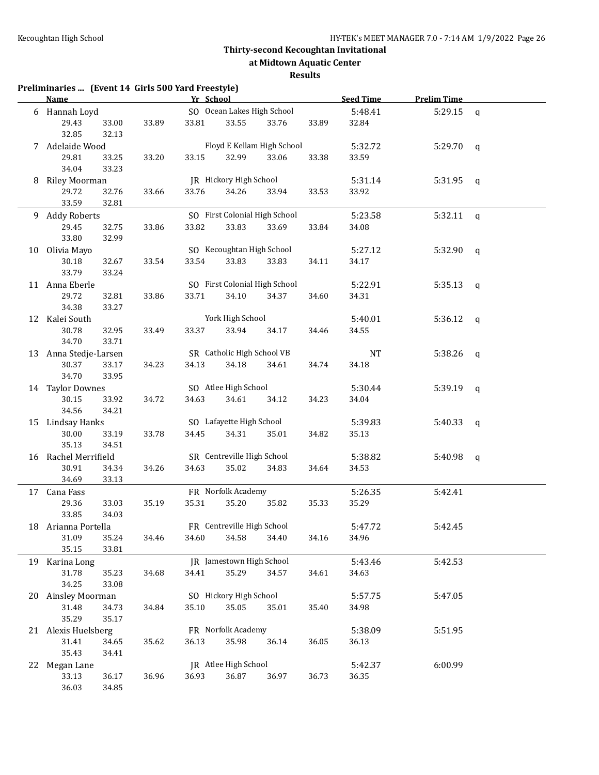**at Midtown Aquatic Center**

### **Results**

| Preliminaries  (Event 14 Girls 500 Yard Freestyle)<br>Name |                |       |       | Yr School                  |                               |       | <b>Seed Time</b> | <b>Prelim Time</b>  |                |  |
|------------------------------------------------------------|----------------|-------|-------|----------------------------|-------------------------------|-------|------------------|---------------------|----------------|--|
| 6 Hannah Loyd                                              |                |       |       |                            | SO Ocean Lakes High School    |       | 5:48.41          | 5:29.15             | $\mathsf{q}$   |  |
| 29.43                                                      | 33.00          | 33.89 | 33.81 | 33.55                      | 33.76                         | 33.89 | 32.84            |                     |                |  |
| 32.85                                                      | 32.13          |       |       |                            |                               |       |                  |                     |                |  |
| 7 Adelaide Wood                                            |                |       |       |                            | Floyd E Kellam High School    |       | 5:32.72          | 5:29.70             | $\mathsf{q}$   |  |
| 29.81                                                      | 33.25          | 33.20 | 33.15 | 32.99                      | 33.06                         | 33.38 | 33.59            |                     |                |  |
| 34.04                                                      | 33.23          |       |       |                            |                               |       |                  |                     |                |  |
| 8 Riley Moorman                                            |                |       |       | JR Hickory High School     |                               |       | 5:31.14          | 5:31.95 $q$         |                |  |
| 29.72                                                      | 32.76          | 33.66 | 33.76 | 34.26                      | 33.94                         | 33.53 | 33.92            |                     |                |  |
| 33.59                                                      | 32.81          |       |       |                            |                               |       |                  |                     |                |  |
| 9 Addy Roberts                                             |                |       |       |                            | SO First Colonial High School |       | 5:23.58          | $5:32.11 \text{ q}$ |                |  |
| 29.45                                                      | 32.75          | 33.86 | 33.82 | 33.83                      | 33.69                         | 33.84 | 34.08            |                     |                |  |
| 33.80                                                      | 32.99          |       |       |                            |                               |       |                  |                     |                |  |
| 10 Olivia Mayo                                             |                |       |       | SO Kecoughtan High School  |                               |       | 5:27.12          | 5:32.90             | $\mathfrak{q}$ |  |
| 30.18                                                      | 32.67          | 33.54 | 33.54 | 33.83                      | 33.83                         | 34.11 | 34.17            |                     |                |  |
| 33.79                                                      | 33.24          |       |       |                            |                               |       |                  |                     |                |  |
| 11 Anna Eberle                                             |                |       |       |                            | SO First Colonial High School |       | 5:22.91          | 5:35.13             | $\mathbf{q}$   |  |
| 29.72                                                      | 32.81          | 33.86 | 33.71 | 34.10                      | 34.37                         | 34.60 | 34.31            |                     |                |  |
| 34.38                                                      | 33.27          |       |       |                            |                               |       |                  |                     |                |  |
| 12 Kalei South                                             |                |       |       | York High School           |                               |       | 5:40.01          | 5:36.12             | $\mathfrak{q}$ |  |
| 30.78                                                      | 32.95          | 33.49 | 33.37 | 33.94                      | 34.17                         | 34.46 | 34.55            |                     |                |  |
| 34.70                                                      | 33.71          |       |       |                            |                               |       |                  |                     |                |  |
| 13 Anna Stedje-Larsen                                      |                |       |       | SR Catholic High School VB |                               |       | <b>NT</b>        | 5:38.26             | $\mathsf{q}$   |  |
| 30.37<br>34.70                                             | 33.17<br>33.95 | 34.23 | 34.13 | 34.18                      | 34.61                         | 34.74 | 34.18            |                     |                |  |
| 14 Taylor Downes                                           |                |       |       | SO Atlee High School       |                               |       | 5:30.44          | 5:39.19             | $\mathbf q$    |  |
| 30.15                                                      | 33.92          | 34.72 | 34.63 | 34.61                      | 34.12                         | 34.23 | 34.04            |                     |                |  |
| 34.56                                                      | 34.21          |       |       |                            |                               |       |                  |                     |                |  |
| 15 Lindsay Hanks                                           |                |       |       | SO Lafayette High School   |                               |       | 5:39.83          | 5:40.33             | $\mathfrak{q}$ |  |
| 30.00                                                      | 33.19          | 33.78 | 34.45 | 34.31                      | 35.01                         | 34.82 | 35.13            |                     |                |  |
| 35.13                                                      | 34.51          |       |       |                            |                               |       |                  |                     |                |  |
| 16 Rachel Merrifield                                       |                |       |       | SR Centreville High School |                               |       | 5:38.82          | 5:40.98             | q              |  |
| 30.91                                                      | 34.34          | 34.26 | 34.63 | 35.02                      | 34.83                         | 34.64 | 34.53            |                     |                |  |
| 34.69                                                      | 33.13          |       |       |                            |                               |       |                  |                     |                |  |
| 17 Cana Fass                                               |                |       |       | FR Norfolk Academy         |                               |       | 5:26.35          | 5:42.41             |                |  |
| 29.36                                                      | 33.03          | 35.19 | 35.31 | 35.20                      | 35.82                         | 35.33 | 35.29            |                     |                |  |
| 33.85                                                      | 34.03          |       |       |                            |                               |       |                  |                     |                |  |
| 18 Arianna Portella                                        |                |       |       | FR Centreville High School |                               |       | 5:47.72          | 5:42.45             |                |  |
| 31.09                                                      | 35.24          | 34.46 | 34.60 | 34.58                      | 34.40                         | 34.16 | 34.96            |                     |                |  |
| 35.15                                                      | 33.81          |       |       |                            |                               |       |                  |                     |                |  |
| 19 Karina Long                                             |                |       |       | JR Jamestown High School   |                               |       | 5:43.46          | 5:42.53             |                |  |
| 31.78                                                      | 35.23          | 34.68 | 34.41 | 35.29                      | 34.57                         | 34.61 | 34.63            |                     |                |  |
| 34.25                                                      | 33.08          |       |       |                            |                               |       |                  |                     |                |  |
| 20 Ainsley Moorman                                         |                |       |       | SO Hickory High School     |                               |       | 5:57.75          | 5:47.05             |                |  |
| 31.48                                                      | 34.73          | 34.84 | 35.10 | 35.05                      | 35.01                         | 35.40 | 34.98            |                     |                |  |
| 35.29                                                      | 35.17          |       |       |                            |                               |       |                  |                     |                |  |
| 21 Alexis Huelsberg                                        |                |       |       | FR Norfolk Academy         |                               |       | 5:38.09          | 5:51.95             |                |  |
| 31.41                                                      | 34.65          | 35.62 | 36.13 | 35.98                      | 36.14                         | 36.05 | 36.13            |                     |                |  |
| 35.43                                                      | 34.41          |       |       |                            |                               |       |                  |                     |                |  |
| 22 Megan Lane                                              |                |       |       | JR Atlee High School       |                               |       | 5:42.37          | 6:00.99             |                |  |
| 33.13                                                      | 36.17          | 36.96 | 36.93 | 36.87                      | 36.97                         | 36.73 | 36.35            |                     |                |  |
| 36.03                                                      | 34.85          |       |       |                            |                               |       |                  |                     |                |  |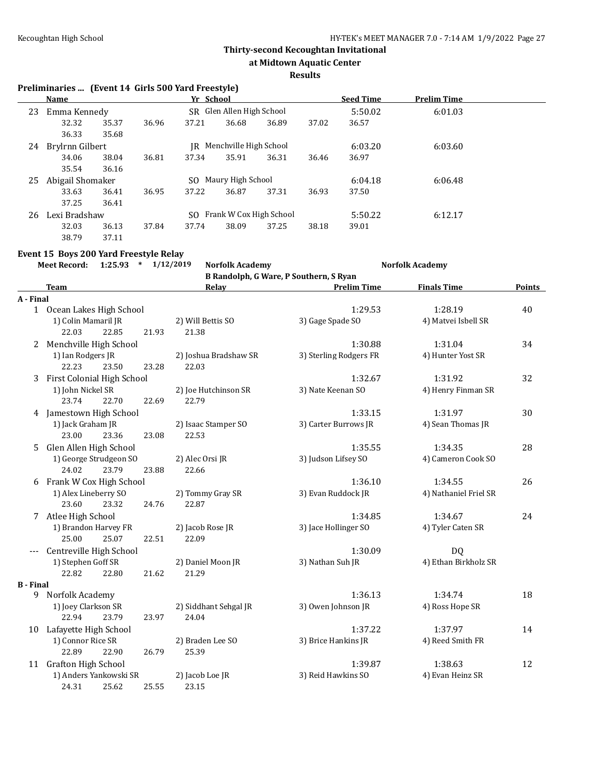**at Midtown Aquatic Center**

#### **Results**

# **Preliminaries ... (Event 14 Girls 500 Yard Freestyle)**

|    | <b>Name</b>      |       |       | Yr School |                           |       |       | <b>Seed Time</b> | <b>Prelim Time</b> |  |
|----|------------------|-------|-------|-----------|---------------------------|-------|-------|------------------|--------------------|--|
| 23 | Emma Kennedy     |       |       |           | SR Glen Allen High School |       |       | 5:50.02          | 6:01.03            |  |
|    | 32.32            | 35.37 | 36.96 | 37.21     | 36.68                     | 36.89 | 37.02 | 36.57            |                    |  |
|    | 36.33            | 35.68 |       |           |                           |       |       |                  |                    |  |
| 24 | Brylrnn Gilbert  |       |       | IR        | Menchville High School    |       |       | 6:03.20          | 6:03.60            |  |
|    | 34.06            | 38.04 | 36.81 | 37.34     | 35.91                     | 36.31 | 36.46 | 36.97            |                    |  |
|    | 35.54            | 36.16 |       |           |                           |       |       |                  |                    |  |
| 25 | Abigail Shomaker |       |       | SO.       | Maury High School         |       |       | 6:04.18          | 6:06.48            |  |
|    | 33.63            | 36.41 | 36.95 | 37.22     | 36.87                     | 37.31 | 36.93 | 37.50            |                    |  |
|    | 37.25            | 36.41 |       |           |                           |       |       |                  |                    |  |
| 26 | Lexi Bradshaw    |       |       | SO.       | Frank W Cox High School   |       |       | 5:50.22          | 6:12.17            |  |
|    | 32.03            | 36.13 | 37.84 | 37.74     | 38.09                     | 37.25 | 38.18 | 39.01            |                    |  |
|    | 38.79            | 37.11 |       |           |                           |       |       |                  |                    |  |

### **Event 15 Boys 200 Yard Freestyle Relay**

|                  | $*$ 1/12/2019<br><b>Meet Record:</b><br>1:25.93 | <b>Norfolk Academy</b> |                                        | <b>Norfolk Academy</b> |               |
|------------------|-------------------------------------------------|------------------------|----------------------------------------|------------------------|---------------|
|                  |                                                 |                        | B Randolph, G Ware, P Southern, S Ryan |                        |               |
|                  | <b>Team</b>                                     | Relay                  | <b>Prelim Time</b>                     | <b>Finals Time</b>     | <b>Points</b> |
| A - Final        |                                                 |                        |                                        |                        |               |
|                  | 1 Ocean Lakes High School                       |                        | 1:29.53                                | 1:28.19                | 40            |
|                  | 1) Colin Mamaril JR                             | 2) Will Bettis SO      | 3) Gage Spade SO                       | 4) Matvei Isbell SR    |               |
|                  | 22.03<br>22.85<br>21.93                         | 21.38                  |                                        |                        |               |
|                  | 2 Menchville High School                        |                        | 1:30.88                                | 1:31.04                | 34            |
|                  | 1) Ian Rodgers JR                               | 2) Joshua Bradshaw SR  | 3) Sterling Rodgers FR                 | 4) Hunter Yost SR      |               |
|                  | 22.23<br>23.50<br>23.28                         | 22.03                  |                                        |                        |               |
|                  | 3 First Colonial High School                    |                        | 1:32.67                                | 1:31.92                | 32            |
|                  | 1) John Nickel SR                               | 2) Joe Hutchinson SR   | 3) Nate Keenan SO                      | 4) Henry Finman SR     |               |
|                  | 23.74<br>22.70<br>22.69                         | 22.79                  |                                        |                        |               |
|                  | 4 Jamestown High School                         |                        | 1:33.15                                | 1:31.97                | 30            |
|                  | 1) Jack Graham JR                               | 2) Isaac Stamper SO    | 3) Carter Burrows JR                   | 4) Sean Thomas JR      |               |
|                  | 23.36<br>23.08<br>23.00                         | 22.53                  |                                        |                        |               |
| 5                | Glen Allen High School                          |                        | 1:35.55                                | 1:34.35                | 28            |
|                  | 1) George Strudgeon SO                          | 2) Alec Orsi JR        | 3) Judson Lifsey SO                    | 4) Cameron Cook SO     |               |
|                  | 24.02<br>23.79<br>23.88                         | 22.66                  |                                        |                        |               |
|                  | 6 Frank W Cox High School                       |                        | 1:36.10                                | 1:34.55                | 26            |
|                  | 1) Alex Lineberry SO                            | 2) Tommy Gray SR       | 3) Evan Ruddock JR                     | 4) Nathaniel Friel SR  |               |
|                  | 23.60<br>23.32<br>24.76                         | 22.87                  |                                        |                        |               |
|                  | 7 Atlee High School                             |                        | 1:34.85                                | 1:34.67                | 24            |
|                  | 1) Brandon Harvey FR                            | 2) Jacob Rose JR       | 3) Jace Hollinger SO                   | 4) Tyler Caten SR      |               |
|                  | 25.07<br>22.51<br>25.00                         | 22.09                  |                                        |                        |               |
| ---              | Centreville High School                         |                        | 1:30.09                                | <b>DQ</b>              |               |
|                  | 1) Stephen Goff SR                              | 2) Daniel Moon JR      | 3) Nathan Suh JR                       | 4) Ethan Birkholz SR   |               |
|                  | 22.82<br>21.62<br>22.80                         | 21.29                  |                                        |                        |               |
| <b>B</b> - Final |                                                 |                        |                                        |                        |               |
| 9                | Norfolk Academy                                 |                        | 1:36.13                                | 1:34.74                | 18            |
|                  | 1) Joey Clarkson SR                             | 2) Siddhant Sehgal JR  | 3) Owen Johnson JR                     | 4) Ross Hope SR        |               |
|                  | 22.94<br>23.79<br>23.97                         | 24.04                  |                                        |                        |               |
|                  | 10 Lafayette High School                        |                        | 1:37.22                                | 1:37.97                | 14            |
|                  | 1) Connor Rice SR                               | 2) Braden Lee SO       | 3) Brice Hankins JR                    | 4) Reed Smith FR       |               |
|                  | 22.89<br>22.90<br>26.79                         | 25.39                  |                                        |                        |               |
|                  | 11 Grafton High School                          |                        | 1:39.87                                | 1:38.63                | 12            |
|                  | 1) Anders Yankowski SR                          | 2) Jacob Loe JR        | 3) Reid Hawkins SO                     | 4) Evan Heinz SR       |               |
|                  | 24.31<br>25.62<br>25.55                         | 23.15                  |                                        |                        |               |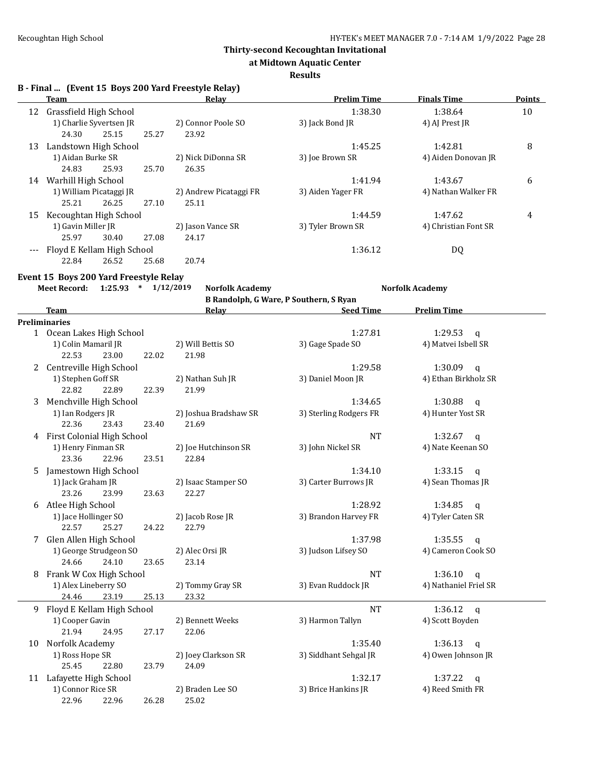**at Midtown Aquatic Center**

#### **Results**

**B - Final ... (Event 15 Boys 200 Yard Freestyle Relay)**

|    | Team                       |       |       | Relay                  | <b>Prelim Time</b> | <b>Finals Time</b>   | <b>Points</b> |
|----|----------------------------|-------|-------|------------------------|--------------------|----------------------|---------------|
| 12 | Grassfield High School     |       |       |                        | 1:38.30            | 1:38.64              | 10            |
|    | 1) Charlie Syvertsen JR    |       |       | 2) Connor Poole SO     | 3) Jack Bond JR    | 4) AJ Prest JR       |               |
|    | 24.30                      | 25.15 | 25.27 | 23.92                  |                    |                      |               |
| 13 | Landstown High School      |       |       |                        | 1:45.25            | 1:42.81              | 8             |
|    | 1) Aidan Burke SR          |       |       | 2) Nick DiDonna SR     | 3) Joe Brown SR    | 4) Aiden Donovan JR  |               |
|    | 24.83                      | 25.93 | 25.70 | 26.35                  |                    |                      |               |
| 14 | Warhill High School        |       |       |                        | 1:41.94            | 1:43.67              | 6             |
|    | 1) William Picataggi JR    |       |       | 2) Andrew Picataggi FR | 3) Aiden Yager FR  | 4) Nathan Walker FR  |               |
|    | 25.21                      | 26.25 | 27.10 | 25.11                  |                    |                      |               |
| 15 | Kecoughtan High School     |       |       |                        | 1:44.59            | 1:47.62              | 4             |
|    | 1) Gavin Miller JR         |       |       | 2) Jason Vance SR      | 3) Tyler Brown SR  | 4) Christian Font SR |               |
|    | 25.97                      | 30.40 | 27.08 | 24.17                  |                    |                      |               |
|    | Floyd E Kellam High School |       |       |                        | 1:36.12            | DQ                   |               |
|    | 22.84                      | 26.52 | 25.68 | 20.74                  |                    |                      |               |

### **Event 15 Boys 200 Yard Freestyle Relay**

**Meet Record: 1:25.93 \* 1/12/2019 Norfolk Academy Norfolk Academy**

**B Randolph, G Ware, P Southern, S Ryan**

|    | <b>Team</b>                  | Relay                 | <b>Seed Time</b>       | <b>Prelim Time</b>      |
|----|------------------------------|-----------------------|------------------------|-------------------------|
|    | Preliminaries                |                       |                        |                         |
|    | 1 Ocean Lakes High School    |                       | 1:27.81                | 1:29.53<br>$\mathsf{q}$ |
|    | 1) Colin Mamaril JR          | 2) Will Bettis SO     | 3) Gage Spade SO       | 4) Matvei Isbell SR     |
|    | 22.53<br>23.00<br>22.02      | 21.98                 |                        |                         |
|    | 2 Centreville High School    |                       | 1:29.58                | $1:30.09$ q             |
|    | 1) Stephen Goff SR           | 2) Nathan Suh JR      | 3) Daniel Moon JR      | 4) Ethan Birkholz SR    |
|    | 22.82<br>22.89<br>22.39      | 21.99                 |                        |                         |
| 3  | Menchville High School       |                       | 1:34.65                | 1:30.88<br>$\mathsf{q}$ |
|    | 1) Ian Rodgers JR            | 2) Joshua Bradshaw SR | 3) Sterling Rodgers FR | 4) Hunter Yost SR       |
|    | 22.36<br>23.43<br>23.40      | 21.69                 |                        |                         |
| 4  | First Colonial High School   |                       | <b>NT</b>              | 1:32.67<br>$\mathsf{q}$ |
|    | 1) Henry Finman SR           | 2) Joe Hutchinson SR  | 3) John Nickel SR      | 4) Nate Keenan SO       |
|    | 23.36<br>22.96<br>23.51      | 22.84                 |                        |                         |
| 5  | Jamestown High School        |                       | 1:34.10                | 1:33.15<br>$\mathsf{q}$ |
|    | 1) Jack Graham JR            | 2) Isaac Stamper SO   | 3) Carter Burrows JR   | 4) Sean Thomas JR       |
|    | 23.26<br>23.99<br>23.63      | 22.27                 |                        |                         |
| 6  | Atlee High School            |                       | 1:28.92                | 1:34.85<br>$\mathsf{q}$ |
|    | 1) Jace Hollinger SO         | 2) Jacob Rose JR      | 3) Brandon Harvey FR   | 4) Tyler Caten SR       |
|    | 22.57<br>25.27<br>24.22      | 22.79                 |                        |                         |
| 7  | Glen Allen High School       |                       | 1:37.98                | 1:35.55<br>$\mathbf{q}$ |
|    | 1) George Strudgeon SO       | 2) Alec Orsi JR       | 3) Judson Lifsey SO    | 4) Cameron Cook SO      |
|    | 24.10<br>24.66<br>23.65      | 23.14                 |                        |                         |
| 8  | Frank W Cox High School      |                       | <b>NT</b>              | 1:36.10<br>$\mathsf{q}$ |
|    | 1) Alex Lineberry SO         | 2) Tommy Gray SR      | 3) Evan Ruddock JR     | 4) Nathaniel Friel SR   |
|    | 24.46<br>23.19<br>25.13      | 23.32                 |                        |                         |
|    | 9 Floyd E Kellam High School |                       | <b>NT</b>              | 1:36.12<br>$\mathbf{q}$ |
|    | 1) Cooper Gavin              | 2) Bennett Weeks      | 3) Harmon Tallyn       | 4) Scott Boyden         |
|    | 21.94<br>24.95<br>27.17      | 22.06                 |                        |                         |
| 10 | Norfolk Academy              |                       | 1:35.40                | 1:36.13<br>$\mathsf{q}$ |
|    | 1) Ross Hope SR              | 2) Joey Clarkson SR   | 3) Siddhant Sehgal JR  | 4) Owen Johnson JR      |
|    | 25.45<br>22.80<br>23.79      | 24.09                 |                        |                         |
| 11 | Lafayette High School        |                       | 1:32.17                | 1:37.22<br>$\mathsf{q}$ |
|    | 1) Connor Rice SR            | 2) Braden Lee SO      | 3) Brice Hankins JR    | 4) Reed Smith FR        |
|    | 22.96<br>22.96<br>26.28      | 25.02                 |                        |                         |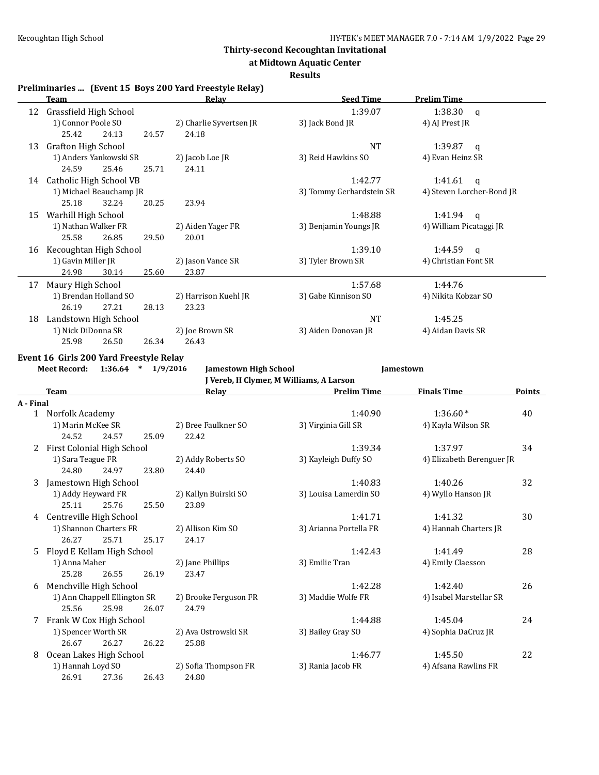**at Midtown Aquatic Center**

#### **Results**

#### **Preliminaries ... (Event 15 Boys 200 Yard Freestyle Relay)**

|    | Team                    |                         | <u>Relav</u>            | <b>Seed Time</b>         | <b>Prelim Time</b>        |
|----|-------------------------|-------------------------|-------------------------|--------------------------|---------------------------|
|    |                         |                         |                         |                          |                           |
| 12 | Grassfield High School  |                         |                         | 1:39.07                  | 1:38.30<br>q              |
|    | 1) Connor Poole SO      |                         | 2) Charlie Syvertsen JR | 3) Jack Bond JR          | 4) AJ Prest JR            |
|    | 25.42                   | 24.13<br>24.57          | 24.18                   |                          |                           |
| 13 | Grafton High School     |                         |                         | <b>NT</b>                | 1:39.87<br>q              |
|    | 1) Anders Yankowski SR  |                         | 2) Jacob Loe JR         | 3) Reid Hawkins SO       | 4) Evan Heinz SR          |
|    | 24.59                   | 25.46<br>25.71          | 24.11                   |                          |                           |
| 14 | Catholic High School VB |                         |                         | 1:42.77                  | 1:41.61<br>q              |
|    |                         | 1) Michael Beauchamp JR |                         | 3) Tommy Gerhardstein SR | 4) Steven Lorcher-Bond JR |
|    | 25.18                   | 32.24<br>20.25          | 23.94                   |                          |                           |
| 15 | Warhill High School     |                         |                         | 1:48.88                  | 1:41.94<br>a              |
|    | 1) Nathan Walker FR     |                         | 2) Aiden Yager FR       | 3) Benjamin Youngs JR    | 4) William Picataggi JR   |
|    | 25.58                   | 26.85<br>29.50          | 20.01                   |                          |                           |
| 16 | Kecoughtan High School  |                         |                         | 1:39.10                  | 1:44.59<br>q              |
|    | 1) Gavin Miller JR      |                         | 2) Jason Vance SR       | 3) Tyler Brown SR        | 4) Christian Font SR      |
|    | 24.98                   | 25.60<br>30.14          | 23.87                   |                          |                           |
| 17 | Maury High School       |                         |                         | 1:57.68                  | 1:44.76                   |
|    | 1) Brendan Holland SO   |                         | 2) Harrison Kuehl JR    | 3) Gabe Kinnison SO      | 4) Nikita Kobzar SO       |
|    | 26.19                   | 27.21<br>28.13          | 23.23                   |                          |                           |
| 18 | Landstown High School   |                         |                         | <b>NT</b>                | 1:45.25                   |
|    | 1) Nick DiDonna SR      |                         | 2) Joe Brown SR         | 3) Aiden Donovan JR      | 4) Aidan Davis SR         |
|    | 25.98                   | 26.34<br>26.50          | 26.43                   |                          |                           |

#### **Event 16 Girls 200 Yard Freestyle Relay**

**Meet Record: 1:36.64 \* 1/9/2016 Jamestown High School Jamestown**

**J Vereb, H Clymer, M Williams, A Larson**

|           | <b>Team</b>                |                              |       | Relav                 | <b>Prelim Time</b>     | <b>Finals Time</b>        | <b>Points</b> |
|-----------|----------------------------|------------------------------|-------|-----------------------|------------------------|---------------------------|---------------|
| A - Final |                            |                              |       |                       |                        |                           |               |
|           | 1 Norfolk Academy          |                              |       |                       | 1:40.90                | $1:36.60*$                | 40            |
|           | 1) Marin McKee SR          |                              |       | 2) Bree Faulkner SO   | 3) Virginia Gill SR    | 4) Kayla Wilson SR        |               |
|           | 24.52                      | 24.57                        | 25.09 | 22.42                 |                        |                           |               |
| 2         | First Colonial High School |                              |       |                       | 1:39.34                | 1:37.97                   | 34            |
|           | 1) Sara Teague FR          |                              |       | 2) Addy Roberts SO    | 3) Kayleigh Duffy SO   | 4) Elizabeth Berenguer JR |               |
|           | 24.80                      | 24.97                        | 23.80 | 24.40                 |                        |                           |               |
| 3         | Jamestown High School      |                              |       |                       | 1:40.83                | 1:40.26                   | 32            |
|           | 1) Addy Heyward FR         |                              |       | 2) Kallyn Buirski SO  | 3) Louisa Lamerdin SO  | 4) Wyllo Hanson JR        |               |
|           | 25.11                      | 25.76                        | 25.50 | 23.89                 |                        |                           |               |
| 4         | Centreville High School    |                              |       |                       | 1:41.71                | 1:41.32                   | 30            |
|           |                            | 1) Shannon Charters FR       |       | 2) Allison Kim SO     | 3) Arianna Portella FR | 4) Hannah Charters JR     |               |
|           | 26.27                      | 25.71                        | 25.17 | 24.17                 |                        |                           |               |
| 5         | Floyd E Kellam High School |                              |       |                       | 1:42.43                | 1:41.49                   | 28            |
|           | 1) Anna Maher              |                              |       | 2) Jane Phillips      | 3) Emilie Tran         | 4) Emily Claesson         |               |
|           | 25.28                      | 26.55                        | 26.19 | 23.47                 |                        |                           |               |
| 6         | Menchville High School     |                              |       |                       | 1:42.28                | 1:42.40                   | 26            |
|           |                            | 1) Ann Chappell Ellington SR |       | 2) Brooke Ferguson FR | 3) Maddie Wolfe FR     | 4) Isabel Marstellar SR   |               |
|           | 25.56                      | 25.98                        | 26.07 | 24.79                 |                        |                           |               |
| 7         | Frank W Cox High School    |                              |       |                       | 1:44.88                | 1:45.04                   | 24            |
|           | 1) Spencer Worth SR        |                              |       | 2) Ava Ostrowski SR   | 3) Bailey Gray SO      | 4) Sophia DaCruz JR       |               |
|           | 26.67                      | 26.27                        | 26.22 | 25.88                 |                        |                           |               |
| 8         | Ocean Lakes High School    |                              |       |                       | 1:46.77                | 1:45.50                   | 22            |
|           | 1) Hannah Loyd SO          |                              |       | 2) Sofia Thompson FR  | 3) Rania Jacob FR      | 4) Afsana Rawlins FR      |               |
|           | 26.91                      | 27.36                        | 26.43 | 24.80                 |                        |                           |               |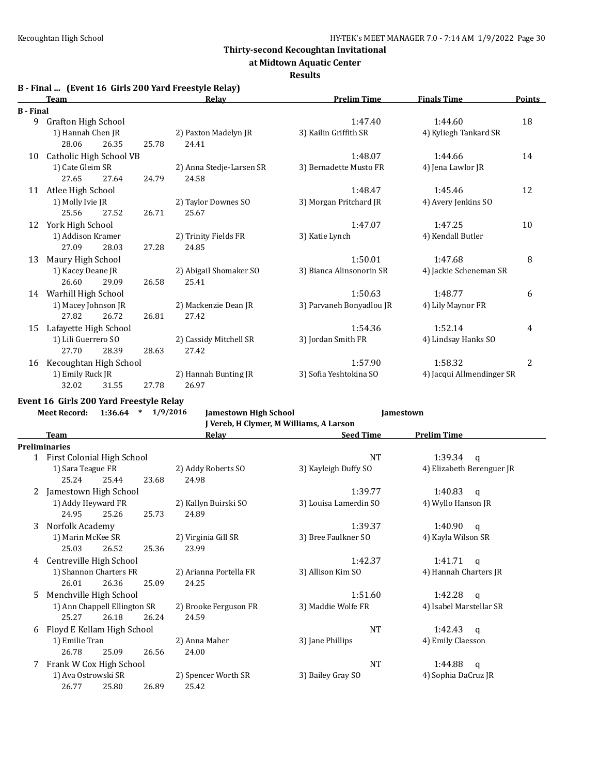**at Midtown Aquatic Center**

#### **Results**

|  | B - Final  (Event 16 Girls 200 Yard Freestyle Relay) |  |
|--|------------------------------------------------------|--|
|  |                                                      |  |

|                  | <b>Team</b>                |       |       | Relay                    | <b>Prelim Time</b>       | <b>Finals Time</b>        | <b>Points</b>  |
|------------------|----------------------------|-------|-------|--------------------------|--------------------------|---------------------------|----------------|
| <b>B</b> - Final |                            |       |       |                          |                          |                           |                |
| 9                | <b>Grafton High School</b> |       |       |                          | 1:47.40                  | 1:44.60                   | 18             |
|                  | 1) Hannah Chen JR          |       |       | 2) Paxton Madelyn JR     | 3) Kailin Griffith SR    | 4) Kyliegh Tankard SR     |                |
|                  | 28.06                      | 26.35 | 25.78 | 24.41                    |                          |                           |                |
| 10               | Catholic High School VB    |       |       |                          | 1:48.07                  | 1:44.66                   | 14             |
|                  | 1) Cate Gleim SR           |       |       | 2) Anna Stedje-Larsen SR | 3) Bernadette Musto FR   | 4) Jena Lawlor JR         |                |
|                  | 27.65                      | 27.64 | 24.79 | 24.58                    |                          |                           |                |
| 11               | Atlee High School          |       |       |                          | 1:48.47                  | 1:45.46                   | 12             |
|                  | 1) Molly Ivie JR           |       |       | 2) Taylor Downes SO      | 3) Morgan Pritchard JR   | 4) Avery Jenkins SO       |                |
|                  | 25.56                      | 27.52 | 26.71 | 25.67                    |                          |                           |                |
| 12               | York High School           |       |       |                          | 1:47.07                  | 1:47.25                   | 10             |
|                  | 1) Addison Kramer          |       |       | 2) Trinity Fields FR     | 3) Katie Lynch           | 4) Kendall Butler         |                |
|                  | 27.09                      | 28.03 | 27.28 | 24.85                    |                          |                           |                |
| 13               | Maury High School          |       |       |                          | 1:50.01                  | 1:47.68                   | 8              |
|                  | 1) Kacey Deane JR          |       |       | 2) Abigail Shomaker SO   | 3) Bianca Alinsonorin SR | 4) Jackie Scheneman SR    |                |
|                  | 26.60                      | 29.09 | 26.58 | 25.41                    |                          |                           |                |
| 14               | Warhill High School        |       |       |                          | 1:50.63                  | 1:48.77                   | 6              |
|                  | 1) Macey Johnson JR        |       |       | 2) Mackenzie Dean JR     | 3) Parvaneh Bonyadlou JR | 4) Lily Maynor FR         |                |
|                  | 27.82                      | 26.72 | 26.81 | 27.42                    |                          |                           |                |
| 15               | Lafayette High School      |       |       |                          | 1:54.36                  | 1:52.14                   | 4              |
|                  | 1) Lili Guerrero SO        |       |       | 2) Cassidy Mitchell SR   | 3) Jordan Smith FR       | 4) Lindsay Hanks SO       |                |
|                  | 27.70                      | 28.39 | 28.63 | 27.42                    |                          |                           |                |
| 16               | Kecoughtan High School     |       |       |                          | 1:57.90                  | 1:58.32                   | $\overline{2}$ |
|                  | 1) Emily Ruck JR           |       |       | 2) Hannah Bunting JR     | 3) Sofia Yeshtokina SO   | 4) Jacqui Allmendinger SR |                |
|                  | 32.02                      | 31.55 | 27.78 | 26.97                    |                          |                           |                |

**Event 16 Girls 200 Yard Freestyle Relay**

**Meet Record: 1:36.64 \* 1/9/2016 Jamestown High School Jamestown J Vereb, H Clymer, M Williams, A Larson**

|    | <b>Team</b>                  |                              |       | Relay                  | <b>Seed Time</b>      | <b>Prelim Time</b>        |
|----|------------------------------|------------------------------|-------|------------------------|-----------------------|---------------------------|
|    | <b>Preliminaries</b>         |                              |       |                        |                       |                           |
|    | 1 First Colonial High School |                              |       |                        | <b>NT</b>             | 1:39.34<br>q              |
|    | 1) Sara Teague FR            |                              |       | 2) Addy Roberts SO     | 3) Kayleigh Duffy SO  | 4) Elizabeth Berenguer JR |
|    | 25.24                        | 25.44                        | 23.68 | 24.98                  |                       |                           |
| 2  | Jamestown High School        |                              |       |                        | 1:39.77               | 1:40.83<br>q              |
|    | 1) Addy Heyward FR           |                              |       | 2) Kallyn Buirski SO   | 3) Louisa Lamerdin SO | 4) Wyllo Hanson JR        |
|    | 24.95                        | 25.26                        | 25.73 | 24.89                  |                       |                           |
| 3  | Norfolk Academy              |                              |       |                        | 1:39.37               | 1:40.90<br>q              |
|    | 1) Marin McKee SR            |                              |       | 2) Virginia Gill SR    | 3) Bree Faulkner SO   | 4) Kayla Wilson SR        |
|    | 25.03                        | 26.52                        | 25.36 | 23.99                  |                       |                           |
| 4  | Centreville High School      |                              |       |                        | 1:42.37               | 1:41.71<br>$\mathbf{q}$   |
|    |                              | 1) Shannon Charters FR       |       | 2) Arianna Portella FR | 3) Allison Kim SO     | 4) Hannah Charters JR     |
|    | 26.01                        | 26.36                        | 25.09 | 24.25                  |                       |                           |
| 5. | Menchville High School       |                              |       |                        | 1:51.60               | 1:42.28<br>q              |
|    |                              | 1) Ann Chappell Ellington SR |       | 2) Brooke Ferguson FR  | 3) Maddie Wolfe FR    | 4) Isabel Marstellar SR   |
|    | 25.27                        | 26.18                        | 26.24 | 24.59                  |                       |                           |
| 6  | Floyd E Kellam High School   |                              |       |                        | <b>NT</b>             | 1:42.43<br>a              |
|    | 1) Emilie Tran               |                              |       | 2) Anna Maher          | 3) Jane Phillips      | 4) Emily Claesson         |
|    | 26.78                        | 25.09                        | 26.56 | 24.00                  |                       |                           |
| 7  | Frank W Cox High School      |                              |       |                        | <b>NT</b>             | 1:44.88<br>q              |
|    | 1) Ava Ostrowski SR          |                              |       | 2) Spencer Worth SR    | 3) Bailey Gray SO     | 4) Sophia DaCruz JR       |
|    | 26.77                        | 25.80                        | 26.89 | 25.42                  |                       |                           |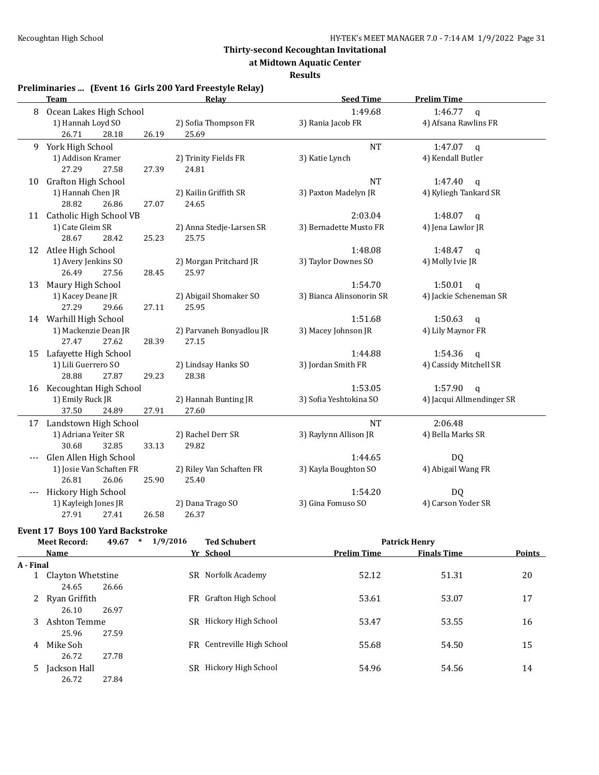**at Midtown Aquatic Center**

**Results**

# **Preliminaries ... (Event 16 Girls 200 Yard Freestyle Relay)**

|    | <b>Team</b>              | Relay                    | <b>Seed Time</b>         | <b>Prelim Time</b>        |
|----|--------------------------|--------------------------|--------------------------|---------------------------|
| 8  | Ocean Lakes High School  |                          | 1:49.68                  | 1:46.77<br>$\mathbf{q}$   |
|    | 1) Hannah Loyd SO        | 2) Sofia Thompson FR     | 3) Rania Jacob FR        | 4) Afsana Rawlins FR      |
|    | 26.71<br>28.18<br>26.19  | 25.69                    |                          |                           |
| 9  | York High School         |                          | <b>NT</b>                | 1:47.07<br>$\mathsf{q}$   |
|    | 1) Addison Kramer        | 2) Trinity Fields FR     | 3) Katie Lynch           | 4) Kendall Butler         |
|    | 27.29<br>27.58<br>27.39  | 24.81                    |                          |                           |
| 10 | Grafton High School      |                          | <b>NT</b>                | 1:47.40<br>$\mathsf{q}$   |
|    | 1) Hannah Chen JR        | 2) Kailin Griffith SR    | 3) Paxton Madelyn JR     | 4) Kyliegh Tankard SR     |
|    | 28.82<br>26.86<br>27.07  | 24.65                    |                          |                           |
| 11 | Catholic High School VB  |                          | 2:03.04                  | 1:48.07<br>$\mathbf q$    |
|    | 1) Cate Gleim SR         | 2) Anna Stedje-Larsen SR | 3) Bernadette Musto FR   | 4) Jena Lawlor JR         |
|    | 28.67<br>28.42<br>25.23  | 25.75                    |                          |                           |
|    | 12 Atlee High School     |                          | 1:48.08                  | 1:48.47<br>q              |
|    | 1) Avery Jenkins SO      | 2) Morgan Pritchard JR   | 3) Taylor Downes SO      | 4) Molly Ivie JR          |
|    | 26.49<br>27.56<br>28.45  | 25.97                    |                          |                           |
| 13 | Maury High School        |                          | 1:54.70                  | 1:50.01<br>$\mathsf{q}$   |
|    | 1) Kacey Deane JR        | 2) Abigail Shomaker SO   | 3) Bianca Alinsonorin SR | 4) Jackie Scheneman SR    |
|    | 27.29<br>29.66<br>27.11  | 25.95                    |                          |                           |
|    | 14 Warhill High School   |                          | 1:51.68                  | 1:50.63<br>q              |
|    | 1) Mackenzie Dean JR     | 2) Parvaneh Bonyadlou JR | 3) Macey Johnson JR      | 4) Lily Maynor FR         |
|    | 27.47<br>27.62<br>28.39  | 27.15                    |                          |                           |
| 15 | Lafayette High School    |                          | 1:44.88                  | 1:54.36<br>$\mathsf{q}$   |
|    | 1) Lili Guerrero SO      | 2) Lindsay Hanks SO      | 3) Jordan Smith FR       | 4) Cassidy Mitchell SR    |
|    | 28.88<br>27.87<br>29.23  | 28.38                    |                          |                           |
| 16 | Kecoughtan High School   |                          | 1:53.05                  | 1:57.90<br>$\mathbf{q}$   |
|    | 1) Emily Ruck JR         | 2) Hannah Bunting JR     | 3) Sofia Yeshtokina SO   | 4) Jacqui Allmendinger SR |
|    | 37.50<br>27.91<br>24.89  | 27.60                    |                          |                           |
|    | 17 Landstown High School |                          | <b>NT</b>                | 2:06.48                   |
|    | 1) Adriana Yeiter SR     | 2) Rachel Derr SR        | 3) Raylynn Allison JR    | 4) Bella Marks SR         |
|    | 30.68<br>32.85<br>33.13  | 29.82                    |                          |                           |
|    | Glen Allen High School   |                          | 1:44.65                  | <b>DQ</b>                 |
|    | 1) Josie Van Schaften FR | 2) Riley Van Schaften FR | 3) Kayla Boughton SO     | 4) Abigail Wang FR        |
|    | 26.81<br>26.06<br>25.90  | 25.40                    |                          |                           |
|    | Hickory High School      |                          | 1:54.20                  | <b>DQ</b>                 |
|    | 1) Kayleigh Jones JR     | 2) Dana Trago SO         | 3) Gina Fomuso SO        | 4) Carson Yoder SR        |
|    | 27.91<br>27.41<br>26.58  | 26.37                    |                          |                           |

### **Event 17 Boys 100 Yard Backstroke**

| <b>Meet Record:</b> |                   | 1/9/2016<br>49.67<br>$\ast$ |     | <b>Ted Schubert</b>        |                    | <b>Patrick Henry</b> |               |
|---------------------|-------------------|-----------------------------|-----|----------------------------|--------------------|----------------------|---------------|
|                     | Name              |                             |     | Yr School                  | <b>Prelim Time</b> | <b>Finals Time</b>   | <b>Points</b> |
| A - Final           |                   |                             |     |                            |                    |                      |               |
|                     | Clayton Whetstine |                             |     | SR Norfolk Academy         | 52.12              | 51.31                | 20            |
|                     | 24.65             | 26.66                       |     |                            |                    |                      |               |
|                     | 2 Ryan Griffith   |                             |     | FR Grafton High School     | 53.61              | 53.07                | 17            |
|                     | 26.10             | 26.97                       |     |                            |                    |                      |               |
| 3                   | Ashton Temme      |                             | SR. | Hickory High School        | 53.47              | 53.55                | 16            |
|                     | 25.96             | 27.59                       |     |                            |                    |                      |               |
| 4                   | Mike Soh          |                             |     | FR Centreville High School | 55.68              | 54.50                | 15            |
|                     | 26.72             | 27.78                       |     |                            |                    |                      |               |
| 5.                  | Jackson Hall      |                             | SR  | Hickory High School        | 54.96              | 54.56                | 14            |
|                     | 26.72             | 27.84                       |     |                            |                    |                      |               |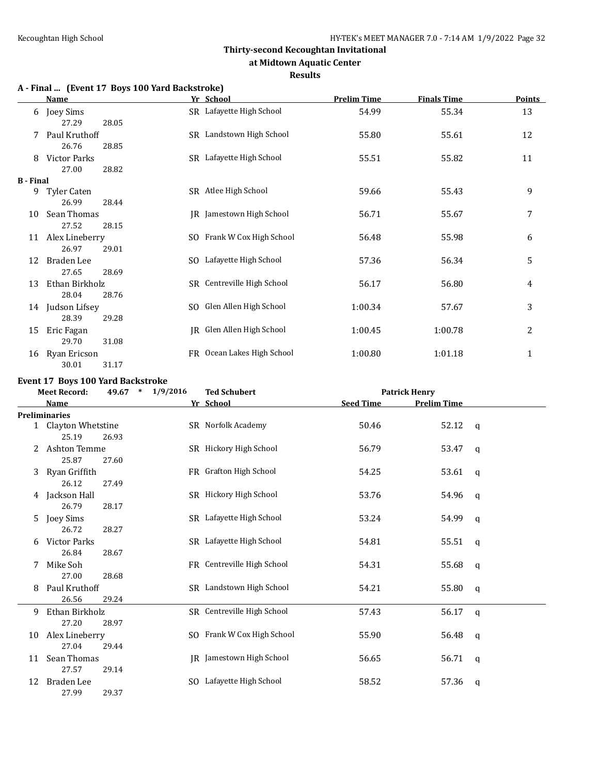#### **at Midtown Aquatic Center**

#### **Results**

# **A - Final ... (Event 17 Boys 100 Yard Backstroke)**

| <b>Name</b>  |                                                                 |                                                                                                                     | <b>Prelim Time</b>                                                                                                                                                                                                                                                                                                                | <b>Finals Time</b>                              | <b>Points</b>                        |
|--------------|-----------------------------------------------------------------|---------------------------------------------------------------------------------------------------------------------|-----------------------------------------------------------------------------------------------------------------------------------------------------------------------------------------------------------------------------------------------------------------------------------------------------------------------------------|-------------------------------------------------|--------------------------------------|
|              |                                                                 |                                                                                                                     | 54.99                                                                                                                                                                                                                                                                                                                             | 55.34                                           | 13                                   |
|              |                                                                 |                                                                                                                     | 55.80                                                                                                                                                                                                                                                                                                                             | 55.61                                           | 12                                   |
| 26.76        | 28.85                                                           |                                                                                                                     |                                                                                                                                                                                                                                                                                                                                   |                                                 |                                      |
| Victor Parks |                                                                 |                                                                                                                     | 55.51                                                                                                                                                                                                                                                                                                                             | 55.82                                           | 11                                   |
| 27.00        | 28.82                                                           |                                                                                                                     |                                                                                                                                                                                                                                                                                                                                   |                                                 |                                      |
|              |                                                                 |                                                                                                                     |                                                                                                                                                                                                                                                                                                                                   |                                                 |                                      |
| Tyler Caten  |                                                                 |                                                                                                                     | 59.66                                                                                                                                                                                                                                                                                                                             | 55.43                                           | 9                                    |
| 26.99        | 28.44                                                           |                                                                                                                     |                                                                                                                                                                                                                                                                                                                                   |                                                 |                                      |
|              |                                                                 |                                                                                                                     | 56.71                                                                                                                                                                                                                                                                                                                             | 55.67                                           | 7                                    |
| 27.52        | 28.15                                                           |                                                                                                                     |                                                                                                                                                                                                                                                                                                                                   |                                                 |                                      |
|              |                                                                 |                                                                                                                     | 56.48                                                                                                                                                                                                                                                                                                                             | 55.98                                           | 6                                    |
| 26.97        | 29.01                                                           |                                                                                                                     |                                                                                                                                                                                                                                                                                                                                   |                                                 |                                      |
| Braden Lee   |                                                                 |                                                                                                                     |                                                                                                                                                                                                                                                                                                                                   |                                                 | 5                                    |
| 27.65        | 28.69                                                           |                                                                                                                     |                                                                                                                                                                                                                                                                                                                                   |                                                 |                                      |
|              |                                                                 |                                                                                                                     |                                                                                                                                                                                                                                                                                                                                   |                                                 | 4                                    |
| 28.04        | 28.76                                                           |                                                                                                                     |                                                                                                                                                                                                                                                                                                                                   |                                                 |                                      |
|              |                                                                 |                                                                                                                     |                                                                                                                                                                                                                                                                                                                                   | 57.67                                           | 3                                    |
| 28.39        | 29.28                                                           |                                                                                                                     |                                                                                                                                                                                                                                                                                                                                   |                                                 |                                      |
|              |                                                                 |                                                                                                                     |                                                                                                                                                                                                                                                                                                                                   |                                                 | 2                                    |
|              |                                                                 |                                                                                                                     |                                                                                                                                                                                                                                                                                                                                   |                                                 |                                      |
|              |                                                                 |                                                                                                                     |                                                                                                                                                                                                                                                                                                                                   |                                                 | 1                                    |
| 30.01        | 31.17                                                           |                                                                                                                     |                                                                                                                                                                                                                                                                                                                                   |                                                 |                                      |
|              | 6 Joey Sims<br>27.29<br><b>B</b> - Final<br>Eric Fagan<br>29.70 | 28.05<br>Paul Kruthoff<br>Sean Thomas<br>Alex Lineberry<br>Ethan Birkholz<br>Judson Lifsey<br>31.08<br>Ryan Ericson | Yr School<br>SR Lafayette High School<br>SR Landstown High School<br>SR Lafayette High School<br>SR Atlee High School<br>JR Jamestown High School<br>SO Frank W Cox High School<br>SO Lafayette High School<br>SR Centreville High School<br>SO Glen Allen High School<br>JR Glen Allen High School<br>FR Ocean Lakes High School | 57.36<br>56.17<br>1:00.34<br>1:00.45<br>1:00.80 | 56.34<br>56.80<br>1:00.78<br>1:01.18 |

#### **Event 17 Boys 100 Yard Backstroke**

| <b>Meet Record:</b> |                      | 1/9/2016<br>49.67<br>$\ast$ |  | <b>Ted Schubert</b>        | <b>Patrick Henry</b> |                    |              |
|---------------------|----------------------|-----------------------------|--|----------------------------|----------------------|--------------------|--------------|
|                     | <b>Name</b>          |                             |  | Yr School                  | <b>Seed Time</b>     | <b>Prelim Time</b> |              |
|                     | <b>Preliminaries</b> |                             |  |                            |                      |                    |              |
|                     | 1 Clayton Whetstine  |                             |  | SR Norfolk Academy         | 50.46                | 52.12              | q            |
|                     | 25.19                | 26.93                       |  |                            |                      |                    |              |
| 2                   | Ashton Temme         |                             |  | SR Hickory High School     | 56.79                | 53.47              | q            |
|                     | 25.87                | 27.60                       |  |                            |                      |                    |              |
| 3                   | Ryan Griffith        |                             |  | FR Grafton High School     | 54.25                | 53.61              | q            |
|                     | 26.12                | 27.49                       |  |                            |                      |                    |              |
| 4                   | Jackson Hall         |                             |  | SR Hickory High School     | 53.76                | 54.96              | q            |
|                     | 26.79                | 28.17                       |  |                            |                      |                    |              |
| 5.                  | Joey Sims            |                             |  | SR Lafayette High School   | 53.24                | 54.99              | q            |
|                     | 26.72                | 28.27                       |  |                            |                      |                    |              |
| 6                   | <b>Victor Parks</b>  |                             |  | SR Lafayette High School   | 54.81                | 55.51              | q            |
|                     | 26.84                | 28.67                       |  |                            |                      |                    |              |
| 7                   | Mike Soh             |                             |  | FR Centreville High School | 54.31                | 55.68              | q            |
|                     | 27.00                | 28.68                       |  |                            |                      |                    |              |
| 8                   | Paul Kruthoff        |                             |  | SR Landstown High School   | 54.21                | 55.80              | $\mathsf{q}$ |
|                     | 26.56                | 29.24                       |  |                            |                      |                    |              |
| 9                   | Ethan Birkholz       |                             |  | SR Centreville High School | 57.43                | 56.17              | $\mathsf{q}$ |
|                     | 27.20                | 28.97                       |  |                            |                      |                    |              |
| 10                  | Alex Lineberry       |                             |  | SO Frank W Cox High School | 55.90                | 56.48              | q            |
|                     | 27.04                | 29.44                       |  |                            |                      |                    |              |
| 11                  | Sean Thomas          |                             |  | JR Jamestown High School   | 56.65                | 56.71              | q            |
|                     | 27.57                | 29.14                       |  |                            |                      |                    |              |
| 12                  | Braden Lee           |                             |  | SO Lafayette High School   | 58.52                | 57.36              | q            |
|                     | 27.99                | 29.37                       |  |                            |                      |                    |              |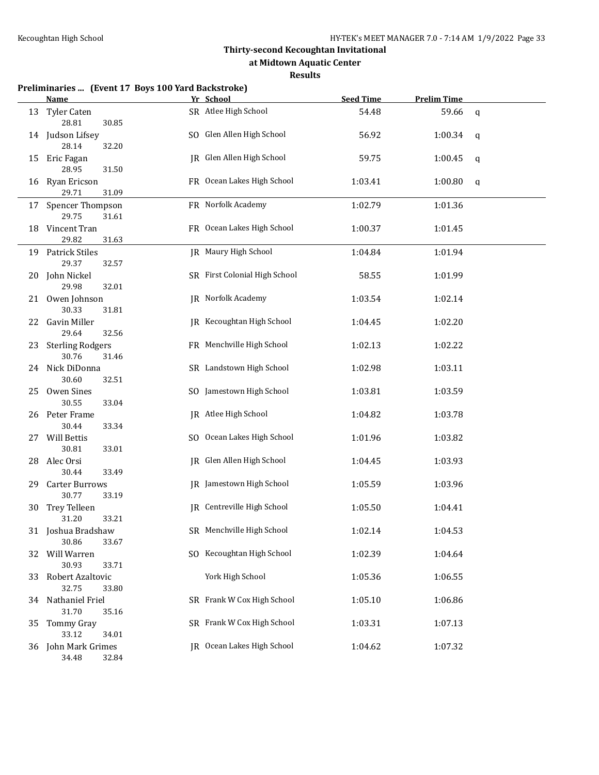**at Midtown Aquatic Center**

#### **Results**

|     | Preliminaries  (Event 17 Boys 100 Yard Backstroke)<br>Name | Yr School                     | <b>Seed Time</b> | <b>Prelim Time</b> |   |
|-----|------------------------------------------------------------|-------------------------------|------------------|--------------------|---|
| 13  | <b>Tyler Caten</b>                                         | SR Atlee High School          | 54.48            | 59.66              | q |
|     | 28.81<br>30.85                                             |                               |                  |                    |   |
| 14  | Judson Lifsey                                              | SO Glen Allen High School     | 56.92            | 1:00.34            | q |
|     | 28.14<br>32.20                                             |                               |                  |                    |   |
| 15  | Eric Fagan                                                 | JR Glen Allen High School     | 59.75            | 1:00.45            | q |
|     | 28.95<br>31.50                                             |                               |                  |                    |   |
| 16  | Ryan Ericson                                               | FR Ocean Lakes High School    | 1:03.41          | 1:00.80            | q |
|     | 29.71<br>31.09                                             |                               |                  |                    |   |
| 17  | Spencer Thompson                                           | FR Norfolk Academy            | 1:02.79          | 1:01.36            |   |
|     | 29.75<br>31.61                                             |                               |                  |                    |   |
| 18  | Vincent Tran                                               | FR Ocean Lakes High School    | 1:00.37          | 1:01.45            |   |
|     | 29.82<br>31.63                                             |                               |                  |                    |   |
| 19  | Patrick Stiles<br>29.37                                    | JR Maury High School          | 1:04.84          | 1:01.94            |   |
|     | 32.57<br>John Nickel                                       | SR First Colonial High School |                  |                    |   |
| 20  | 29.98<br>32.01                                             |                               | 58.55            | 1:01.99            |   |
| 21  | Owen Johnson                                               | JR Norfolk Academy            | 1:03.54          | 1:02.14            |   |
|     | 30.33<br>31.81                                             |                               |                  |                    |   |
| 22. | Gavin Miller                                               | JR Kecoughtan High School     | 1:04.45          | 1:02.20            |   |
|     | 29.64<br>32.56                                             |                               |                  |                    |   |
| 23  | <b>Sterling Rodgers</b>                                    | FR Menchville High School     | 1:02.13          | 1:02.22            |   |
|     | 30.76<br>31.46                                             |                               |                  |                    |   |
| 24  | Nick DiDonna                                               | SR Landstown High School      | 1:02.98          | 1:03.11            |   |
|     | 30.60<br>32.51                                             |                               |                  |                    |   |
| 25  | Owen Sines                                                 | SO Jamestown High School      | 1:03.81          | 1:03.59            |   |
|     | 30.55<br>33.04                                             |                               |                  |                    |   |
| 26  | Peter Frame                                                | JR Atlee High School          | 1:04.82          | 1:03.78            |   |
|     | 30.44<br>33.34                                             |                               |                  |                    |   |
| 27  | Will Bettis                                                | SO Ocean Lakes High School    | 1:01.96          | 1:03.82            |   |
|     | 30.81<br>33.01                                             |                               |                  |                    |   |
| 28  | Alec Orsi                                                  | JR Glen Allen High School     | 1:04.45          | 1:03.93            |   |
|     | 30.44<br>33.49                                             |                               |                  |                    |   |
| 29  | <b>Carter Burrows</b>                                      | JR Jamestown High School      | 1:05.59          | 1:03.96            |   |
|     | 30.77<br>33.19                                             |                               |                  |                    |   |
| 30  | Trey Telleen                                               | JR Centreville High School    | 1:05.50          | 1:04.41            |   |
|     | 33.21<br>31.20                                             |                               |                  |                    |   |
|     | 31 Joshua Bradshaw<br>30.86<br>33.67                       | SR Menchville High School     | 1:02.14          | 1:04.53            |   |
| 32  | Will Warren                                                | SO Kecoughtan High School     | 1:02.39          | 1:04.64            |   |
|     | 30.93<br>33.71                                             |                               |                  |                    |   |
| 33  | Robert Azaltovic                                           | York High School              | 1:05.36          | 1:06.55            |   |
|     | 32.75<br>33.80                                             |                               |                  |                    |   |
| 34  | Nathaniel Friel                                            | SR Frank W Cox High School    | 1:05.10          | 1:06.86            |   |
|     | 31.70<br>35.16                                             |                               |                  |                    |   |
| 35  | <b>Tommy Gray</b>                                          | SR Frank W Cox High School    | 1:03.31          | 1:07.13            |   |
|     | 33.12<br>34.01                                             |                               |                  |                    |   |
| 36  | John Mark Grimes                                           | JR Ocean Lakes High School    | 1:04.62          | 1:07.32            |   |
|     | 34.48<br>32.84                                             |                               |                  |                    |   |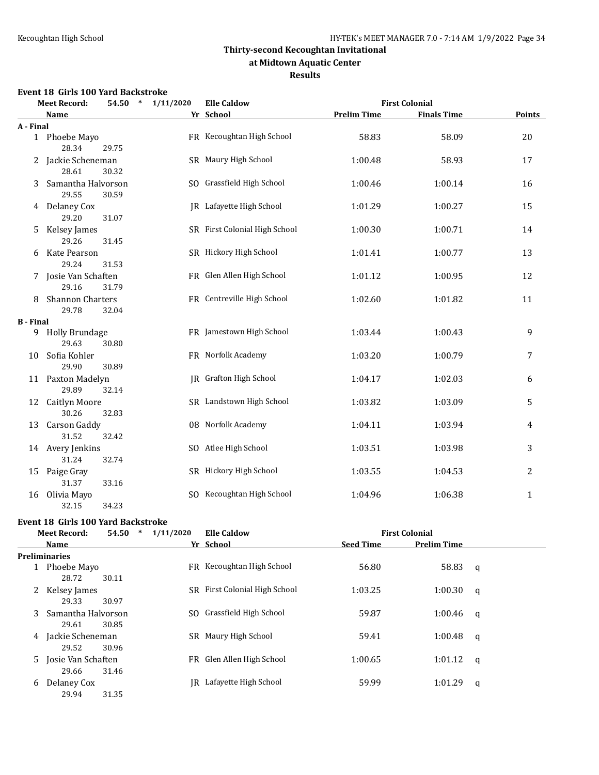#### **at Midtown Aquatic Center**

#### **Results**

#### **Event 18 Girls 100 Yard Backstroke**

|                  | ullio 100 Idiu<br><b>Meet Record:</b>  | 54.50 * 1/11/2020 | <b>Elle Caldow</b>              |                    | <b>First Colonial</b> |               |  |
|------------------|----------------------------------------|-------------------|---------------------------------|--------------------|-----------------------|---------------|--|
|                  | <b>Name</b>                            |                   | Yr School                       | <b>Prelim Time</b> | <b>Finals Time</b>    | <b>Points</b> |  |
| A - Final        |                                        |                   |                                 |                    |                       |               |  |
|                  | 1 Phoebe Mayo<br>28.34<br>29.75        |                   | FR Kecoughtan High School       | 58.83              | 58.09                 | 20            |  |
|                  | Jackie Scheneman<br>28.61<br>30.32     |                   | SR Maury High School            | 1:00.48            | 58.93                 | 17            |  |
| 3                | Samantha Halvorson<br>29.55<br>30.59   |                   | SO Grassfield High School       | 1:00.46            | 1:00.14               | 16            |  |
|                  | 4 Delaney Cox<br>29.20<br>31.07        |                   | <b>IR</b> Lafayette High School | 1:01.29            | 1:00.27               | 15            |  |
| 5                | Kelsey James<br>29.26<br>31.45         |                   | SR First Colonial High School   | 1:00.30            | 1:00.71               | 14            |  |
| 6                | Kate Pearson<br>29.24<br>31.53         |                   | SR Hickory High School          | 1:01.41            | 1:00.77               | 13            |  |
|                  | 7 Josie Van Schaften<br>29.16<br>31.79 |                   | FR Glen Allen High School       | 1:01.12            | 1:00.95               | 12            |  |
| 8                | Shannon Charters<br>29.78<br>32.04     |                   | FR Centreville High School      | 1:02.60            | 1:01.82               | 11            |  |
| <b>B</b> - Final |                                        |                   |                                 |                    |                       |               |  |
|                  | 9 Holly Brundage<br>29.63<br>30.80     |                   | FR Jamestown High School        | 1:03.44            | 1:00.43               | 9             |  |
| 10               | Sofia Kohler<br>29.90<br>30.89         |                   | FR Norfolk Academy              | 1:03.20            | 1:00.79               | 7             |  |
|                  | 11 Paxton Madelyn<br>29.89<br>32.14    |                   | IR Grafton High School          | 1:04.17            | 1:02.03               | 6             |  |
|                  | 12 Caitlyn Moore<br>30.26<br>32.83     |                   | SR Landstown High School        | 1:03.82            | 1:03.09               | 5             |  |
| 13               | Carson Gaddy<br>31.52<br>32.42         |                   | 08 Norfolk Academy              | 1:04.11            | 1:03.94               | 4             |  |
|                  | 14 Avery Jenkins<br>31.24<br>32.74     |                   | SO Atlee High School            | 1:03.51            | 1:03.98               | 3             |  |
| 15               | Paige Gray<br>31.37<br>33.16           |                   | SR Hickory High School          | 1:03.55            | 1:04.53               | 2             |  |
|                  | 16 Olivia Mayo<br>32.15<br>34.23       |                   | SO Kecoughtan High School       | 1:04.96            | 1:06.38               | $\mathbf{1}$  |  |

### **Event 18 Girls 100 Yard Backstroke**

| <b>Meet Record:</b> |                               | 1/11/2020<br>54.50<br>$\ast$ |     | <b>Elle Caldow</b>            |                  | <b>First Colonial</b> |   |  |
|---------------------|-------------------------------|------------------------------|-----|-------------------------------|------------------|-----------------------|---|--|
|                     | <b>Name</b>                   |                              |     | Yr School                     | <b>Seed Time</b> | <b>Prelim Time</b>    |   |  |
|                     | <b>Preliminaries</b>          |                              |     |                               |                  |                       |   |  |
|                     | 1 Phoebe Mayo<br>28.72        | 30.11                        |     | FR Kecoughtan High School     | 56.80            | 58.83                 | q |  |
|                     | 2 Kelsey James<br>29.33       | 30.97                        |     | SR First Colonial High School | 1:03.25          | 1:00.30               | q |  |
| 3                   | Samantha Halvorson<br>29.61   | 30.85                        | SO. | Grassfield High School        | 59.87            | 1:00.46               | q |  |
|                     | 4 Jackie Scheneman<br>29.52   | 30.96                        |     | SR Maury High School          | 59.41            | 1:00.48               | q |  |
|                     | 5 Josie Van Schaften<br>29.66 | 31.46                        |     | FR Glen Allen High School     | 1:00.65          | 1:01.12               | q |  |
| 6                   | Delaney Cox<br>29.94          | 31.35                        | IR. | Lafayette High School         | 59.99            | 1:01.29               | q |  |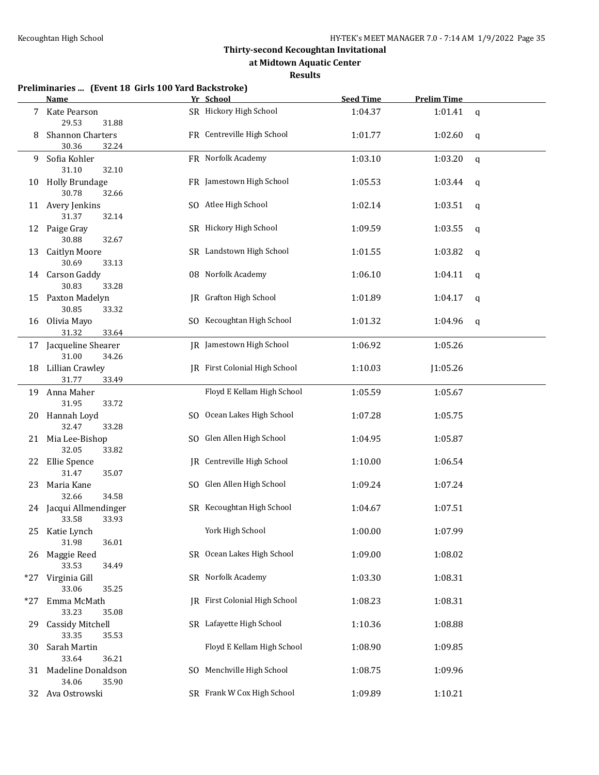**at Midtown Aquatic Center**

#### **Results**

|     | Name                                                  | Yr School                     | <b>Seed Time</b> | <b>Prelim Time</b> |   |
|-----|-------------------------------------------------------|-------------------------------|------------------|--------------------|---|
| 7   | Kate Pearson<br>29.53<br>31.88                        | SR Hickory High School        | 1:04.37          | 1:01.41            | q |
| 8   | Shannon Charters<br>30.36<br>32.24                    | FR Centreville High School    | 1:01.77          | 1:02.60            | q |
| 9   | Sofia Kohler<br>31.10<br>32.10                        | FR Norfolk Academy            | 1:03.10          | 1:03.20            | q |
| 10  | <b>Holly Brundage</b><br>30.78<br>32.66               | FR Jamestown High School      | 1:05.53          | 1:03.44            | q |
|     | 11 Avery Jenkins<br>31.37<br>32.14                    | SO Atlee High School          | 1:02.14          | 1:03.51            | q |
| 12  | Paige Gray<br>30.88<br>32.67                          | SR Hickory High School        | 1:09.59          | 1:03.55            | q |
| 13  | <b>Caitlyn Moore</b><br>30.69<br>33.13                | SR Landstown High School      | 1:01.55          | 1:03.82            | q |
|     | 14 Carson Gaddy<br>30.83<br>33.28                     | 08 Norfolk Academy            | 1:06.10          | 1:04.11            | q |
| 15  | Paxton Madelyn<br>30.85<br>33.32                      | <b>IR</b> Grafton High School | 1:01.89          | 1:04.17            | q |
|     | 16 Olivia Mayo<br>31.32<br>33.64                      | SO Kecoughtan High School     | 1:01.32          | 1:04.96            | q |
|     | 17 Jacqueline Shearer<br>31.00<br>34.26               | JR Jamestown High School      | 1:06.92          | 1:05.26            |   |
|     | 18 Lillian Crawley<br>31.77<br>33.49                  | JR First Colonial High School | 1:10.03          | J1:05.26           |   |
|     | 19 Anna Maher                                         | Floyd E Kellam High School    | 1:05.59          | 1:05.67            |   |
|     | 31.95<br>33.72<br>20 Hannah Loyd                      | SO Ocean Lakes High School    | 1:07.28          | 1:05.75            |   |
|     | 32.47<br>33.28<br>21 Mia Lee-Bishop<br>32.05<br>33.82 | SO Glen Allen High School     | 1:04.95          | 1:05.87            |   |
|     | 22 Ellie Spence<br>35.07<br>31.47                     | JR Centreville High School    | 1:10.00          | 1:06.54            |   |
| 23  | Maria Kane<br>32.66<br>34.58                          | SO Glen Allen High School     | 1:09.24          | 1:07.24            |   |
|     | 24 Jacqui Allmendinger<br>33.58<br>33.93              | SR Kecoughtan High School     | 1:04.67          | 1:07.51            |   |
|     | 25 Katie Lynch<br>31.98<br>36.01                      | York High School              | 1:00.00          | 1:07.99            |   |
| 26  | Maggie Reed<br>33.53<br>34.49                         | SR Ocean Lakes High School    | 1:09.00          | 1:08.02            |   |
| *27 | Virginia Gill<br>33.06<br>35.25                       | SR Norfolk Academy            | 1:03.30          | 1:08.31            |   |
| *27 | Emma McMath<br>33.23<br>35.08                         | JR First Colonial High School | 1:08.23          | 1:08.31            |   |
| 29  | <b>Cassidy Mitchell</b><br>33.35<br>35.53             | SR Lafayette High School      | 1:10.36          | 1:08.88            |   |
| 30. | Sarah Martin<br>33.64<br>36.21                        | Floyd E Kellam High School    | 1:08.90          | 1:09.85            |   |
|     | 31 Madeline Donaldson<br>34.06<br>35.90               | SO Menchville High School     | 1:08.75          | 1:09.96            |   |
|     | 32 Ava Ostrowski                                      | SR Frank W Cox High School    | 1:09.89          | 1:10.21            |   |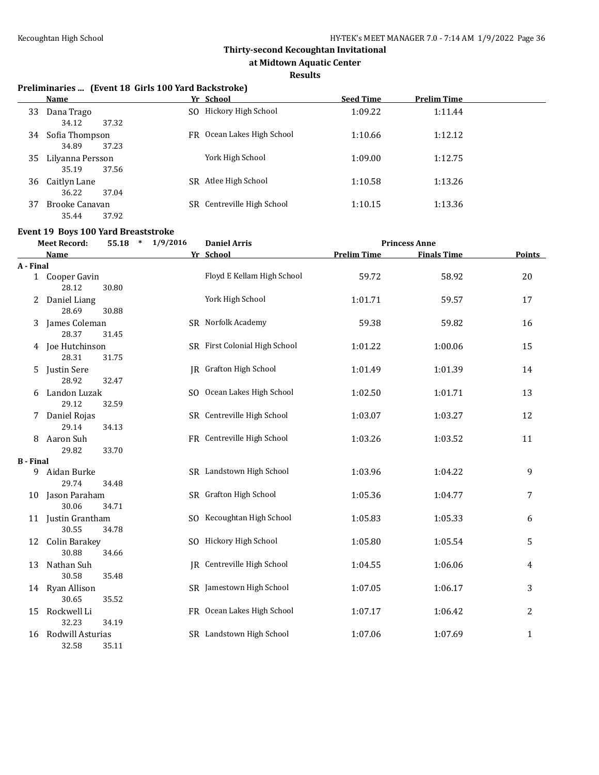**at Midtown Aquatic Center**

#### **Results**

#### **Preliminaries ... (Event 18 Girls 100 Yard Backstroke)**

|    | <b>Name</b>      |     | Yr School               | <b>Seed Time</b> | <b>Prelim Time</b> |
|----|------------------|-----|-------------------------|------------------|--------------------|
| 33 | Dana Trago       |     | SO Hickory High School  | 1:09.22          | 1:11.44            |
|    | 37.32<br>34.12   |     |                         |                  |                    |
| 34 | Sofia Thompson   | FR. | Ocean Lakes High School | 1:10.66          | 1:12.12            |
|    | 34.89<br>37.23   |     |                         |                  |                    |
| 35 | Lilyanna Persson |     | York High School        | 1:09.00          | 1:12.75            |
|    | 37.56<br>35.19   |     |                         |                  |                    |
| 36 | Caitlyn Lane     | SR. | Atlee High School       | 1:10.58          | 1:13.26            |
|    | 37.04<br>36.22   |     |                         |                  |                    |
| 37 | Brooke Canavan   | SR. | Centreville High School | 1:10.15          | 1:13.36            |
|    | 37.92<br>35.44   |     |                         |                  |                    |

#### **Event 19 Boys 100 Yard Breaststroke**

| <b>Meet Record:</b> |                               | 55.18 | $*$ 1/9/2016 | <b>Daniel Arris</b>           |                    | <b>Princess Anne</b> |              |  |
|---------------------|-------------------------------|-------|--------------|-------------------------------|--------------------|----------------------|--------------|--|
|                     | <b>Name</b>                   |       |              | Yr School                     | <b>Prelim Time</b> | <b>Finals Time</b>   | Points       |  |
| A - Final           |                               |       |              |                               |                    |                      |              |  |
|                     | 1 Cooper Gavin<br>28.12       | 30.80 |              | Floyd E Kellam High School    | 59.72              | 58.92                | 20           |  |
| 2                   | Daniel Liang<br>28.69         | 30.88 |              | York High School              | 1:01.71            | 59.57                | 17           |  |
| 3                   | James Coleman                 |       |              | SR Norfolk Academy            | 59.38              | 59.82                | 16           |  |
|                     | 28.37                         | 31.45 |              |                               |                    |                      |              |  |
|                     | 4 Joe Hutchinson<br>28.31     | 31.75 |              | SR First Colonial High School | 1:01.22            | 1:00.06              | 15           |  |
| 5.                  | Justin Sere<br>28.92          | 32.47 |              | <b>JR</b> Grafton High School | 1:01.49            | 1:01.39              | 14           |  |
| 6                   | Landon Luzak<br>29.12         | 32.59 |              | SO Ocean Lakes High School    | 1:02.50            | 1:01.71              | 13           |  |
|                     | Daniel Rojas<br>29.14         | 34.13 |              | SR Centreville High School    | 1:03.07            | 1:03.27              | 12           |  |
| 8                   | Aaron Suh<br>29.82            | 33.70 |              | FR Centreville High School    | 1:03.26            | 1:03.52              | 11           |  |
| <b>B</b> - Final    |                               |       |              |                               |                    |                      |              |  |
| 9                   | Aidan Burke<br>29.74          | 34.48 |              | SR Landstown High School      | 1:03.96            | 1:04.22              | 9            |  |
|                     | 10 Jason Paraham<br>30.06     | 34.71 |              | SR Grafton High School        | 1:05.36            | 1:04.77              | 7            |  |
|                     | 11 Justin Grantham<br>30.55   | 34.78 |              | SO Kecoughtan High School     | 1:05.83            | 1:05.33              | 6            |  |
| 12                  | <b>Colin Barakey</b><br>30.88 | 34.66 |              | SO Hickory High School        | 1:05.80            | 1:05.54              | 5            |  |
| 13                  | Nathan Suh<br>30.58           | 35.48 |              | JR Centreville High School    | 1:04.55            | 1:06.06              | 4            |  |
|                     | 14 Ryan Allison<br>30.65      | 35.52 |              | SR Jamestown High School      | 1:07.05            | 1:06.17              | 3            |  |
| 15                  | Rockwell Li<br>32.23          | 34.19 |              | FR Ocean Lakes High School    | 1:07.17            | 1:06.42              | 2            |  |
| 16                  | Rodwill Asturias<br>32.58     | 35.11 |              | SR Landstown High School      | 1:07.06            | 1:07.69              | $\mathbf{1}$ |  |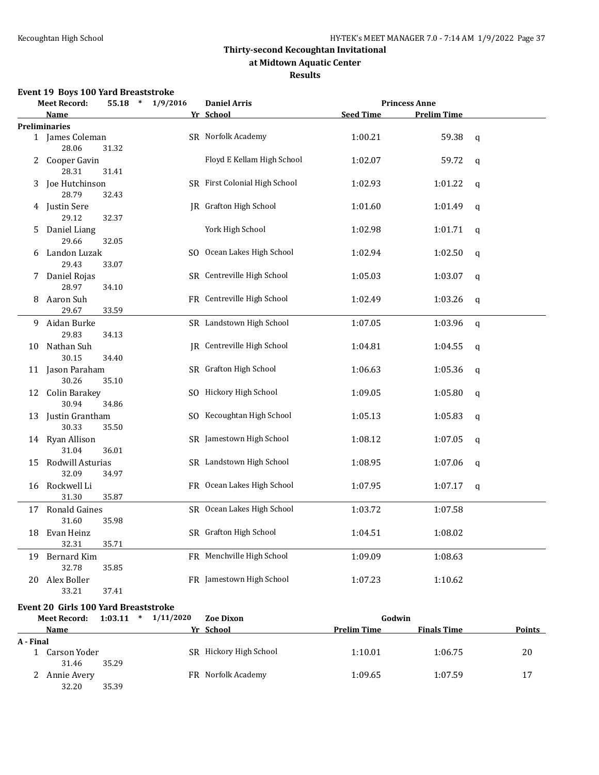#### **at Midtown Aquatic Center**

**Results**

### **Event 19 Boys 100 Yard Breaststroke**

|    | <b>Meet Record:</b>         | $\ast$<br>55.18 | 1/9/2016 | <b>Daniel Arris</b>               |                  | <b>Princess Anne</b> |              |  |
|----|-----------------------------|-----------------|----------|-----------------------------------|------------------|----------------------|--------------|--|
|    | <b>Name</b>                 |                 |          | Yr School                         | <b>Seed Time</b> | <b>Prelim Time</b>   |              |  |
|    | <b>Preliminaries</b>        |                 |          |                                   |                  |                      |              |  |
|    | 1 James Coleman<br>28.06    | 31.32           |          | SR Norfolk Academy                | 1:00.21          | 59.38                | q            |  |
| 2  | Cooper Gavin                |                 |          | Floyd E Kellam High School        | 1:02.07          | 59.72                | $\mathbf{q}$ |  |
| 3  | 28.31<br>Joe Hutchinson     | 31.41           |          | SR First Colonial High School     | 1:02.93          | 1:01.22              | $\mathbf q$  |  |
|    | 28.79<br>4 Justin Sere      | 32.43           |          | <b>IR</b> Grafton High School     | 1:01.60          | 1:01.49              | q            |  |
| 5  | 29.12<br>Daniel Liang       | 32.37           |          | York High School                  | 1:02.98          | 1:01.71              | q            |  |
| 6  | 29.66<br>Landon Luzak       | 32.05           |          | SO Ocean Lakes High School        | 1:02.94          | 1:02.50              | $\mathbf{q}$ |  |
| 7  | 29.43<br>Daniel Rojas       | 33.07           |          | SR Centreville High School        | 1:05.03          | 1:03.07              | q            |  |
| 8  | 28.97<br>Aaron Suh          | 34.10           |          | FR Centreville High School        | 1:02.49          | 1:03.26              | q            |  |
|    | 29.67                       | 33.59           |          |                                   |                  |                      |              |  |
| 9. | Aidan Burke<br>29.83        | 34.13           |          | SR Landstown High School          | 1:07.05          | 1:03.96              | $\mathsf{q}$ |  |
| 10 | Nathan Suh<br>30.15         | 34.40           |          | <b>IR</b> Centreville High School | 1:04.81          | 1:04.55              | $\mathbf q$  |  |
|    | 11 Jason Paraham<br>30.26   | 35.10           |          | SR Grafton High School            | 1:06.63          | 1:05.36              | $\mathbf q$  |  |
|    | 12 Colin Barakey<br>30.94   | 34.86           |          | SO Hickory High School            | 1:09.05          | 1:05.80              | $\mathbf q$  |  |
| 13 | Justin Grantham<br>30.33    | 35.50           |          | SO Kecoughtan High School         | 1:05.13          | 1:05.83              | $\mathbf q$  |  |
|    | 14 Ryan Allison<br>31.04    | 36.01           |          | SR Jamestown High School          | 1:08.12          | 1:07.05              | $\mathbf q$  |  |
| 15 | Rodwill Asturias<br>32.09   | 34.97           |          | SR Landstown High School          | 1:08.95          | 1:07.06              | q            |  |
|    | 16 Rockwell Li<br>31.30     | 35.87           |          | FR Ocean Lakes High School        | 1:07.95          | 1:07.17              | $\mathsf{q}$ |  |
|    | 17 Ronald Gaines<br>31.60   | 35.98           |          | SR Ocean Lakes High School        | 1:03.72          | 1:07.58              |              |  |
| 18 | Evan Heinz                  |                 |          | SR Grafton High School            | 1:04.51          | 1:08.02              |              |  |
| 19 | 32.31<br><b>Bernard Kim</b> | 35.71           |          | FR Menchville High School         | 1:09.09          | 1:08.63              |              |  |
| 20 | 32.78<br>Alex Boller        | 35.85           |          | FR Jamestown High School          | 1:07.23          | 1:10.62              |              |  |
|    | 33.21                       | 37.41           |          |                                   |                  |                      |              |  |

#### **Event 20 Girls 100 Yard Breaststroke**

| <b>Meet Record:</b> |              | 1:03.11<br>$\ast$ | 1/11/2020 | <b>Zoe Dixon</b>       | Godwin      |                    |               |
|---------------------|--------------|-------------------|-----------|------------------------|-------------|--------------------|---------------|
|                     | Name         |                   |           | Yr School              | Prelim Time | <b>Finals Time</b> | <b>Points</b> |
| A - Final           |              |                   |           |                        |             |                    |               |
|                     | Carson Yoder |                   |           | SR Hickory High School | 1:10.01     | 1:06.75            | 20            |
|                     | 31.46        | 35.29             |           |                        |             |                    |               |
|                     | Annie Avery  |                   |           | FR Norfolk Academy     | 1:09.65     | 1:07.59            | 17            |
|                     | 32.20        | 35.39             |           |                        |             |                    |               |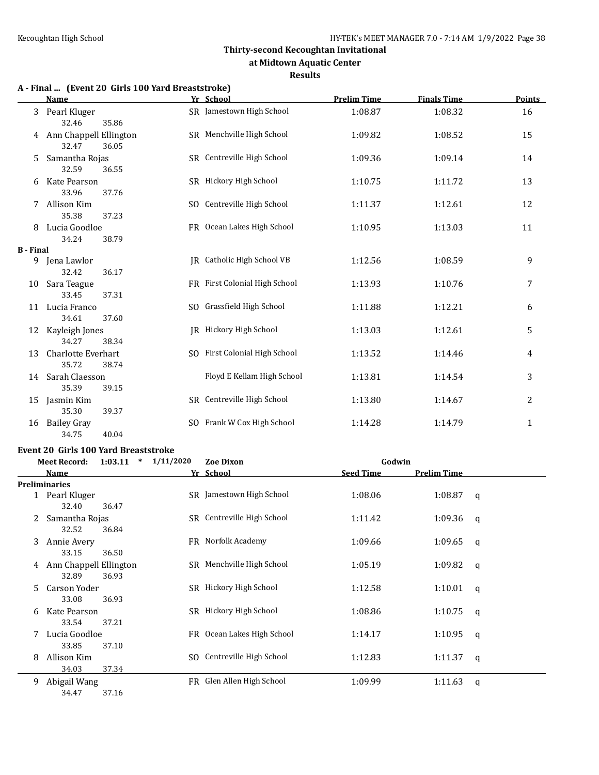#### **at Midtown Aquatic Center**

#### **Results**

# **A - Final ... (Event 20 Girls 100 Yard Breaststroke)**

|                  | <b>Name</b>                                                | Yr School                     | <b>Prelim Time</b> | <b>Finals Time</b> | <b>Points</b> |
|------------------|------------------------------------------------------------|-------------------------------|--------------------|--------------------|---------------|
| 3                | Pearl Kluger                                               | SR Jamestown High School      | 1:08.87            | 1:08.32            | 16            |
| 4                | 32.46<br>35.86<br>Ann Chappell Ellington<br>32.47<br>36.05 | SR Menchville High School     | 1:09.82            | 1:08.52            | 15            |
| 5                | Samantha Rojas<br>32.59<br>36.55                           | SR Centreville High School    | 1:09.36            | 1:09.14            | 14            |
| 6                | Kate Pearson<br>33.96<br>37.76                             | SR Hickory High School        | 1:10.75            | 1:11.72            | 13            |
|                  | Allison Kim<br>35.38<br>37.23                              | SO Centreville High School    | 1:11.37            | 1:12.61            | 12            |
| 8                | Lucia Goodloe<br>34.24<br>38.79                            | FR Ocean Lakes High School    | 1:10.95            | 1:13.03            | 11            |
| <b>B</b> - Final |                                                            |                               |                    |                    |               |
| 9                | Jena Lawlor<br>32.42<br>36.17                              | IR Catholic High School VB    | 1:12.56            | 1:08.59            | 9             |
| 10               | Sara Teague<br>33.45<br>37.31                              | FR First Colonial High School | 1:13.93            | 1:10.76            | 7             |
| 11               | Lucia Franco<br>37.60                                      | SO Grassfield High School     | 1:11.88            | 1:12.21            | 6             |
| 12               | 34.61<br>Kayleigh Jones<br>34.27<br>38.34                  | IR Hickory High School        | 1:13.03            | 1:12.61            | 5             |
| 13               | Charlotte Everhart<br>35.72<br>38.74                       | SO First Colonial High School | 1:13.52            | 1:14.46            | 4             |
| 14               | Sarah Claesson<br>35.39<br>39.15                           | Floyd E Kellam High School    | 1:13.81            | 1:14.54            | 3             |
| 15               | Jasmin Kim<br>35.30<br>39.37                               | SR Centreville High School    | 1:13.80            | 1:14.67            | 2             |
| 16               | Bailey Gray<br>34.75<br>40.04                              | SO Frank W Cox High School    | 1:14.28            | 1:14.79            | $\mathbf{1}$  |

#### **Event 20 Girls 100 Yard Breaststroke**

|    | <b>Meet Record:</b>    | $\ast$<br>1:03.11 | 1/11/2020 | <b>Zoe Dixon</b>           | Godwin           |                    |   |
|----|------------------------|-------------------|-----------|----------------------------|------------------|--------------------|---|
|    | Name                   |                   |           | Yr School                  | <b>Seed Time</b> | <b>Prelim Time</b> |   |
|    | <b>Preliminaries</b>   |                   |           |                            |                  |                    |   |
|    | Pearl Kluger           |                   |           | SR Jamestown High School   | 1:08.06          | 1:08.87            | a |
|    | 32.40                  | 36.47             |           |                            |                  |                    |   |
|    | Samantha Rojas         |                   |           | SR Centreville High School | 1:11.42          | 1:09.36            | q |
|    | 32.52                  | 36.84             |           |                            |                  |                    |   |
| 3  | Annie Avery            |                   |           | FR Norfolk Academy         | 1:09.66          | 1:09.65            | q |
|    | 33.15                  | 36.50             |           |                            |                  |                    |   |
| 4  | Ann Chappell Ellington |                   |           | SR Menchville High School  | 1:05.19          | 1:09.82            | q |
|    | 32.89                  | 36.93             |           |                            |                  |                    |   |
| 5. | Carson Yoder           |                   |           | SR Hickory High School     | 1:12.58          | 1:10.01            | q |
|    | 33.08                  | 36.93             |           |                            |                  |                    |   |
| 6  | Kate Pearson           |                   |           | SR Hickory High School     | 1:08.86          | 1:10.75            | q |
|    | 33.54                  | 37.21             |           |                            |                  |                    |   |
|    | Lucia Goodloe          |                   |           | FR Ocean Lakes High School | 1:14.17          | 1:10.95            | q |
|    | 33.85                  | 37.10             |           |                            |                  |                    |   |
| 8  | Allison Kim            |                   |           | SO Centreville High School | 1:12.83          | 1:11.37            | a |
|    | 34.03                  | 37.34             |           |                            |                  |                    |   |
| 9  | Abigail Wang           |                   |           | FR Glen Allen High School  | 1:09.99          | 1:11.63            | a |

34.47 37.16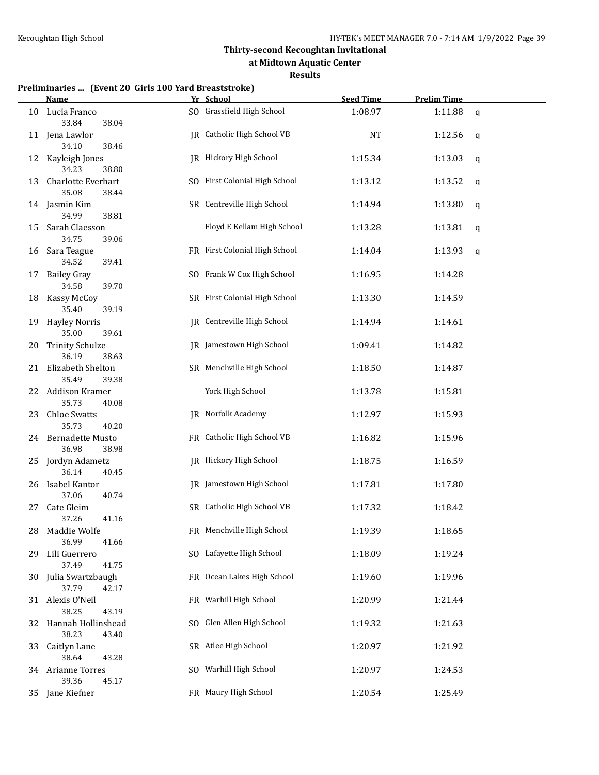**at Midtown Aquatic Center**

#### **Results**

#### **Preliminaries ... (Event 20 Girls 100 Yard Breaststroke)**

|     | <u>Name</u>                               | Yr School                         | <b>Seed Time</b> | <b>Prelim Time</b> |             |
|-----|-------------------------------------------|-----------------------------------|------------------|--------------------|-------------|
| 10  | Lucia Franco<br>33.84<br>38.04            | SO Grassfield High School         | 1:08.97          | 1:11.88            | q           |
|     | 11 Jena Lawlor<br>34.10<br>38.46          | JR Catholic High School VB        | <b>NT</b>        | 1:12.56            | q           |
| 12  | Kayleigh Jones<br>34.23<br>38.80          | JR Hickory High School            | 1:15.34          | 1:13.03            | q           |
| 13  | Charlotte Everhart<br>35.08<br>38.44      | SO First Colonial High School     | 1:13.12          | 1:13.52            | $\mathbf q$ |
|     | 14 Jasmin Kim<br>34.99<br>38.81           | SR Centreville High School        | 1:14.94          | 1:13.80            | $\mathbf q$ |
| 15  | Sarah Claesson<br>34.75<br>39.06          | Floyd E Kellam High School        | 1:13.28          | 1:13.81            | q           |
| 16  | Sara Teague<br>34.52<br>39.41             | FR First Colonial High School     | 1:14.04          | 1:13.93            | q           |
| 17  | <b>Bailey Gray</b><br>34.58<br>39.70      | SO Frank W Cox High School        | 1:16.95          | 1:14.28            |             |
| 18  | Kassy McCoy<br>35.40<br>39.19             | SR First Colonial High School     | 1:13.30          | 1:14.59            |             |
| 19  | <b>Hayley Norris</b><br>35.00<br>39.61    | <b>IR</b> Centreville High School | 1:14.94          | 1:14.61            |             |
| 20  | <b>Trinity Schulze</b><br>36.19<br>38.63  | JR Jamestown High School          | 1:09.41          | 1:14.82            |             |
| 21  | Elizabeth Shelton<br>35.49<br>39.38       | SR Menchville High School         | 1:18.50          | 1:14.87            |             |
| 22  | Addison Kramer<br>35.73<br>40.08          | York High School                  | 1:13.78          | 1:15.81            |             |
| 23  | <b>Chloe Swatts</b><br>35.73<br>40.20     | <b>IR</b> Norfolk Academy         | 1:12.97          | 1:15.93            |             |
| 24  | <b>Bernadette Musto</b><br>36.98<br>38.98 | FR Catholic High School VB        | 1:16.82          | 1:15.96            |             |
| 25  | Jordyn Adametz<br>36.14<br>40.45          | JR Hickory High School            | 1:18.75          | 1:16.59            |             |
| 26  | Isabel Kantor<br>37.06<br>40.74           | <b>IR</b> Jamestown High School   | 1:17.81          | 1:17.80            |             |
| 27  | Cate Gleim<br>37.26<br>41.16              | SR Catholic High School VB        | 1:17.32          | 1:18.42            |             |
|     | 28 Maddie Wolfe<br>36.99<br>41.66         | FR Menchville High School         | 1:19.39          | 1:18.65            |             |
| 29. | Lili Guerrero<br>37.49<br>41.75           | SO Lafayette High School          | 1:18.09          | 1:19.24            |             |
|     | 30 Julia Swartzbaugh<br>37.79<br>42.17    | FR Ocean Lakes High School        | 1:19.60          | 1:19.96            |             |
|     | 31 Alexis O'Neil<br>38.25<br>43.19        | FR Warhill High School            | 1:20.99          | 1:21.44            |             |
|     | 32 Hannah Hollinshead<br>38.23<br>43.40   | SO Glen Allen High School         | 1:19.32          | 1:21.63            |             |
|     | 33 Caitlyn Lane<br>38.64<br>43.28         | SR Atlee High School              | 1:20.97          | 1:21.92            |             |
|     | 34 Arianne Torres<br>39.36<br>45.17       | SO Warhill High School            | 1:20.97          | 1:24.53            |             |
|     | 35 Jane Kiefner                           | FR Maury High School              | 1:20.54          | 1:25.49            |             |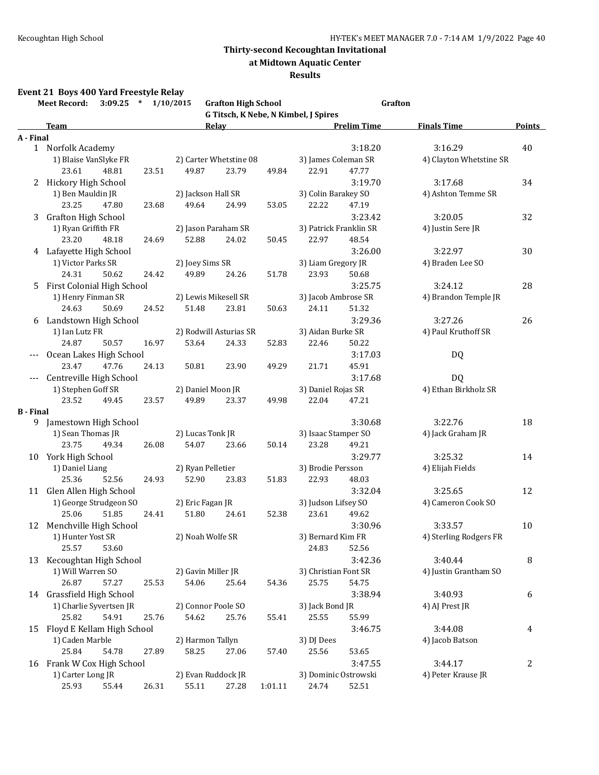**at Midtown Aquatic Center**

#### **Results**

### **Event 21 Boys 400 Yard Freestyle Relay**

|                  | $3:09.25$ * $1/10/2015$<br><b>Meet Record:</b> |       |                            | <b>Grafton High School</b>      |         |                                      | Grafton            |                         |               |
|------------------|------------------------------------------------|-------|----------------------------|---------------------------------|---------|--------------------------------------|--------------------|-------------------------|---------------|
|                  |                                                |       |                            |                                 |         | G Titsch, K Nebe, N Kimbel, J Spires |                    |                         |               |
|                  | Team                                           |       |                            | Relav                           |         |                                      | <b>Prelim Time</b> | <b>Finals Time</b>      | <b>Points</b> |
| A - Final        |                                                |       |                            |                                 |         |                                      |                    |                         |               |
|                  | 1 Norfolk Academy                              |       |                            |                                 |         |                                      | 3:18.20            | 3:16.29                 | 40            |
|                  | 1) Blaise VanSlyke FR                          |       |                            | 2) Carter Whetstine 08          |         | 3) James Coleman SR                  |                    | 4) Clayton Whetstine SR |               |
|                  | 23.61<br>48.81                                 | 23.51 | 49.87                      | 23.79                           | 49.84   | 22.91                                | 47.77              |                         |               |
|                  | 2 Hickory High School                          |       |                            |                                 |         |                                      | 3:19.70            | 3:17.68                 | 34            |
|                  | 1) Ben Mauldin JR                              |       | 2) Jackson Hall SR         |                                 |         | 3) Colin Barakey SO                  |                    | 4) Ashton Temme SR      |               |
|                  | 23.25<br>47.80                                 | 23.68 | 49.64                      | 24.99                           | 53.05   | 22.22                                | 47.19              |                         |               |
| 3                | <b>Grafton High School</b>                     |       |                            |                                 |         |                                      | 3:23.42            | 3:20.05                 | 32            |
|                  | 1) Ryan Griffith FR                            |       | 2) Jason Paraham SR        |                                 |         | 3) Patrick Franklin SR               |                    | 4) Justin Sere JR       |               |
|                  | 23.20<br>48.18                                 | 24.69 | 52.88                      | 24.02                           | 50.45   | 22.97                                | 48.54              |                         |               |
|                  | 4 Lafayette High School                        |       |                            |                                 |         |                                      | 3:26.00            | 3:22.97                 | 30            |
|                  | 1) Victor Parks SR                             |       | 2) Joey Sims SR            |                                 |         | 3) Liam Gregory JR                   |                    | 4) Braden Lee SO        |               |
|                  | 24.31<br>50.62                                 | 24.42 | 49.89                      | 24.26                           | 51.78   | 23.93                                | 50.68              |                         |               |
|                  | 5 First Colonial High School                   |       |                            |                                 |         |                                      | 3:25.75            | 3:24.12                 | 28            |
|                  | 1) Henry Finman SR<br>24.63<br>50.69           |       | 2) Lewis Mikesell SR       |                                 | 50.63   | 3) Jacob Ambrose SR                  |                    | 4) Brandon Temple JR    |               |
|                  |                                                | 24.52 | 51.48                      | 23.81                           |         | 24.11                                | 51.32              |                         |               |
|                  | 6 Landstown High School                        |       |                            |                                 |         |                                      | 3:29.36            | 3:27.26                 | 26            |
|                  | 1) Ian Lutz FR                                 |       |                            | 2) Rodwill Asturias SR<br>24.33 |         | 3) Aidan Burke SR                    |                    | 4) Paul Kruthoff SR     |               |
|                  | 24.87<br>50.57                                 | 16.97 | 53.64                      |                                 | 52.83   | 22.46                                | 50.22              |                         |               |
|                  | Ocean Lakes High School<br>23.47<br>47.76      | 24.13 |                            |                                 |         |                                      | 3:17.03            | DQ                      |               |
|                  |                                                |       | 50.81                      | 23.90                           | 49.29   | 21.71                                | 45.91              |                         |               |
|                  | --- Centreville High School                    |       |                            |                                 |         |                                      | 3:17.68            | <b>DQ</b>               |               |
|                  | 1) Stephen Goff SR<br>23.52<br>49.45           |       | 2) Daniel Moon JR<br>49.89 |                                 |         | 3) Daniel Rojas SR                   | 47.21              | 4) Ethan Birkholz SR    |               |
| <b>B</b> - Final |                                                | 23.57 |                            | 23.37                           | 49.98   | 22.04                                |                    |                         |               |
|                  | 9 Jamestown High School                        |       |                            |                                 |         |                                      | 3:30.68            | 3:22.76                 | 18            |
|                  | 1) Sean Thomas JR                              |       | 2) Lucas Tonk JR           |                                 |         | 3) Isaac Stamper SO                  |                    | 4) Jack Graham JR       |               |
|                  | 23.75<br>49.34                                 | 26.08 | 54.07                      | 23.66                           | 50.14   | 23.28                                | 49.21              |                         |               |
|                  | 10 York High School                            |       |                            |                                 |         |                                      | 3:29.77            | 3:25.32                 | 14            |
|                  | 1) Daniel Liang                                |       | 2) Ryan Pelletier          |                                 |         | 3) Brodie Persson                    |                    | 4) Elijah Fields        |               |
|                  | 25.36<br>52.56                                 | 24.93 | 52.90                      | 23.83                           | 51.83   | 22.93                                | 48.03              |                         |               |
|                  | 11 Glen Allen High School                      |       |                            |                                 |         |                                      | 3:32.04            | 3:25.65                 | 12            |
|                  | 1) George Strudgeon SO                         |       | 2) Eric Fagan JR           |                                 |         | 3) Judson Lifsey SO                  |                    | 4) Cameron Cook SO      |               |
|                  | 25.06<br>51.85                                 | 24.41 | 51.80                      | 24.61                           | 52.38   | 23.61                                | 49.62              |                         |               |
|                  | 12 Menchville High School                      |       |                            |                                 |         |                                      | 3:30.96            | 3:33.57                 | 10            |
|                  | 1) Hunter Yost SR                              |       | 2) Noah Wolfe SR           |                                 |         | 3) Bernard Kim FR                    |                    | 4) Sterling Rodgers FR  |               |
|                  | 25.57<br>53.60                                 |       |                            |                                 |         | 24.83                                | 52.56              |                         |               |
| 13               | Kecoughtan High School                         |       |                            |                                 |         |                                      | 3:42.36            | 3:40.44                 | 8             |
|                  | 1) Will Warren SO                              |       | 2) Gavin Miller JR         |                                 |         | 3) Christian Font SR                 |                    | 4) Justin Grantham SO   |               |
|                  | 26.87<br>57.27                                 | 25.53 | 54.06                      | 25.64                           | 54.36   | 25.75                                | 54.75              |                         |               |
|                  | 14 Grassfield High School                      |       |                            |                                 |         |                                      | 3:38.94            | 3:40.93                 | 6             |
|                  | 1) Charlie Syvertsen JR                        |       | 2) Connor Poole SO         |                                 |         | 3) Jack Bond JR                      |                    | 4) AJ Prest JR          |               |
|                  | 25.82<br>54.91                                 | 25.76 | 54.62                      | 25.76                           | 55.41   | 25.55                                | 55.99              |                         |               |
| 15               | Floyd E Kellam High School                     |       |                            |                                 |         |                                      | 3:46.75            | 3:44.08                 | 4             |
|                  | 1) Caden Marble                                |       | 2) Harmon Tallyn           |                                 |         | 3) DJ Dees                           |                    | 4) Jacob Batson         |               |
|                  | 25.84<br>54.78                                 | 27.89 | 58.25                      | 27.06                           | 57.40   | 25.56                                | 53.65              |                         |               |
|                  | 16 Frank W Cox High School                     |       |                            |                                 |         |                                      | 3:47.55            | 3:44.17                 | 2             |
|                  | 1) Carter Long JR                              |       | 2) Evan Ruddock JR         |                                 |         | 3) Dominic Ostrowski                 |                    | 4) Peter Krause JR      |               |
|                  | 25.93<br>55.44                                 | 26.31 | 55.11                      | 27.28                           | 1:01.11 | 24.74                                | 52.51              |                         |               |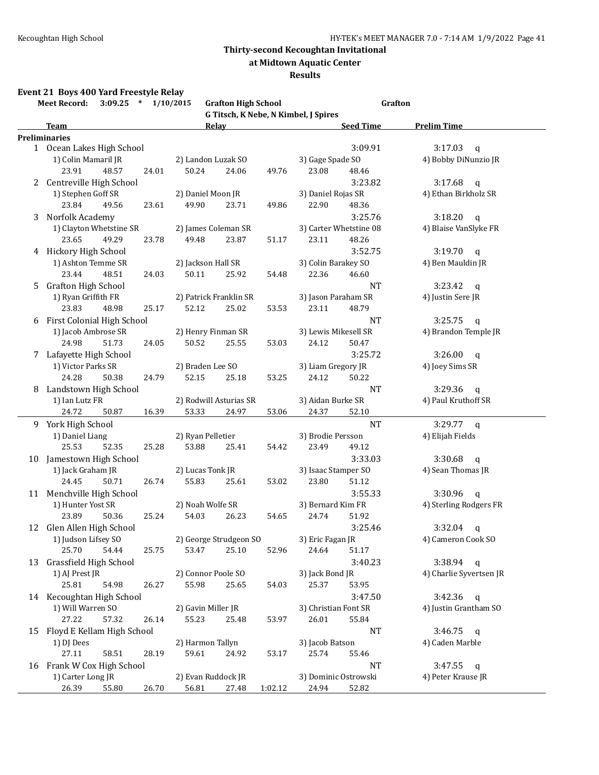**at Midtown Aquatic Center**

#### **Results**

### **Event 21 Boys 400 Yard Freestyle Relay**

|    | $3:09.25$ * $1/10/2015$<br><b>Meet Record:</b> | <b>Grafton High School</b>           |         |                        | Grafton                              |
|----|------------------------------------------------|--------------------------------------|---------|------------------------|--------------------------------------|
|    |                                                | G Titsch, K Nebe, N Kimbel, J Spires |         |                        |                                      |
|    | Team<br><b>Preliminaries</b>                   | Relay                                |         | <b>Seed Time</b>       | <b>Prelim Time</b>                   |
|    |                                                |                                      |         | 3:09.91                | 3:17.03                              |
|    | 1 Ocean Lakes High School                      |                                      |         | 3) Gage Spade SO       | $\mathsf{q}$<br>4) Bobby DiNunzio JR |
|    | 1) Colin Mamaril JR                            | 2) Landon Luzak SO                   |         |                        |                                      |
|    | 23.91<br>48.57<br>24.01                        | 50.24<br>24.06                       | 49.76   | 23.08<br>48.46         |                                      |
|    | 2 Centreville High School                      |                                      |         | 3:23.82                | 3:17.68<br>$\mathsf{q}$              |
|    | 1) Stephen Goff SR                             | 2) Daniel Moon JR                    |         | 3) Daniel Rojas SR     | 4) Ethan Birkholz SR                 |
|    | 23.84<br>49.56<br>23.61                        | 49.90<br>23.71                       | 49.86   | 22.90<br>48.36         |                                      |
| 3  | Norfolk Academy                                |                                      |         | 3:25.76                | 3:18.20<br>q                         |
|    | 1) Clayton Whetstine SR                        | 2) James Coleman SR                  |         | 3) Carter Whetstine 08 | 4) Blaise VanSlyke FR                |
|    | 23.65<br>49.29<br>23.78                        | 49.48<br>23.87                       | 51.17   | 23.11<br>48.26         |                                      |
|    | 4 Hickory High School                          |                                      |         | 3:52.75                | 3:19.70<br>$\mathsf{q}$              |
|    | 1) Ashton Temme SR                             | 2) Jackson Hall SR                   |         | 3) Colin Barakey SO    | 4) Ben Mauldin JR                    |
|    | 23.44<br>48.51<br>24.03                        | 50.11<br>25.92                       | 54.48   | 22.36<br>46.60         |                                      |
|    | 5 Grafton High School                          |                                      |         | NT                     | 3:23.42<br>q                         |
|    | 1) Ryan Griffith FR                            | 2) Patrick Franklin SR               |         | 3) Jason Paraham SR    | 4) Justin Sere JR                    |
|    | 23.83<br>48.98<br>25.17                        | 52.12<br>25.02                       | 53.53   | 23.11<br>48.79         |                                      |
|    | 6 First Colonial High School                   |                                      |         | NT                     | 3:25.75<br>$\mathsf{q}$              |
|    | 1) Jacob Ambrose SR                            | 2) Henry Finman SR                   |         | 3) Lewis Mikesell SR   | 4) Brandon Temple JR                 |
|    | 24.98<br>51.73<br>24.05                        | 50.52<br>25.55                       | 53.03   | 24.12<br>50.47         |                                      |
|    | 7 Lafayette High School                        |                                      |         | 3:25.72                | 3:26.00<br>$\mathsf{q}$              |
|    | 1) Victor Parks SR                             | 2) Braden Lee SO                     |         | 3) Liam Gregory JR     | 4) Joey Sims SR                      |
|    | 24.28<br>24.79<br>50.38                        | 52.15<br>25.18                       | 53.25   | 24.12<br>50.22         |                                      |
|    |                                                |                                      |         |                        |                                      |
|    | 8 Landstown High School                        |                                      |         | NT                     | 3:29.36<br>q                         |
|    | 1) Ian Lutz FR                                 | 2) Rodwill Asturias SR               |         | 3) Aidan Burke SR      | 4) Paul Kruthoff SR                  |
|    | 24.72<br>50.87<br>16.39                        | 53.33<br>24.97                       | 53.06   | 24.37<br>52.10         |                                      |
|    | 9 York High School                             |                                      |         | <b>NT</b>              | $3:29.77$ q                          |
|    | 1) Daniel Liang                                | 2) Ryan Pelletier                    |         | 3) Brodie Persson      | 4) Elijah Fields                     |
|    | 25.53<br>52.35<br>25.28                        | 53.88<br>25.41                       | 54.42   | 23.49<br>49.12         |                                      |
|    | 10 Jamestown High School                       |                                      |         | 3:33.03                | 3:30.68<br>q                         |
|    | 1) Jack Graham JR                              | 2) Lucas Tonk JR                     |         | 3) Isaac Stamper SO    | 4) Sean Thomas JR                    |
|    | 24.45<br>50.71<br>26.74                        | 55.83<br>25.61                       | 53.02   | 23.80<br>51.12         |                                      |
|    | 11 Menchville High School                      |                                      |         | 3:55.33                | 3:30.96<br>$\mathsf{q}$              |
|    | 1) Hunter Yost SR                              | 2) Noah Wolfe SR                     |         | 3) Bernard Kim FR      | 4) Sterling Rodgers FR               |
|    | 23.89<br>50.36<br>25.24                        | 54.03<br>26.23                       | 54.65   | 24.74<br>51.92         |                                      |
|    | 12 Glen Allen High School                      |                                      |         | 3:25.46                | 3:32.04<br>q                         |
|    | 1) Judson Lifsey SO                            | 2) George Strudgeon SO               |         | 3) Eric Fagan JR       | 4) Cameron Cook SO                   |
|    | 25.70<br>54.44<br>25.75                        | 53.47<br>25.10                       | 52.96   | 24.64<br>51.17         |                                      |
| 13 | Grassfield High School                         |                                      |         | 3:40.23                | 3:38.94<br>$\mathsf{q}$              |
|    | 1) AJ Prest JR                                 | 2) Connor Poole SO                   |         | 3) Jack Bond JR        | 4) Charlie Syvertsen JR              |
|    | 25.81<br>54.98<br>26.27                        | 55.98<br>25.65                       | 54.03   | 25.37<br>53.95         |                                      |
|    | 14 Kecoughtan High School                      |                                      |         | 3:47.50                | 3:42.36<br>$\mathbf q$               |
|    | 1) Will Warren SO                              | 2) Gavin Miller JR                   |         | 3) Christian Font SR   | 4) Justin Grantham SO                |
|    | 27.22<br>57.32<br>26.14                        | 55.23<br>25.48                       | 53.97   | 26.01<br>55.84         |                                      |
|    |                                                |                                      |         |                        |                                      |
| 15 | Floyd E Kellam High School                     |                                      |         | NT                     | 3:46.75<br>q                         |
|    | 1) DJ Dees                                     | 2) Harmon Tallyn                     |         | 3) Jacob Batson        | 4) Caden Marble                      |
|    | 58.51<br>28.19<br>27.11                        | 59.61<br>24.92                       | 53.17   | 25.74<br>55.46         |                                      |
|    | 16 Frank W Cox High School                     |                                      |         | NT                     | 3:47.55<br>$\mathbf q$               |
|    | 1) Carter Long JR                              | 2) Evan Ruddock JR                   |         | 3) Dominic Ostrowski   | 4) Peter Krause JR                   |
|    | 26.39<br>26.70<br>55.80                        | 56.81<br>27.48                       | 1:02.12 | 24.94<br>52.82         |                                      |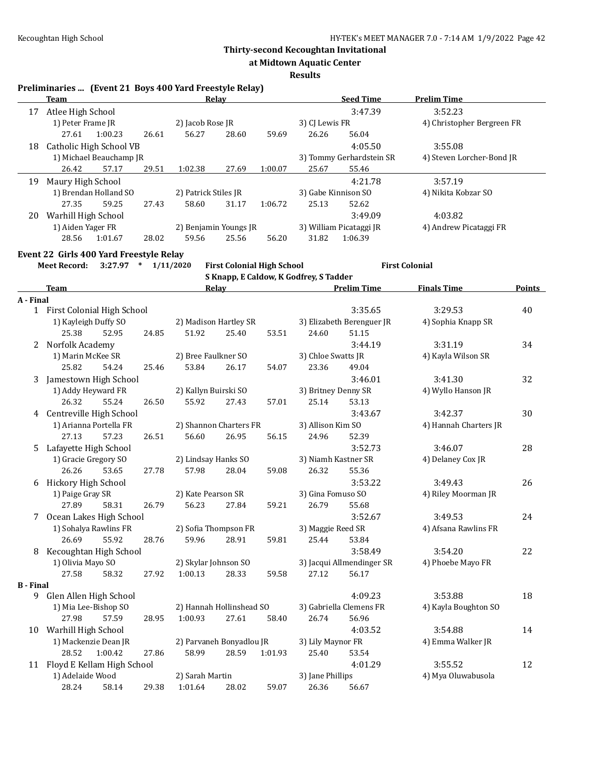**at Midtown Aquatic Center**

**Results**

#### **Preliminaries ... (Event 21 Boys 400 Yard Freestyle Relay)**

|    | Team                |                         |       |                      | Relay                 |         | <b>Seed Time</b>    |                          | <b>Prelim Time</b>         |
|----|---------------------|-------------------------|-------|----------------------|-----------------------|---------|---------------------|--------------------------|----------------------------|
| 17 | Atlee High School   |                         |       |                      |                       |         |                     | 3:47.39                  | 3:52.23                    |
|    | 1) Peter Frame JR   |                         |       | 2) Jacob Rose JR     |                       |         | 3) CJ Lewis FR      |                          | 4) Christopher Bergreen FR |
|    | 27.61               | 1:00.23                 | 26.61 | 56.27                | 28.60                 | 59.69   | 26.26               | 56.04                    |                            |
| 18 |                     | Catholic High School VB |       |                      |                       |         |                     | 4:05.50                  | 3:55.08                    |
|    |                     | 1) Michael Beauchamp JR |       |                      |                       |         |                     | 3) Tommy Gerhardstein SR | 4) Steven Lorcher-Bond JR  |
|    | 26.42               | 57.17                   | 29.51 | 1:02.38              | 27.69                 | 1:00.07 | 25.67               | 55.46                    |                            |
| 19 | Maury High School   |                         |       |                      |                       |         |                     | 4:21.78                  | 3:57.19                    |
|    |                     | 1) Brendan Holland SO   |       | 2) Patrick Stiles JR |                       |         | 3) Gabe Kinnison SO |                          | 4) Nikita Kobzar SO        |
|    | 27.35               | 59.25                   | 27.43 | 58.60                | 31.17                 | 1:06.72 | 25.13               | 52.62                    |                            |
| 20 | Warhill High School |                         |       |                      |                       |         |                     | 3:49.09                  | 4:03.82                    |
|    | 1) Aiden Yager FR   |                         |       |                      | 2) Benjamin Youngs JR |         |                     | 3) William Picataggi JR  | 4) Andrew Picataggi FR     |
|    | 28.56               | 1:01.67                 | 28.02 | 59.56                | 25.56                 | 56.20   | 31.82               | 1:06.39                  |                            |

### **Event 22 Girls 400 Yard Freestyle Relay**

**Meet Record: 3:27.97 \* 1/11/2020 First Colonial High School First Colonial**

**S Knapp, E Caldow, K Godfrey, S Tadder**

|                  | <b>Team</b>                  |       | Relay                |                          |         | <b>Prelim Time</b>  |                           | <b>Finals Time</b>    | Points |
|------------------|------------------------------|-------|----------------------|--------------------------|---------|---------------------|---------------------------|-----------------------|--------|
| A - Final        |                              |       |                      |                          |         |                     |                           |                       |        |
|                  | 1 First Colonial High School |       |                      |                          |         |                     | 3:35.65                   | 3:29.53               | 40     |
|                  | 1) Kayleigh Duffy SO         |       |                      | 2) Madison Hartley SR    |         |                     | 3) Elizabeth Berenguer JR | 4) Sophia Knapp SR    |        |
|                  | 25.38<br>52.95               | 24.85 | 51.92                | 25.40                    | 53.51   | 24.60               | 51.15                     |                       |        |
| 2                | Norfolk Academy              |       |                      |                          |         |                     | 3:44.19                   | 3:31.19               | 34     |
|                  | 1) Marin McKee SR            |       | 2) Bree Faulkner SO  |                          |         | 3) Chloe Swatts JR  |                           | 4) Kayla Wilson SR    |        |
|                  | 25.82<br>54.24               | 25.46 | 53.84                | 26.17                    | 54.07   | 23.36               | 49.04                     |                       |        |
| 3                | Jamestown High School        |       |                      |                          |         |                     | 3:46.01                   | 3:41.30               | 32     |
|                  | 1) Addy Heyward FR           |       | 2) Kallyn Buirski SO |                          |         | 3) Britney Denny SR |                           | 4) Wyllo Hanson JR    |        |
|                  | 26.32<br>55.24               | 26.50 | 55.92                | 27.43                    | 57.01   | 25.14               | 53.13                     |                       |        |
|                  | 4 Centreville High School    |       |                      |                          |         |                     | 3:43.67                   | 3:42.37               | 30     |
|                  | 1) Arianna Portella FR       |       |                      | 2) Shannon Charters FR   |         | 3) Allison Kim SO   |                           | 4) Hannah Charters JR |        |
|                  | 57.23<br>27.13               | 26.51 | 56.60                | 26.95                    | 56.15   | 24.96               | 52.39                     |                       |        |
| 5                | Lafayette High School        |       |                      |                          |         |                     | 3:52.73                   | 3:46.07               | 28     |
|                  | 1) Gracie Gregory SO         |       | 2) Lindsay Hanks SO  |                          |         | 3) Niamh Kastner SR |                           | 4) Delaney Cox JR     |        |
|                  | 26.26<br>53.65               | 27.78 | 57.98                | 28.04                    | 59.08   | 26.32               | 55.36                     |                       |        |
|                  | 6 Hickory High School        |       |                      |                          |         |                     | 3:53.22                   | 3:49.43               | 26     |
|                  | 1) Paige Gray SR             |       | 2) Kate Pearson SR   |                          |         | 3) Gina Fomuso SO   |                           | 4) Riley Moorman JR   |        |
|                  | 27.89<br>58.31               | 26.79 | 56.23                | 27.84                    | 59.21   | 26.79               | 55.68                     |                       |        |
|                  | 7 Ocean Lakes High School    |       |                      |                          |         |                     | 3:52.67                   | 3:49.53               | 24     |
|                  | 1) Sohalya Rawlins FR        |       |                      | 2) Sofia Thompson FR     |         | 3) Maggie Reed SR   |                           | 4) Afsana Rawlins FR  |        |
|                  | 26.69<br>55.92               | 28.76 | 59.96                | 28.91                    | 59.81   | 25.44               | 53.84                     |                       |        |
| 8                | Kecoughtan High School       |       |                      |                          |         |                     | 3:58.49                   | 3:54.20               | 22     |
|                  | 1) Olivia Mayo SO            |       | 2) Skylar Johnson SO |                          |         |                     | 3) Jacqui Allmendinger SR | 4) Phoebe Mayo FR     |        |
|                  | 27.58<br>58.32               | 27.92 | 1:00.13              | 28.33                    | 59.58   | 27.12               | 56.17                     |                       |        |
| <b>B</b> - Final |                              |       |                      |                          |         |                     |                           |                       |        |
| 9                | Glen Allen High School       |       |                      |                          |         |                     | 4:09.23                   | 3:53.88               | 18     |
|                  | 1) Mia Lee-Bishop SO         |       |                      | 2) Hannah Hollinshead SO |         |                     | 3) Gabriella Clemens FR   | 4) Kayla Boughton SO  |        |
|                  | 27.98<br>57.59               | 28.95 | 1:00.93              | 27.61                    | 58.40   | 26.74               | 56.96                     |                       |        |
| 10               | Warhill High School          |       |                      |                          |         |                     | 4:03.52                   | 3:54.88               | 14     |
|                  | 1) Mackenzie Dean JR         |       |                      | 2) Parvaneh Bonyadlou JR |         | 3) Lily Maynor FR   |                           | 4) Emma Walker JR     |        |
|                  | 28.52<br>1:00.42             | 27.86 | 58.99                | 28.59                    | 1:01.93 | 25.40               | 53.54                     |                       |        |
| 11               | Floyd E Kellam High School   |       |                      |                          |         |                     | 4:01.29                   | 3:55.52               | 12     |
|                  | 1) Adelaide Wood             |       | 2) Sarah Martin      |                          |         | 3) Jane Phillips    |                           | 4) Mya Oluwabusola    |        |
|                  | 28.24<br>58.14               | 29.38 | 1:01.64              | 28.02                    | 59.07   | 26.36               | 56.67                     |                       |        |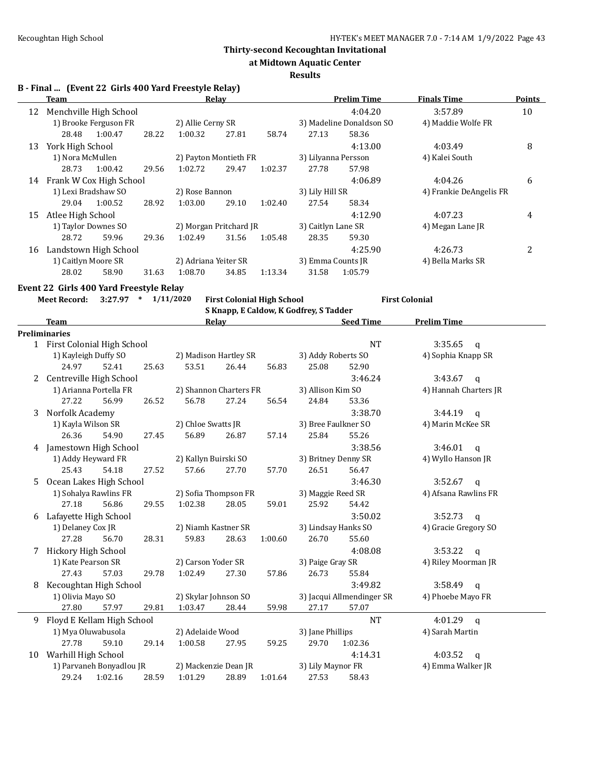**at Midtown Aquatic Center**

#### **Results**

**B - Final ... (Event 22 Girls 400 Yard Freestyle Relay)**

|    | Team                       |                        |       |                        | Relay |         |                     | <b>Prelim Time</b>       | <b>Finals Time</b>      | <b>Points</b> |
|----|----------------------------|------------------------|-------|------------------------|-------|---------|---------------------|--------------------------|-------------------------|---------------|
| 12 |                            | Menchville High School |       |                        |       |         |                     | 4:04.20                  | 3:57.89                 | 10            |
|    |                            | 1) Brooke Ferguson FR  |       | 2) Allie Cerny SR      |       |         |                     | 3) Madeline Donaldson SO | 4) Maddie Wolfe FR      |               |
|    | 28.48                      | 1:00.47                | 28.22 | 1:00.32                | 27.81 | 58.74   | 27.13               | 58.36                    |                         |               |
| 13 | York High School           |                        |       |                        |       |         |                     | 4:13.00                  | 4:03.49                 | 8             |
|    | 1) Nora McMullen           |                        |       | 2) Payton Montieth FR  |       |         | 3) Lilyanna Persson |                          | 4) Kalei South          |               |
|    | 28.73                      | 1:00.42                | 29.56 | 1:02.72                | 29.47 | 1:02.37 | 27.78               | 57.98                    |                         |               |
|    | 14 Frank W Cox High School |                        |       |                        |       |         |                     | 4:06.89                  | 4:04.26                 | 6             |
|    | 1) Lexi Bradshaw SO        |                        |       | 2) Rose Bannon         |       |         | 3) Lily Hill SR     |                          | 4) Frankie DeAngelis FR |               |
|    | 29.04                      | 1:00.52                | 28.92 | 1:03.00                | 29.10 | 1:02.40 | 27.54               | 58.34                    |                         |               |
| 15 | Atlee High School          |                        |       |                        |       |         |                     | 4:12.90                  | 4:07.23                 | 4             |
|    | 1) Taylor Downes SO        |                        |       | 2) Morgan Pritchard JR |       |         | 3) Caitlyn Lane SR  |                          | 4) Megan Lane JR        |               |
|    | 28.72                      | 59.96                  | 29.36 | 1:02.49                | 31.56 | 1:05.48 | 28.35               | 59.30                    |                         |               |
| 16 |                            | Landstown High School  |       |                        |       |         |                     | 4:25.90                  | 4:26.73                 | 2             |
|    | 1) Caitlyn Moore SR        |                        |       | 2) Adriana Yeiter SR   |       |         | 3) Emma Counts JR   |                          | 4) Bella Marks SR       |               |
|    | 28.02                      | 58.90                  | 31.63 | 1:08.70                | 34.85 | 1:13.34 | 31.58               | 1:05.79                  |                         |               |

**Event 22 Girls 400 Yard Freestyle Relay**

**Meet Record: 3:27.97 \* 1/11/2020 First Colonial High School First Colonial S Knapp, E Caldow, K Godfrey, S Tadder**

|    | <b>Team</b>                  |                        |                      |                      | <b>Relay</b>           |                           |                      | <b>Seed Time</b>        | <b>Prelim Time</b>      |  |
|----|------------------------------|------------------------|----------------------|----------------------|------------------------|---------------------------|----------------------|-------------------------|-------------------------|--|
|    | <b>Preliminaries</b>         |                        |                      |                      |                        |                           |                      |                         |                         |  |
|    | 1 First Colonial High School |                        |                      |                      |                        |                           | <b>NT</b>            | $3:35.65$ q             |                         |  |
|    | 1) Kayleigh Duffy SO         |                        |                      |                      | 2) Madison Hartley SR  |                           | 3) Addy Roberts SO   |                         | 4) Sophia Knapp SR      |  |
|    | 24.97                        | 52.41                  | 25.63                | 53.51                | 26.44                  | 56.83                     | 25.08                | 52.90                   |                         |  |
| 2  | Centreville High School      |                        |                      |                      |                        |                           | 3:46.24              | 3:43.67<br>$\mathbf{q}$ |                         |  |
|    |                              | 1) Arianna Portella FR |                      |                      | 2) Shannon Charters FR |                           | 3) Allison Kim SO    |                         | 4) Hannah Charters JR   |  |
|    | 27.22                        | 56.99                  | 26.52                | 56.78                | 27.24                  | 56.54                     | 24.84                | 53.36                   |                         |  |
| 3  | Norfolk Academy              |                        |                      |                      |                        |                           |                      | 3:38.70                 | $3:44.19$ q             |  |
|    | 1) Kayla Wilson SR           |                        |                      | 2) Chloe Swatts JR   |                        |                           | 3) Bree Faulkner SO  | 4) Marin McKee SR       |                         |  |
|    | 26.36                        | 54.90                  | 27.45                | 56.89                | 26.87                  | 57.14                     | 25.84                | 55.26                   |                         |  |
| 4  | Jamestown High School        |                        |                      |                      |                        |                           |                      | 3:38.56                 | 3:46.01<br>$\mathbf{q}$ |  |
|    | 1) Addy Heyward FR           |                        | 2) Kallyn Buirski SO |                      | 3) Britney Denny SR    |                           | 4) Wyllo Hanson JR   |                         |                         |  |
|    | 25.43                        | 54.18                  | 27.52                | 57.66                | 27.70                  | 57.70                     | 26.51                | 56.47                   |                         |  |
| 5. | Ocean Lakes High School      |                        |                      |                      |                        |                           | 3:46.30              | 3:52.67<br>$\mathbf{q}$ |                         |  |
|    | 1) Sohalya Rawlins FR        |                        |                      | 2) Sofia Thompson FR |                        | 3) Maggie Reed SR         |                      | 4) Afsana Rawlins FR    |                         |  |
|    | 27.18                        | 56.86                  | 29.55                | 1:02.38              | 28.05                  | 59.01                     | 25.92                | 54.42                   |                         |  |
| 6  | Lafayette High School        |                        |                      |                      |                        |                           | 3:50.02              | $3:52.73$ q             |                         |  |
|    | 1) Delaney Cox JR            |                        | 2) Niamh Kastner SR  |                      | 3) Lindsay Hanks SO    |                           | 4) Gracie Gregory SO |                         |                         |  |
|    | 27.28                        | 56.70                  | 28.31                | 59.83                | 28.63                  | 1:00.60                   | 26.70                | 55.60                   |                         |  |
| 7  | Hickory High School          |                        |                      |                      |                        |                           |                      | 4:08.08                 | 3:53.22<br>$\mathbf{q}$ |  |
|    | 1) Kate Pearson SR           |                        | 2) Carson Yoder SR   |                      | 3) Paige Gray SR       |                           | 4) Riley Moorman JR  |                         |                         |  |
|    | 27.43                        | 57.03                  | 29.78                | 1:02.49              | 27.30                  | 57.86                     | 26.73                | 55.84                   |                         |  |
| 8  | Kecoughtan High School       |                        |                      |                      |                        |                           |                      | 3:49.82                 | 3:58.49<br>q            |  |
|    | 1) Olivia Mayo SO            |                        | 2) Skylar Johnson SO |                      |                        | 3) Jacqui Allmendinger SR | 4) Phoebe Mayo FR    |                         |                         |  |
|    | 27.80                        | 57.97                  | 29.81                | 1:03.47              | 28.44                  | 59.98                     | 27.17                | 57.07                   |                         |  |
| 9  | Floyd E Kellam High School   |                        |                      |                      |                        |                           |                      | <b>NT</b>               | 4:01.29<br>$\mathsf{q}$ |  |
|    | 1) Mya Oluwabusola           |                        |                      | 2) Adelaide Wood     |                        | 3) Jane Phillips          |                      | 4) Sarah Martin         |                         |  |
|    | 27.78                        | 59.10                  | 29.14                | 1:00.58              | 27.95                  | 59.25                     | 29.70                | 1:02.36                 |                         |  |
| 10 | Warhill High School          |                        |                      |                      |                        |                           |                      | 4:14.31                 | 4:03.52<br>$\mathbf{q}$ |  |
|    | 1) Parvaneh Bonyadlou JR     |                        | 2) Mackenzie Dean JR |                      | 3) Lily Maynor FR      |                           | 4) Emma Walker JR    |                         |                         |  |
|    | 29.24                        | 1:02.16                | 28.59                | 1:01.29              | 28.89                  | 1:01.64                   | 27.53                | 58.43                   |                         |  |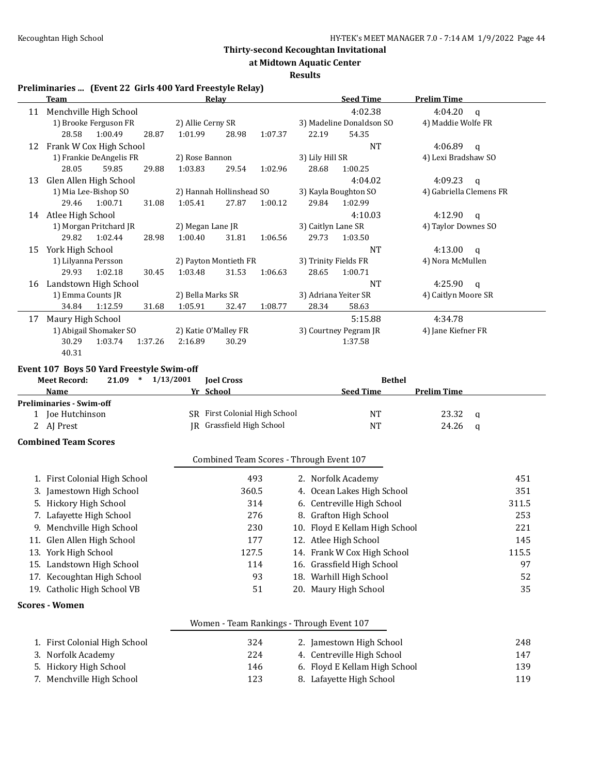**at Midtown Aquatic Center**

#### **Results**

# **Preliminaries ... (Event 22 Girls 400 Yard Freestyle Relay)**

|    | <u>Team</u>                                   | <b>Relay</b>                              | <b>Seed Time</b>               | <b>Prelim Time</b>      |
|----|-----------------------------------------------|-------------------------------------------|--------------------------------|-------------------------|
|    | 11 Menchville High School                     |                                           | 4:02.38                        | 4:04.20<br>$\mathbf q$  |
|    | 1) Brooke Ferguson FR                         | 2) Allie Cerny SR                         | 3) Madeline Donaldson SO       | 4) Maddie Wolfe FR      |
|    | 28.58<br>1:00.49<br>28.87                     | 1:01.99<br>28.98<br>1:07.37               | 22.19<br>54.35                 |                         |
|    | 12 Frank W Cox High School                    |                                           | <b>NT</b>                      | 4:06.89<br>$\mathsf{q}$ |
|    | 1) Frankie DeAngelis FR                       | 2) Rose Bannon                            | 3) Lily Hill SR                | 4) Lexi Bradshaw SO     |
|    | 28.05<br>59.85<br>29.88                       | 1:03.83<br>29.54<br>1:02.96               | 28.68<br>1:00.25               |                         |
| 13 | Glen Allen High School                        |                                           | 4:04.02                        | 4:09.23<br>$\mathsf{q}$ |
|    | 1) Mia Lee-Bishop SO                          | 2) Hannah Hollinshead SO                  | 3) Kayla Boughton SO           | 4) Gabriella Clemens FR |
|    | 29.46<br>1:00.71<br>31.08                     | 1:05.41<br>27.87<br>1:00.12               | 29.84<br>1:02.99               |                         |
|    | 14 Atlee High School                          |                                           | 4:10.03                        | 4:12.90<br>q            |
|    | 1) Morgan Pritchard JR                        | 2) Megan Lane JR                          | 3) Caitlyn Lane SR             | 4) Taylor Downes SO     |
|    | 29.82<br>1:02.44<br>28.98                     | 1:00.40<br>31.81<br>1:06.56               | 29.73<br>1:03.50               |                         |
|    | 15 York High School                           |                                           | <b>NT</b>                      | 4:13.00<br>$\mathsf{q}$ |
|    | 1) Lilyanna Persson                           | 2) Payton Montieth FR                     | 3) Trinity Fields FR           | 4) Nora McMullen        |
|    | 29.93<br>1:02.18<br>30.45                     | 31.53<br>1:03.48<br>1:06.63               | 28.65<br>1:00.71               |                         |
|    | 16 Landstown High School                      |                                           | <b>NT</b>                      | 4:25.90<br>q            |
|    | 1) Emma Counts JR                             | 2) Bella Marks SR                         | 3) Adriana Yeiter SR           | 4) Caitlyn Moore SR     |
|    | 34.84<br>1:12.59<br>31.68                     | 1:05.91<br>32.47<br>1:08.77               | 28.34<br>58.63                 |                         |
| 17 | Maury High School                             |                                           | 5:15.88                        | 4:34.78                 |
|    | 1) Abigail Shomaker SO                        | 2) Katie O'Malley FR                      | 3) Courtney Pegram JR          | 4) Jane Kiefner FR      |
|    | 1:03.74<br>30.29<br>1:37.26                   | 2:16.89<br>30.29                          | 1:37.58                        |                         |
|    |                                               |                                           |                                |                         |
|    | 40.31                                         |                                           |                                |                         |
|    | Event 107 Boys 50 Yard Freestyle Swim-off     |                                           |                                |                         |
|    | <b>Meet Record:</b><br>$21.09$ *<br>1/13/2001 | <b>Joel Cross</b>                         | <b>Bethel</b>                  |                         |
|    | Name                                          | Yr School                                 | <b>Seed Time</b>               | <b>Prelim Time</b>      |
|    | <b>Preliminaries - Swim-off</b>               |                                           |                                |                         |
|    | 1 Joe Hutchinson                              | SR First Colonial High School             | NT                             | 23.32<br>q              |
|    | 2 AJ Prest                                    | JR Grassfield High School                 | <b>NT</b>                      | 24.26<br>$\mathbf q$    |
|    | <b>Combined Team Scores</b>                   |                                           |                                |                         |
|    |                                               | Combined Team Scores - Through Event 107  |                                |                         |
|    | 1. First Colonial High School                 | 493                                       | 2. Norfolk Academy             | 451                     |
|    | 3. Jamestown High School                      | 360.5                                     | 4. Ocean Lakes High School     | 351                     |
|    | 5. Hickory High School                        | 314                                       | 6. Centreville High School     | 311.5                   |
|    | 7. Lafayette High School                      | 276                                       |                                | 253                     |
|    |                                               |                                           | 8. Grafton High School         |                         |
|    | 9. Menchville High School                     | 230                                       | 10. Floyd E Kellam High School | 221                     |
|    | 11. Glen Allen High School                    | 177                                       | 12. Atlee High School          | 145                     |
|    | 13. York High School                          | 127.5                                     | 14. Frank W Cox High School    | 115.5                   |
|    | 15. Landstown High School                     | 114                                       | 16. Grassfield High School     |                         |
|    | 17. Kecoughtan High School                    | 93                                        | 18. Warhill High School        |                         |
|    | 19. Catholic High School VB                   | 51                                        | 20. Maury High School          | 97<br>52<br>35          |
|    | <b>Scores - Women</b>                         |                                           |                                |                         |
|    |                                               | Women - Team Rankings - Through Event 107 |                                |                         |

| 1. First Colonial High School | 324 | 2. Jamestown High School      | 248 |
|-------------------------------|-----|-------------------------------|-----|
| 3.   Norfolk Academy .        | 224 | 4. Centreville High School    | 147 |
| 5. Hickory High School        | 146 | 6. Floyd E Kellam High School | 139 |
| 7. Menchville High School     | 123 | 8. Lafayette High School      | 119 |